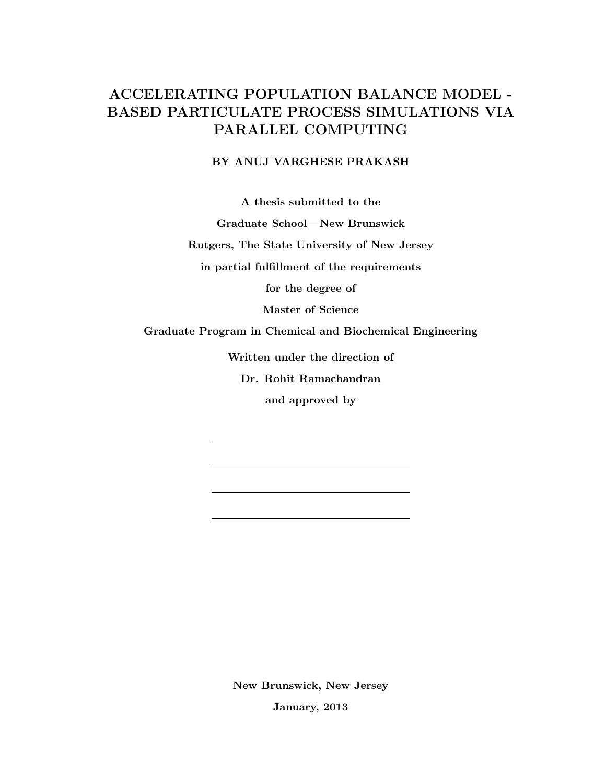# **ACCELERATING POPULATION BALANCE MODEL - BASED PARTICULATE PROCESS SIMULATIONS VIA PARALLEL COMPUTING**

## **BY ANUJ VARGHESE PRAKASH**

**A thesis submitted to the**

**Graduate School—New Brunswick**

**Rutgers, The State University of New Jersey**

**in partial fulfillment of the requirements**

**for the degree of**

**Master of Science**

**Graduate Program in Chemical and Biochemical Engineering**

**Written under the direction of**

**Dr. Rohit Ramachandran**

**and approved by**

**New Brunswick, New Jersey January, 2013**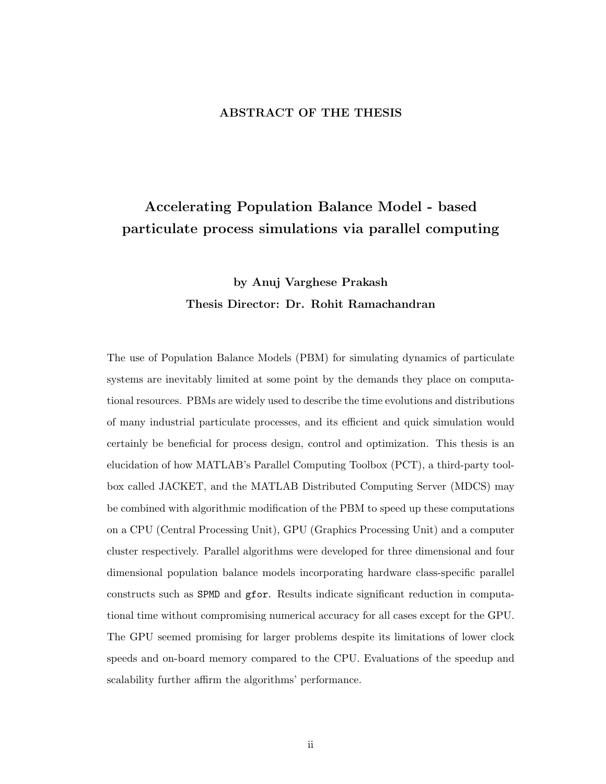## **ABSTRACT OF THE THESIS**

# **Accelerating Population Balance Model - based particulate process simulations via parallel computing**

# **by Anuj Varghese Prakash Thesis Director: Dr. Rohit Ramachandran**

The use of Population Balance Models (PBM) for simulating dynamics of particulate systems are inevitably limited at some point by the demands they place on computational resources. PBMs are widely used to describe the time evolutions and distributions of many industrial particulate processes, and its efficient and quick simulation would certainly be beneficial for process design, control and optimization. This thesis is an elucidation of how MATLAB's Parallel Computing Toolbox (PCT), a third-party toolbox called JACKET, and the MATLAB Distributed Computing Server (MDCS) may be combined with algorithmic modification of the PBM to speed up these computations on a CPU (Central Processing Unit), GPU (Graphics Processing Unit) and a computer cluster respectively. Parallel algorithms were developed for three dimensional and four dimensional population balance models incorporating hardware class-specific parallel constructs such as SPMD and gfor. Results indicate significant reduction in computational time without compromising numerical accuracy for all cases except for the GPU. The GPU seemed promising for larger problems despite its limitations of lower clock speeds and on-board memory compared to the CPU. Evaluations of the speedup and scalability further affirm the algorithms' performance.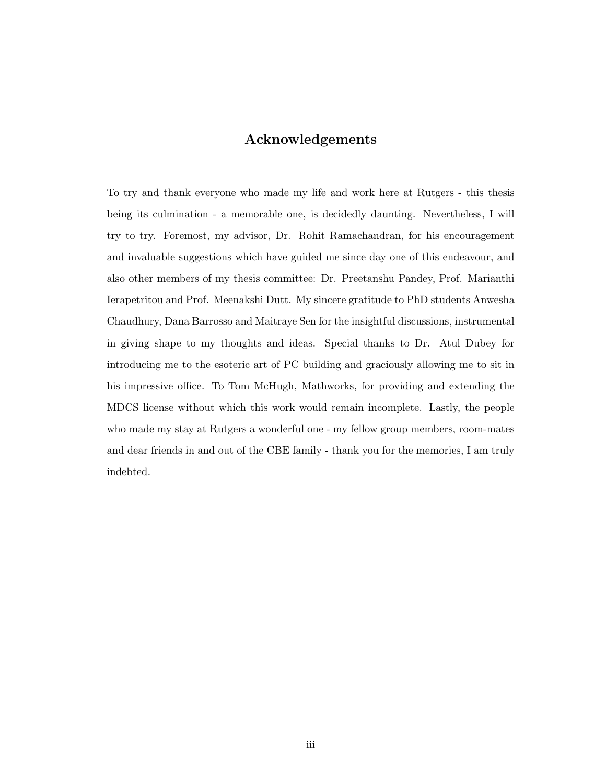## **Acknowledgements**

To try and thank everyone who made my life and work here at Rutgers - this thesis being its culmination - a memorable one, is decidedly daunting. Nevertheless, I will try to try. Foremost, my advisor, Dr. Rohit Ramachandran, for his encouragement and invaluable suggestions which have guided me since day one of this endeavour, and also other members of my thesis committee: Dr. Preetanshu Pandey, Prof. Marianthi Ierapetritou and Prof. Meenakshi Dutt. My sincere gratitude to PhD students Anwesha Chaudhury, Dana Barrosso and Maitraye Sen for the insightful discussions, instrumental in giving shape to my thoughts and ideas. Special thanks to Dr. Atul Dubey for introducing me to the esoteric art of PC building and graciously allowing me to sit in his impressive office. To Tom McHugh, Mathworks, for providing and extending the MDCS license without which this work would remain incomplete. Lastly, the people who made my stay at Rutgers a wonderful one - my fellow group members, room-mates and dear friends in and out of the CBE family - thank you for the memories, I am truly indebted.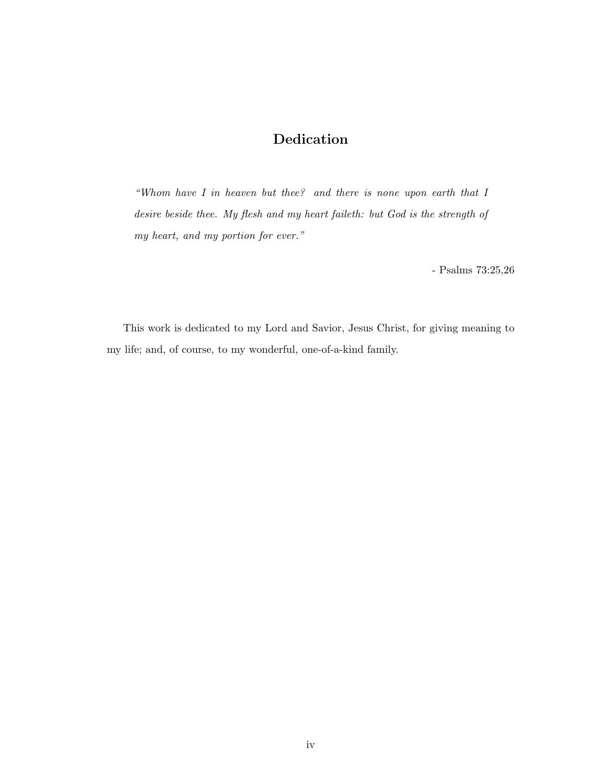## **Dedication**

*"Whom have I in heaven but thee? and there is none upon earth that I desire beside thee. My flesh and my heart faileth: but God is the strength of my heart, and my portion for ever."*

- Psalms 73:25,26

This work is dedicated to my Lord and Savior, Jesus Christ, for giving meaning to my life; and, of course, to my wonderful, one-of-a-kind family.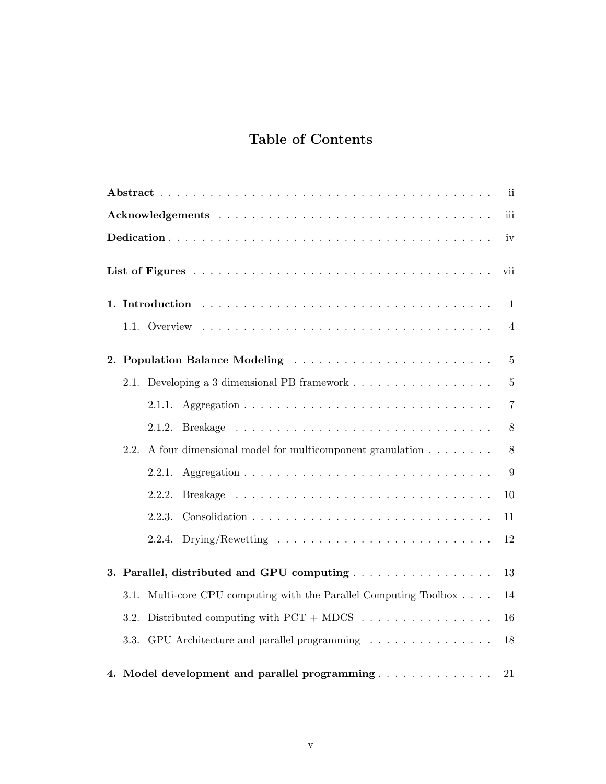# **Table of Contents**

|                                                                                                                                | $\mathbf{ii}$  |  |  |  |  |
|--------------------------------------------------------------------------------------------------------------------------------|----------------|--|--|--|--|
| iii                                                                                                                            |                |  |  |  |  |
| iv                                                                                                                             |                |  |  |  |  |
| vii                                                                                                                            |                |  |  |  |  |
|                                                                                                                                | 1              |  |  |  |  |
|                                                                                                                                | $\overline{4}$ |  |  |  |  |
|                                                                                                                                | $\overline{5}$ |  |  |  |  |
| 2.1. Developing a 3 dimensional PB framework                                                                                   | $\overline{5}$ |  |  |  |  |
| 2.1.1.                                                                                                                         | $\overline{7}$ |  |  |  |  |
| 2.1.2.                                                                                                                         | 8              |  |  |  |  |
| A four dimensional model for multicomponent granulation<br>2.2.                                                                | 8              |  |  |  |  |
| 2.2.1.                                                                                                                         | 9              |  |  |  |  |
| 2.2.2.                                                                                                                         | 10             |  |  |  |  |
| 2.2.3.                                                                                                                         | 11             |  |  |  |  |
| $\text{Drying/Rewetting} \quad \ldots \quad \ldots \quad \ldots \quad \ldots \quad \ldots \quad \ldots \quad \ldots$<br>2.2.4. | 12             |  |  |  |  |
|                                                                                                                                | 13             |  |  |  |  |
| Multi-core CPU computing with the Parallel Computing Toolbox<br>3.1.                                                           | 14             |  |  |  |  |
| 3.2.                                                                                                                           | 16             |  |  |  |  |
| 3.3. GPU Architecture and parallel programming                                                                                 | 18             |  |  |  |  |
| 4. Model development and parallel programming                                                                                  | $21\,$         |  |  |  |  |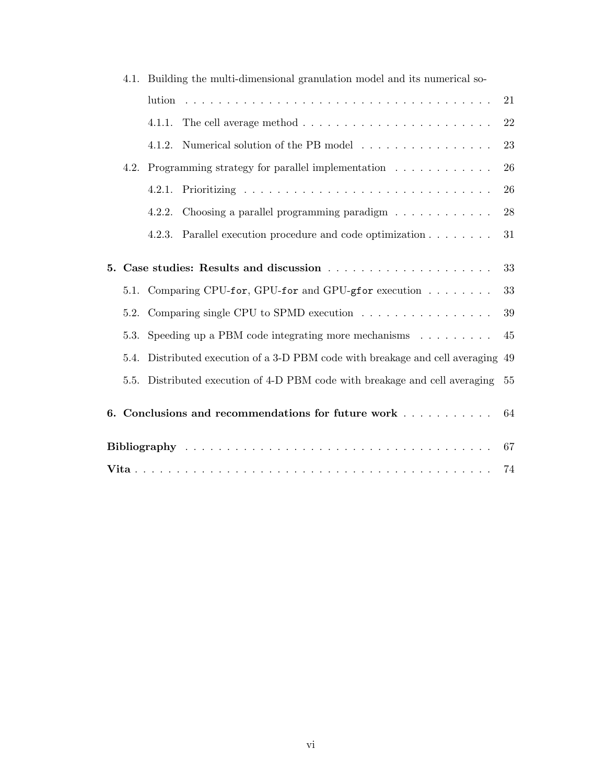|      | - Dunding the multi-dimensional granulation model and its numerical so- |                                                                                |    |
|------|-------------------------------------------------------------------------|--------------------------------------------------------------------------------|----|
|      |                                                                         |                                                                                | 21 |
|      | 4.1.1.                                                                  | The cell average method $\ldots \ldots \ldots \ldots \ldots \ldots \ldots$     | 22 |
|      | 4.1.2.                                                                  | Numerical solution of the PB model                                             | 23 |
| 4.2. |                                                                         | Programming strategy for parallel implementation $\ldots \ldots \ldots \ldots$ | 26 |
|      |                                                                         |                                                                                | 26 |
|      | 4.2.2.                                                                  | Choosing a parallel programming paradigm                                       | 28 |
|      | 4.2.3.                                                                  | Parallel execution procedure and code optimization                             | 31 |
|      |                                                                         |                                                                                |    |
|      |                                                                         |                                                                                | 33 |
|      |                                                                         | 5.1. Comparing CPU-for, GPU-for and GPU-gfor execution $\dots \dots$           | 33 |
| 5.2. | Comparing single CPU to SPMD execution<br>39                            |                                                                                |    |
| 5.3. | Speeding up a PBM code integrating more mechanisms $\dots \dots$<br>45  |                                                                                |    |
| 5.4. |                                                                         | Distributed execution of a 3-D PBM code with breakage and cell averaging 49    |    |
| 5.5. |                                                                         | Distributed execution of 4-D PBM code with breakage and cell averaging         | 55 |
|      |                                                                         | 6. Conclusions and recommendations for future work                             | 64 |
|      |                                                                         |                                                                                | 67 |
|      |                                                                         |                                                                                | 74 |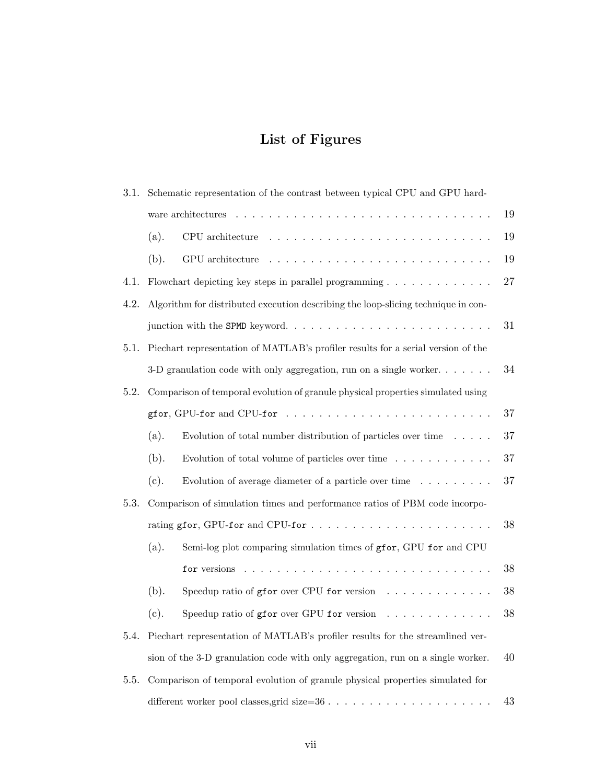# **List of Figures**

| 3.1. | Schematic representation of the contrast between typical CPU and GPU hard-        |                                                                                      |        |  |
|------|-----------------------------------------------------------------------------------|--------------------------------------------------------------------------------------|--------|--|
|      | 19                                                                                |                                                                                      |        |  |
|      | (a).                                                                              | CPU architecture                                                                     | 19     |  |
|      | (b).                                                                              | GPU architecture                                                                     | 19     |  |
| 4.1. |                                                                                   | Flowchart depicting key steps in parallel programming $\ldots \ldots \ldots \ldots$  | $27\,$ |  |
| 4.2. | Algorithm for distributed execution describing the loop-slicing technique in con- |                                                                                      |        |  |
|      |                                                                                   |                                                                                      |        |  |
| 5.1. | Piechart representation of MATLAB's profiler results for a serial version of the  |                                                                                      |        |  |
|      |                                                                                   | 3-D granulation code with only aggregation, run on a single worker. $\dots \dots$    | 34     |  |
| 5.2. |                                                                                   | Comparison of temporal evolution of granule physical properties simulated using      |        |  |
|      |                                                                                   | gfor, GPU-for and CPU-for $\ldots \ldots \ldots \ldots \ldots \ldots \ldots \ldots$  | $37\,$ |  |
|      | (a).                                                                              | Evolution of total number distribution of particles over time $\ldots$ .             | 37     |  |
|      | (b).                                                                              | Evolution of total volume of particles over time $\dots \dots \dots \dots$           | 37     |  |
|      | (c).                                                                              | Evolution of average diameter of a particle over time $\dots \dots \dots$            | 37     |  |
| 5.3. |                                                                                   | Comparison of simulation times and performance ratios of PBM code incorpo-           |        |  |
|      |                                                                                   |                                                                                      | $38\,$ |  |
|      | (a).                                                                              | Semi-log plot comparing simulation times of gfor, GPU for and CPU                    |        |  |
|      |                                                                                   | for versions $\ldots \ldots \ldots \ldots \ldots \ldots \ldots \ldots \ldots \ldots$ | 38     |  |
|      | (b).                                                                              | Speedup ratio of gfor over CPU for version $\ldots \ldots \ldots \ldots$             | 38     |  |
|      | (c).                                                                              | Speedup ratio of gfor over GPU for version $\ldots \ldots \ldots \ldots$             | 38     |  |
| 5.4. |                                                                                   | Piechart representation of MATLAB's profiler results for the streamlined ver-        |        |  |
|      | sion of the 3-D granulation code with only aggregation, run on a single worker.   |                                                                                      |        |  |
| 5.5. | Comparison of temporal evolution of granule physical properties simulated for     |                                                                                      |        |  |
|      |                                                                                   |                                                                                      |        |  |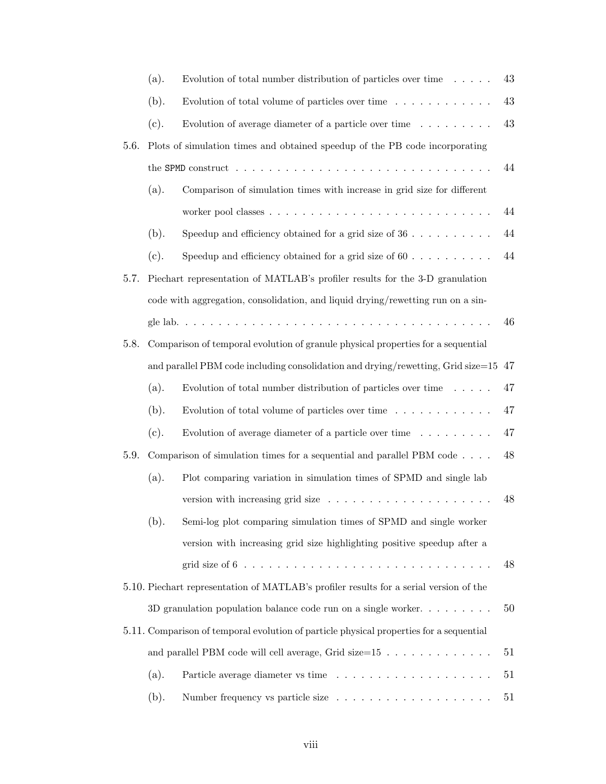|                                                                                         | (a). | Evolution of total number distribution of particles over time $\ldots$ .                                        | 43 |
|-----------------------------------------------------------------------------------------|------|-----------------------------------------------------------------------------------------------------------------|----|
|                                                                                         | (b). | Evolution of total volume of particles over time $\ldots \ldots \ldots \ldots$                                  | 43 |
|                                                                                         | (c). | Evolution of average diameter of a particle over time $\ldots \ldots \ldots$                                    | 43 |
| 5.6.                                                                                    |      | Plots of simulation times and obtained speedup of the PB code incorporating                                     |    |
|                                                                                         |      | the SPMD construct $\ldots \ldots \ldots \ldots \ldots \ldots \ldots \ldots \ldots \ldots \ldots \ldots \ldots$ | 44 |
|                                                                                         | (a). | Comparison of simulation times with increase in grid size for different                                         |    |
|                                                                                         |      |                                                                                                                 | 44 |
|                                                                                         | (b). | Speedup and efficiency obtained for a grid size of $36 \ldots \ldots \ldots$                                    | 44 |
|                                                                                         | (c). | Speedup and efficiency obtained for a grid size of $60$                                                         | 44 |
| 5.7.                                                                                    |      | Piechart representation of MATLAB's profiler results for the 3-D granulation                                    |    |
|                                                                                         |      | code with aggregation, consolidation, and liquid drying/rewetting run on a sin-                                 |    |
|                                                                                         |      |                                                                                                                 | 46 |
| 5.8.                                                                                    |      | Comparison of temporal evolution of granule physical properties for a sequential                                |    |
| and parallel PBM code including consolidation and drying/rewetting, Grid size= $15\;47$ |      |                                                                                                                 |    |
|                                                                                         | (a). | Evolution of total number distribution of particles over time $\ldots$ .                                        | 47 |
|                                                                                         | (b). | Evolution of total volume of particles over time $\ldots \ldots \ldots \ldots$                                  | 47 |
|                                                                                         | (c). | Evolution of average diameter of a particle over time $\dots \dots \dots$                                       | 47 |
| 5.9.                                                                                    |      | Comparison of simulation times for a sequential and parallel PBM code $\ldots$ .                                | 48 |
|                                                                                         | (a). | Plot comparing variation in simulation times of SPMD and single lab                                             |    |
|                                                                                         |      | version with increasing grid size $\ldots \ldots \ldots \ldots \ldots \ldots$                                   | 48 |
|                                                                                         | (b). | Semi-log plot comparing simulation times of SPMD and single worker                                              |    |
|                                                                                         |      | version with increasing grid size highlighting positive speedup after a                                         |    |
|                                                                                         |      | grid size of $6 \ldots \ldots \ldots \ldots \ldots \ldots \ldots \ldots \ldots \ldots$                          | 48 |
|                                                                                         |      | 5.10. Piechart representation of MATLAB's profiler results for a serial version of the                          |    |
|                                                                                         |      | 3D granulation population balance code run on a single worker. $\dots \dots \dots$                              | 50 |
|                                                                                         |      | 5.11. Comparison of temporal evolution of particle physical properties for a sequential                         |    |
|                                                                                         |      | and parallel PBM code will cell average, Grid size= $15 \ldots \ldots \ldots \ldots$                            | 51 |
|                                                                                         | (a). |                                                                                                                 | 51 |
|                                                                                         | (b). |                                                                                                                 | 51 |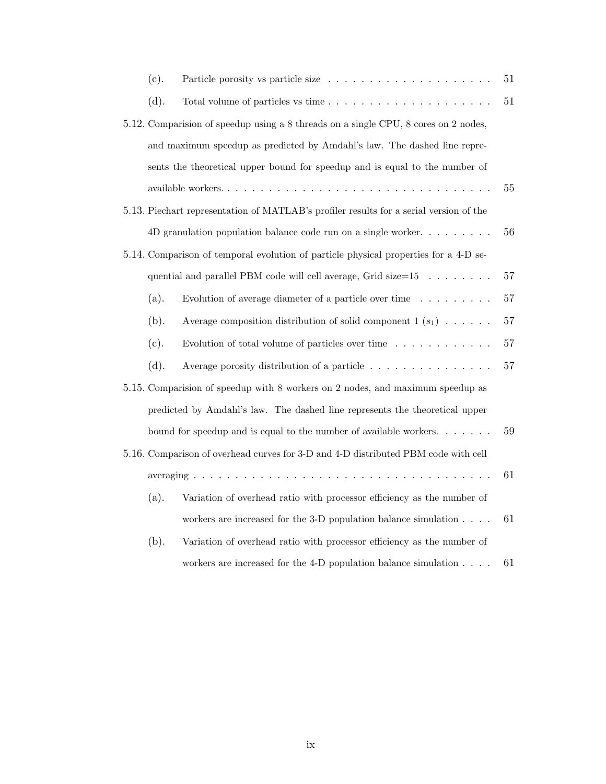| (c).                                                                           | Particle porosity vs particle size                                                     | 51     |
|--------------------------------------------------------------------------------|----------------------------------------------------------------------------------------|--------|
| (d).                                                                           |                                                                                        | 51     |
|                                                                                | 5.12. Comparision of speedup using a 8 threads on a single CPU, 8 cores on 2 nodes,    |        |
|                                                                                | and maximum speedup as predicted by Amdahl's law. The dashed line repre-               |        |
|                                                                                | sents the theoretical upper bound for speedup and is equal to the number of            |        |
|                                                                                |                                                                                        | $55\,$ |
|                                                                                | 5.13. Piechart representation of MATLAB's profiler results for a serial version of the |        |
|                                                                                | 4D granulation population balance code run on a single worker. $\dots \dots \dots$     | 56     |
|                                                                                | 5.14. Comparison of temporal evolution of particle physical properties for a 4-D se-   |        |
|                                                                                | quential and parallel PBM code will cell average, Grid size= $15 \dots \dots$          | $57\,$ |
| (a).                                                                           | Evolution of average diameter of a particle over time $\ldots \ldots \ldots$           | 57     |
| (b).                                                                           | Average composition distribution of solid component $1(s_1) \ldots$ .                  | 57     |
| (c).                                                                           | Evolution of total volume of particles over time $\ldots \ldots \ldots \ldots$         | 57     |
| (d).                                                                           | Average porosity distribution of a particle                                            | 57     |
| 5.15. Comparision of speedup with 8 workers on 2 nodes, and maximum speedup as |                                                                                        |        |
| predicted by Amdahl's law. The dashed line represents the theoretical upper    |                                                                                        |        |
|                                                                                | bound for speedup and is equal to the number of available workers. $\dots$             | 59     |
|                                                                                | 5.16. Comparison of overhead curves for 3-D and 4-D distributed PBM code with cell     |        |
|                                                                                |                                                                                        |        |
| (a).                                                                           | Variation of overhead ratio with processor efficiency as the number of                 |        |
|                                                                                | workers are increased for the 3-D population balance simulation $\ldots$ .             | 61     |
| (b).                                                                           | Variation of overhead ratio with processor efficiency as the number of                 |        |
|                                                                                | workers are increased for the 4-D population balance simulation                        | 61     |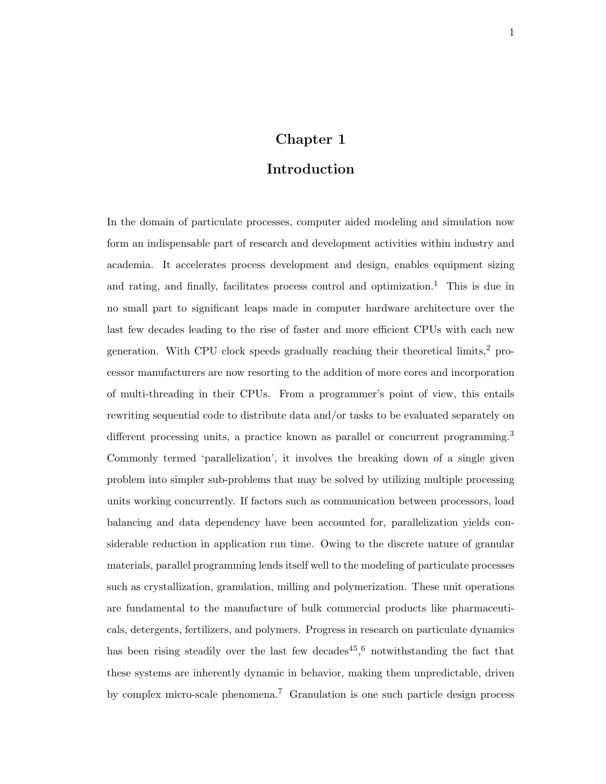# **Chapter 1**

## **Introduction**

In the domain of particulate processes, computer aided modeling and simulation now form an indispensable part of research and development activities within industry and academia. It accelerates process development and design, enables equipment sizing and rating, and finally, facilitates process control and optimization.<sup>1</sup> This is due in no small part to significant leaps made in computer hardware architecture over the last few decades leading to the rise of faster and more efficient CPUs with each new generation. With CPU clock speeds gradually reaching their theoretical limits,<sup>2</sup> processor manufacturers are now resorting to the addition of more cores and incorporation of multi-threading in their CPUs. From a programmer's point of view, this entails rewriting sequential code to distribute data and/or tasks to be evaluated separately on different processing units, a practice known as parallel or concurrent programming.<sup>3</sup> Commonly termed 'parallelization', it involves the breaking down of a single given problem into simpler sub-problems that may be solved by utilizing multiple processing units working concurrently. If factors such as communication between processors, load balancing and data dependency have been accounted for, parallelization yields considerable reduction in application run time. Owing to the discrete nature of granular materials, parallel programming lends itself well to the modeling of particulate processes such as crystallization, granulation, milling and polymerization. These unit operations are fundamental to the manufacture of bulk commercial products like pharmaceuticals, detergents, fertilizers, and polymers. Progress in research on particulate dynamics has been rising steadily over the last few decades<sup>45</sup>,<sup>6</sup> notwithstanding the fact that these systems are inherently dynamic in behavior, making them unpredictable, driven by complex micro-scale phenomena.<sup>7</sup> Granulation is one such particle design process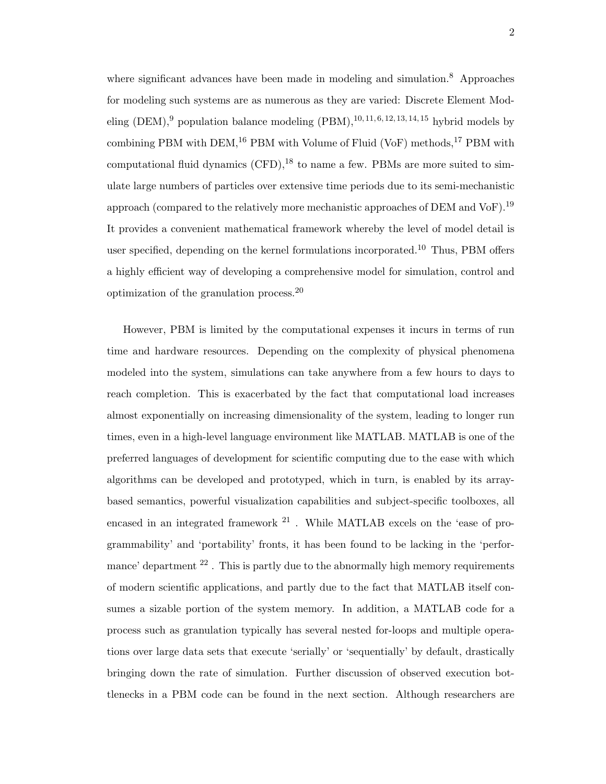where significant advances have been made in modeling and simulation.<sup>8</sup> Approaches for modeling such systems are as numerous as they are varied: Discrete Element Modeling  $(DEM)$ ,<sup>9</sup> population balance modeling  $(PBM)$ , <sup>10, 11, 6, 12, 13, 14, 15 hybrid models by</sup> combining PBM with DEM,  $^{16}$  PBM with Volume of Fluid (VoF) methods,  $^{17}$  PBM with computational fluid dynamics  $(CFD)$ ,<sup>18</sup> to name a few. PBMs are more suited to simulate large numbers of particles over extensive time periods due to its semi-mechanistic approach (compared to the relatively more mechanistic approaches of DEM and VoF).<sup>19</sup> It provides a convenient mathematical framework whereby the level of model detail is user specified, depending on the kernel formulations incorporated.<sup>10</sup> Thus, PBM offers a highly efficient way of developing a comprehensive model for simulation, control and optimization of the granulation process.<sup>20</sup>

However, PBM is limited by the computational expenses it incurs in terms of run time and hardware resources. Depending on the complexity of physical phenomena modeled into the system, simulations can take anywhere from a few hours to days to reach completion. This is exacerbated by the fact that computational load increases almost exponentially on increasing dimensionality of the system, leading to longer run times, even in a high-level language environment like MATLAB. MATLAB is one of the preferred languages of development for scientific computing due to the ease with which algorithms can be developed and prototyped, which in turn, is enabled by its arraybased semantics, powerful visualization capabilities and subject-specific toolboxes, all encased in an integrated framework  $21$ . While MATLAB excels on the 'ease of programmability' and 'portability' fronts, it has been found to be lacking in the 'performance' department  $2^2$ . This is partly due to the abnormally high memory requirements of modern scientific applications, and partly due to the fact that MATLAB itself consumes a sizable portion of the system memory. In addition, a MATLAB code for a process such as granulation typically has several nested for-loops and multiple operations over large data sets that execute 'serially' or 'sequentially' by default, drastically bringing down the rate of simulation. Further discussion of observed execution bottlenecks in a PBM code can be found in the next section. Although researchers are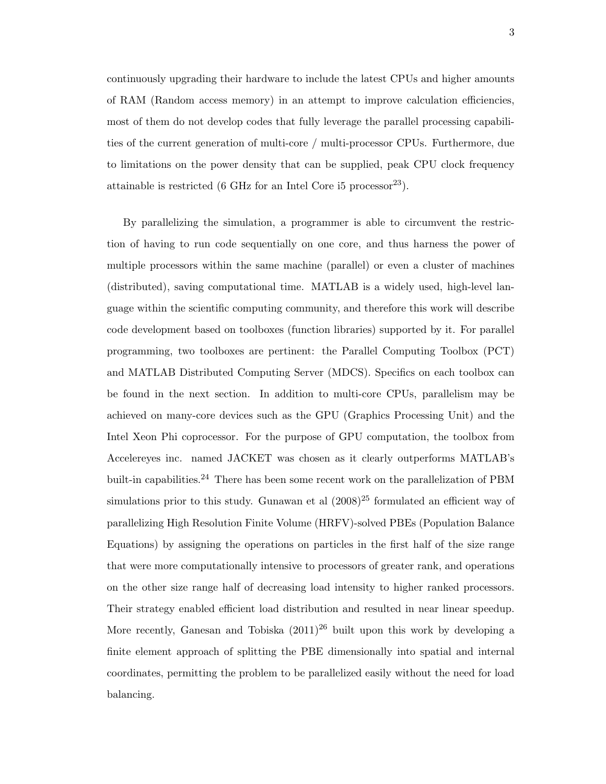continuously upgrading their hardware to include the latest CPUs and higher amounts of RAM (Random access memory) in an attempt to improve calculation efficiencies, most of them do not develop codes that fully leverage the parallel processing capabilities of the current generation of multi-core / multi-processor CPUs. Furthermore, due to limitations on the power density that can be supplied, peak CPU clock frequency attainable is restricted (6 GHz for an Intel Core i5 processor<sup>23</sup>).

By parallelizing the simulation, a programmer is able to circumvent the restriction of having to run code sequentially on one core, and thus harness the power of multiple processors within the same machine (parallel) or even a cluster of machines (distributed), saving computational time. MATLAB is a widely used, high-level language within the scientific computing community, and therefore this work will describe code development based on toolboxes (function libraries) supported by it. For parallel programming, two toolboxes are pertinent: the Parallel Computing Toolbox (PCT) and MATLAB Distributed Computing Server (MDCS). Specifics on each toolbox can be found in the next section. In addition to multi-core CPUs, parallelism may be achieved on many-core devices such as the GPU (Graphics Processing Unit) and the Intel Xeon Phi coprocessor. For the purpose of GPU computation, the toolbox from Accelereyes inc. named JACKET was chosen as it clearly outperforms MATLAB's built-in capabilities.<sup>24</sup> There has been some recent work on the parallelization of PBM simulations prior to this study. Gunawan et al  $(2008)^{25}$  formulated an efficient way of parallelizing High Resolution Finite Volume (HRFV)-solved PBEs (Population Balance Equations) by assigning the operations on particles in the first half of the size range that were more computationally intensive to processors of greater rank, and operations on the other size range half of decreasing load intensity to higher ranked processors. Their strategy enabled efficient load distribution and resulted in near linear speedup. More recently, Ganesan and Tobiska  $(2011)^{26}$  built upon this work by developing a finite element approach of splitting the PBE dimensionally into spatial and internal coordinates, permitting the problem to be parallelized easily without the need for load balancing.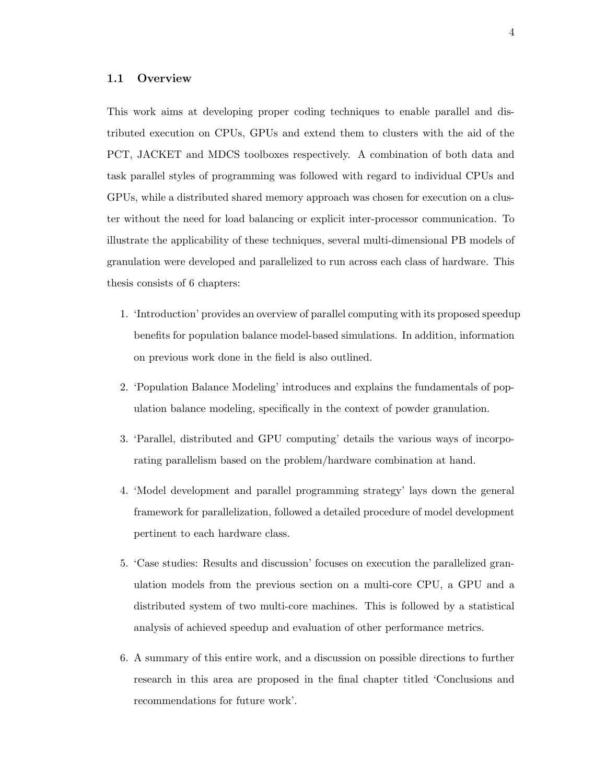#### **1.1 Overview**

This work aims at developing proper coding techniques to enable parallel and distributed execution on CPUs, GPUs and extend them to clusters with the aid of the PCT, JACKET and MDCS toolboxes respectively. A combination of both data and task parallel styles of programming was followed with regard to individual CPUs and GPUs, while a distributed shared memory approach was chosen for execution on a cluster without the need for load balancing or explicit inter-processor communication. To illustrate the applicability of these techniques, several multi-dimensional PB models of granulation were developed and parallelized to run across each class of hardware. This thesis consists of 6 chapters:

- 1. 'Introduction' provides an overview of parallel computing with its proposed speedup benefits for population balance model-based simulations. In addition, information on previous work done in the field is also outlined.
- 2. 'Population Balance Modeling' introduces and explains the fundamentals of population balance modeling, specifically in the context of powder granulation.
- 3. 'Parallel, distributed and GPU computing' details the various ways of incorporating parallelism based on the problem/hardware combination at hand.
- 4. 'Model development and parallel programming strategy' lays down the general framework for parallelization, followed a detailed procedure of model development pertinent to each hardware class.
- 5. 'Case studies: Results and discussion' focuses on execution the parallelized granulation models from the previous section on a multi-core CPU, a GPU and a distributed system of two multi-core machines. This is followed by a statistical analysis of achieved speedup and evaluation of other performance metrics.
- 6. A summary of this entire work, and a discussion on possible directions to further research in this area are proposed in the final chapter titled 'Conclusions and recommendations for future work'.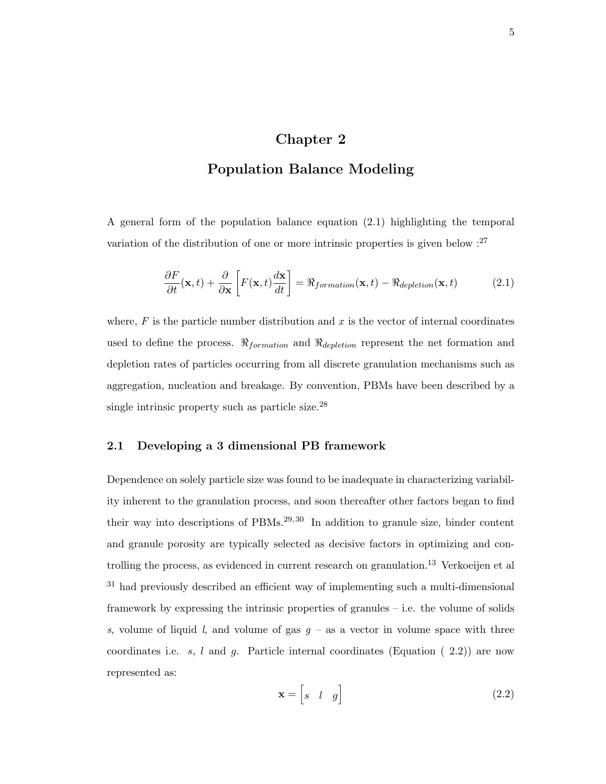## **Chapter 2**

## **Population Balance Modeling**

A general form of the population balance equation (2.1) highlighting the temporal variation of the distribution of one or more intrinsic properties is given below  $:$ <sup>27</sup>

$$
\frac{\partial F}{\partial t}(\mathbf{x},t) + \frac{\partial}{\partial \mathbf{x}} \left[ F(\mathbf{x},t) \frac{d\mathbf{x}}{dt} \right] = \Re_{formation}(\mathbf{x},t) - \Re_{depletion}(\mathbf{x},t)
$$
(2.1)

where,  $F$  is the particle number distribution and  $x$  is the vector of internal coordinates used to define the process.  $\Re$ <sub>*formation* and  $\Re$ <sub>*depletion* represent the net formation and</sub></sub> depletion rates of particles occurring from all discrete granulation mechanisms such as aggregation, nucleation and breakage. By convention, PBMs have been described by a single intrinsic property such as particle size.<sup>28</sup>

#### **2.1 Developing a 3 dimensional PB framework**

Dependence on solely particle size was found to be inadequate in characterizing variability inherent to the granulation process, and soon thereafter other factors began to find their way into descriptions of  $PBMs<sup>29,30</sup>$  In addition to granule size, binder content and granule porosity are typically selected as decisive factors in optimizing and controlling the process, as evidenced in current research on granulation.<sup>13</sup> Verkoeijen et al <sup>31</sup> had previously described an efficient way of implementing such a multi-dimensional framework by expressing the intrinsic properties of granules – i.e. the volume of solids *s*, volume of liquid *l*, and volume of gas  $g -$  as a vector in volume space with three coordinates i.e. *s*, *l* and *g*. Particle internal coordinates (Equation ( 2.2)) are now represented as:

$$
\mathbf{x} = \begin{bmatrix} s & l & g \end{bmatrix} \tag{2.2}
$$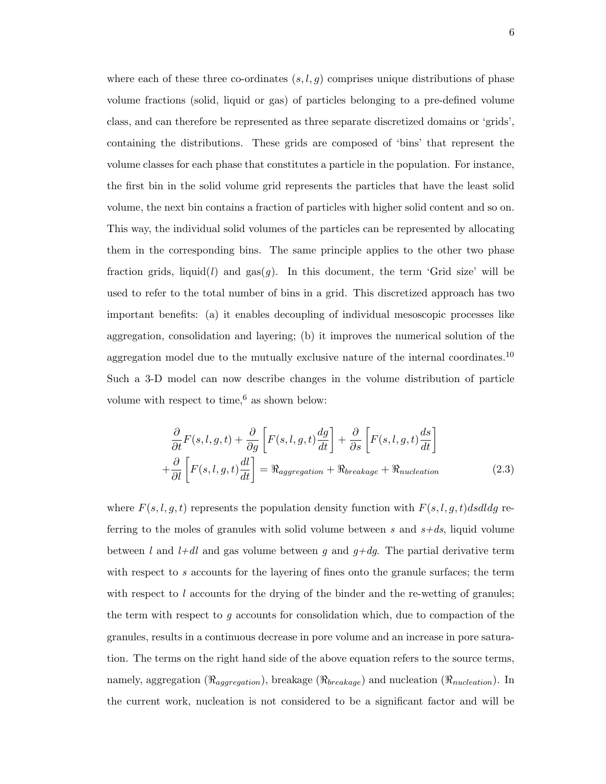where each of these three co-ordinates  $(s, l, g)$  comprises unique distributions of phase volume fractions (solid, liquid or gas) of particles belonging to a pre-defined volume class, and can therefore be represented as three separate discretized domains or 'grids', containing the distributions. These grids are composed of 'bins' that represent the volume classes for each phase that constitutes a particle in the population. For instance, the first bin in the solid volume grid represents the particles that have the least solid volume, the next bin contains a fraction of particles with higher solid content and so on. This way, the individual solid volumes of the particles can be represented by allocating them in the corresponding bins. The same principle applies to the other two phase fraction grids, liquid(*l*) and  $\text{gas}(g)$ . In this document, the term 'Grid size' will be used to refer to the total number of bins in a grid. This discretized approach has two important benefits: (a) it enables decoupling of individual mesoscopic processes like aggregation, consolidation and layering; (b) it improves the numerical solution of the aggregation model due to the mutually exclusive nature of the internal coordinates.<sup>10</sup> Such a 3-D model can now describe changes in the volume distribution of particle volume with respect to time, $6$  as shown below:

$$
\frac{\partial}{\partial t}F(s, l, g, t) + \frac{\partial}{\partial g} \left[ F(s, l, g, t) \frac{dg}{dt} \right] + \frac{\partial}{\partial s} \left[ F(s, l, g, t) \frac{ds}{dt} \right] \n+ \frac{\partial}{\partial l} \left[ F(s, l, g, t) \frac{dl}{dt} \right] = \Re_{aggregation} + \Re_{breakage} + \Re_{nucleation}
$$
\n(2.3)

where  $F(s, l, g, t)$  represents the population density function with  $F(s, l, g, t)$ *dsdldg* referring to the moles of granules with solid volume between *s* and *s+ds*, liquid volume between *l* and *l+dl* and gas volume between *g* and *g+dg*. The partial derivative term with respect to *s* accounts for the layering of fines onto the granule surfaces; the term with respect to *l* accounts for the drying of the binder and the re-wetting of granules; the term with respect to *g* accounts for consolidation which, due to compaction of the granules, results in a continuous decrease in pore volume and an increase in pore saturation. The terms on the right hand side of the above equation refers to the source terms, namely, aggregation (*ℜaggregation*), breakage (*ℜbreakage*) and nucleation (*ℜnucleation*). In the current work, nucleation is not considered to be a significant factor and will be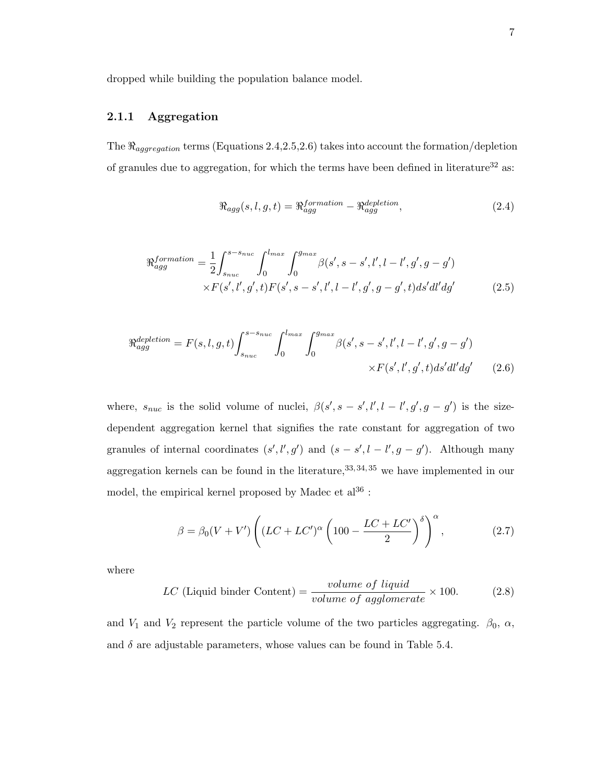dropped while building the population balance model.

## **2.1.1 Aggregation**

The  $\Re_{aggregation}$  terms (Equations 2.4, 2.5, 2.6) takes into account the formation/depletion of granules due to aggregation, for which the terms have been defined in literature $^{32}$  as:

$$
\Re_{agg}(s, l, g, t) = \Re_{agg}^{formation} - \Re_{agg}^{depletion}, \qquad (2.4)
$$

$$
\Re_{agg}^{formation} = \frac{1}{2} \int_{s_{nuc}}^{s - s_{nuc}} \int_{0}^{l_{max}} \int_{0}^{g_{max}} \beta(s', s - s', l', l - l', g', g - g') \times F(s', l', g', t) F(s', s - s', l', l - l', g', g - g', t) ds' dl' dg' \tag{2.5}
$$

$$
\Re_{agg}^{depletion} = F(s, l, g, t) \int_{s_{nuc}}^{s - s_{nuc}} \int_0^{l_{max}} \int_0^{g_{max}} \beta(s', s - s', l', l - l', g', g - g') \times F(s', l', g', t) ds' dl' dg' \tag{2.6}
$$

where,  $s_{nuc}$  is the solid volume of nuclei,  $\beta(s', s - s', l', l - l', g', g - g')$  is the sizedependent aggregation kernel that signifies the rate constant for aggregation of two granules of internal coordinates  $(s', l', g')$  and  $(s - s', l - l', g - g')$ . Although many aggregation kernels can be found in the literature,  $33, 34, 35$  we have implemented in our model, the empirical kernel proposed by Madec et  $al^{36}$ :

$$
\beta = \beta_0 (V + V') \left( (LC + LC')^{\alpha} \left( 100 - \frac{LC + LC'}{2} \right)^{\delta} \right)^{\alpha}, \tag{2.7}
$$

where

$$
LC (Liquid\,binder\,Content) = \frac{volume\ of\ liquid}{volume\ of\ agglomerate} \times 100. \tag{2.8}
$$

and  $V_1$  and  $V_2$  represent the particle volume of the two particles aggregating.  $\beta_0$ ,  $\alpha$ , and  $\delta$  are adjustable parameters, whose values can be found in Table 5.4.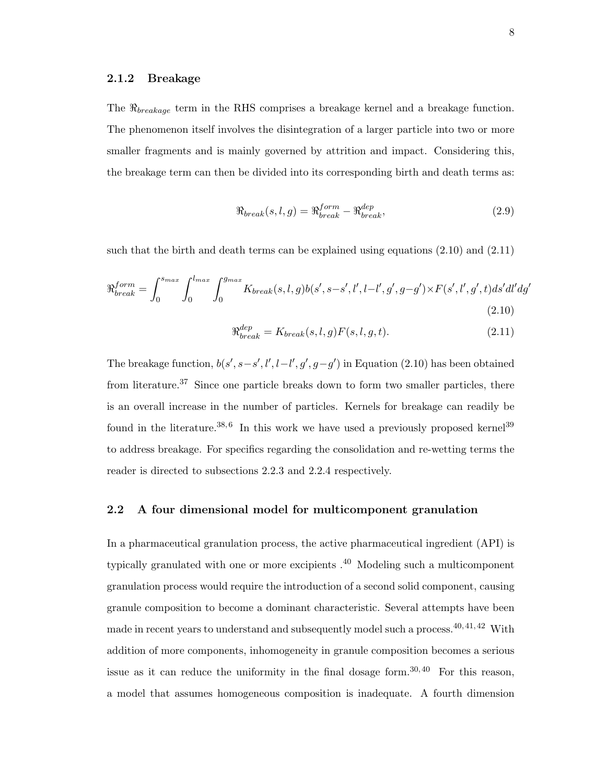#### **2.1.2 Breakage**

The *ℜbreakage* term in the RHS comprises a breakage kernel and a breakage function. The phenomenon itself involves the disintegration of a larger particle into two or more smaller fragments and is mainly governed by attrition and impact. Considering this, the breakage term can then be divided into its corresponding birth and death terms as:

$$
\Re_{break}(s,l,g) = \Re_{break}^{form} - \Re_{break}^{dep},
$$
\n(2.9)

such that the birth and death terms can be explained using equations (2.10) and (2.11)

$$
\Re_{break}^{form} = \int_0^{s_{max}} \int_0^{l_{max}} \int_0^{g_{max}} K_{break}(s, l, g) b(s', s - s', l', l - l', g', g - g') \times F(s', l', g', t) ds' dl' dg'
$$
\n(2.10)

$$
\Re_{break}^{dep} = K_{break}(s, l, g)F(s, l, g, t).
$$
\n(2.11)

The breakage function,  $b(s', s-s', l', l-l', g', g-g')$  in Equation (2.10) has been obtained from literature.<sup>37</sup> Since one particle breaks down to form two smaller particles, there is an overall increase in the number of particles. Kernels for breakage can readily be found in the literature.<sup>38,6</sup> In this work we have used a previously proposed kernel<sup>39</sup> to address breakage. For specifics regarding the consolidation and re-wetting terms the reader is directed to subsections 2.2.3 and 2.2.4 respectively.

#### **2.2 A four dimensional model for multicomponent granulation**

In a pharmaceutical granulation process, the active pharmaceutical ingredient (API) is typically granulated with one or more excipients  $.40$  Modeling such a multicomponent granulation process would require the introduction of a second solid component, causing granule composition to become a dominant characteristic. Several attempts have been made in recent years to understand and subsequently model such a process.<sup>40, 41, 42</sup> With addition of more components, inhomogeneity in granule composition becomes a serious issue as it can reduce the uniformity in the final dosage form.<sup>30, 40</sup> For this reason, a model that assumes homogeneous composition is inadequate. A fourth dimension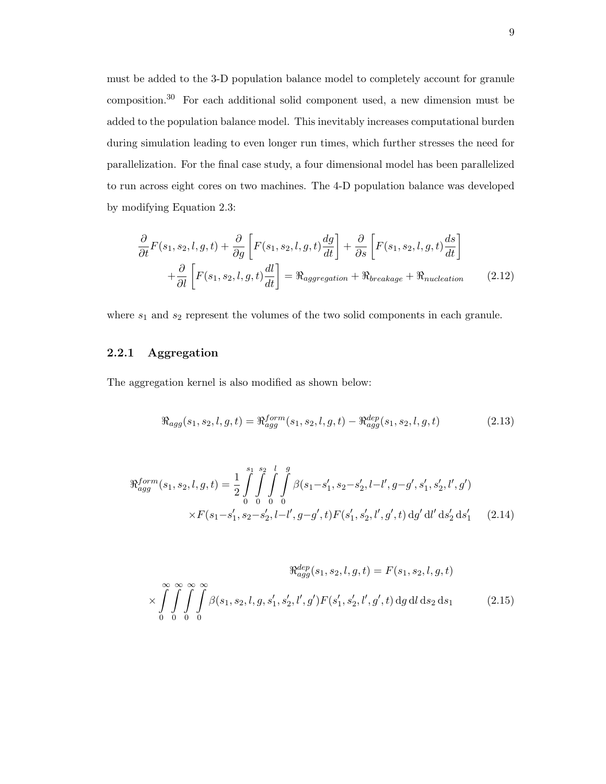must be added to the 3-D population balance model to completely account for granule composition.<sup>30</sup> For each additional solid component used, a new dimension must be added to the population balance model. This inevitably increases computational burden during simulation leading to even longer run times, which further stresses the need for parallelization. For the final case study, a four dimensional model has been parallelized to run across eight cores on two machines. The 4-D population balance was developed by modifying Equation 2.3:

$$
\frac{\partial}{\partial t}F(s_1, s_2, l, g, t) + \frac{\partial}{\partial g} \left[ F(s_1, s_2, l, g, t) \frac{dg}{dt} \right] + \frac{\partial}{\partial s} \left[ F(s_1, s_2, l, g, t) \frac{ds}{dt} \right] \n+ \frac{\partial}{\partial l} \left[ F(s_1, s_2, l, g, t) \frac{dl}{dt} \right] = \Re_{aggregation} + \Re_{breakage} + \Re_{nucleation}
$$
\n(2.12)

where  $s_1$  and  $s_2$  represent the volumes of the two solid components in each granule.

## **2.2.1 Aggregation**

The aggregation kernel is also modified as shown below:

$$
\Re_{agg}(s_1, s_2, l, g, t) = \Re_{agg}^{form}(s_1, s_2, l, g, t) - \Re_{agg}^{dep}(s_1, s_2, l, g, t)
$$
\n(2.13)

$$
\Re_{agg}^{form}(s_1, s_2, l, g, t) = \frac{1}{2} \int_{0}^{s_1} \int_{0}^{s_2} \int_{0}^{l} \int_{0}^{g} \beta(s_1 - s_1', s_2 - s_2', l - l', g - g', s_1', s_2', l', g')
$$

$$
\times F(s_1 - s_1', s_2 - s_2', l - l', g - g', t) F(s_1', s_2', l', g', t) \, dg' \, dl' \, ds_2' \, ds_1' \tag{2.14}
$$

$$
\mathfrak{R}_{agg}^{dep}(s_1, s_2, l, g, t) = F(s_1, s_2, l, g, t)
$$

$$
\times \int_{0}^{\infty} \int_{0}^{\infty} \int_{0}^{\infty} \beta(s_1, s_2, l, g, s'_1, s'_2, l', g') F(s'_1, s'_2, l', g', t) \, dg \, dl \, ds_2 \, ds_1 \tag{2.15}
$$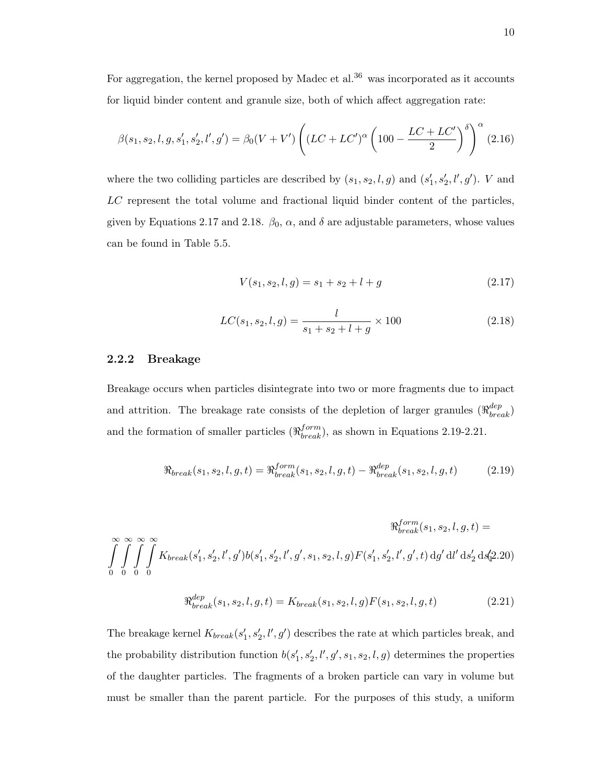For aggregation, the kernel proposed by Madec et al. $36$  was incorporated as it accounts for liquid binder content and granule size, both of which affect aggregation rate:

$$
\beta(s_1, s_2, l, g, s_1', s_2', l', g') = \beta_0 (V + V') \left( (LC + LC')^{\alpha} \left( 100 - \frac{LC + LC'}{2} \right)^{\delta} \right)^{\alpha} (2.16)
$$

where the two colliding particles are described by  $(s_1, s_2, l, g)$  and  $(s'_1, s'_2, l', g')$ . *V* and *LC* represent the total volume and fractional liquid binder content of the particles, given by Equations 2.17 and 2.18.  $\beta_0$ ,  $\alpha$ , and  $\delta$  are adjustable parameters, whose values can be found in Table 5.5.

$$
V(s_1, s_2, l, g) = s_1 + s_2 + l + g \tag{2.17}
$$

$$
LC(s_1, s_2, l, g) = \frac{l}{s_1 + s_2 + l + g} \times 100
$$
\n(2.18)

## **2.2.2 Breakage**

Breakage occurs when particles disintegrate into two or more fragments due to impact and attrition. The breakage rate consists of the depletion of larger granules  $(\Re_{break}^{dep})$ and the formation of smaller particles  $(\Re_{break}^{form})$ , as shown in Equations 2.19-2.21.

$$
\Re_{break}(s_1, s_2, l, g, t) = \Re_{break}^{form}(s_1, s_2, l, g, t) - \Re_{break}^{dep}(s_1, s_2, l, g, t)
$$
\n(2.19)

$$
\mathfrak{R}_{break}^{form}(s_1, s_2, l, g, t) =
$$
  

$$
\int_{0}^{\infty} \int_{0}^{\infty} \int_{0}^{\infty} K_{break}(s'_1, s'_2, l', g') b(s'_1, s'_2, l', g', s_1, s_2, l, g) F(s'_1, s'_2, l', g', t) \, dg' \, dl' \, ds'_2 \, ds'_2(2.20)
$$
  

$$
\mathfrak{R}_{break}^{dep}(s_1, s_2, l, g, t) = K_{break}(s_1, s_2, l, g) F(s_1, s_2, l, g, t) \tag{2.21}
$$

The breakage kernel  $K_{break}(s'_1, s'_2, l', g')$  describes the rate at which particles break, and the probability distribution function  $b(s'_1, s'_2, l', g', s_1, s_2, l, g)$  determines the properties of the daughter particles. The fragments of a broken particle can vary in volume but must be smaller than the parent particle. For the purposes of this study, a uniform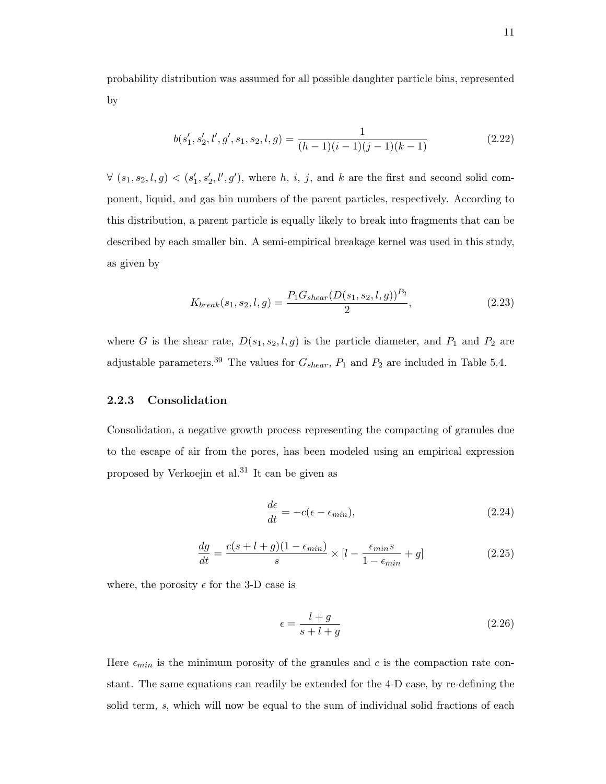probability distribution was assumed for all possible daughter particle bins, represented by

$$
b(s'_1, s'_2, l', g', s_1, s_2, l, g) = \frac{1}{(h-1)(i-1)(j-1)(k-1)}
$$
\n(2.22)

 $\forall$   $(s_1, s_2, l, g) < (s'_1, s'_2, l', g')$ , where *h*, *i*, *j*, and *k* are the first and second solid component, liquid, and gas bin numbers of the parent particles, respectively. According to this distribution, a parent particle is equally likely to break into fragments that can be described by each smaller bin. A semi-empirical breakage kernel was used in this study, as given by

$$
K_{break}(s_1, s_2, l, g) = \frac{P_1 G_{shear}(D(s_1, s_2, l, g))^{P_2}}{2},
$$
\n(2.23)

where *G* is the shear rate,  $D(s_1, s_2, l, g)$  is the particle diameter, and  $P_1$  and  $P_2$  are adjustable parameters.<sup>39</sup> The values for  $G_{shear}$ ,  $P_1$  and  $P_2$  are included in Table 5.4.

#### **2.2.3 Consolidation**

Consolidation, a negative growth process representing the compacting of granules due to the escape of air from the pores, has been modeled using an empirical expression proposed by Verkoejin et al.<sup>31</sup> It can be given as

$$
\frac{d\epsilon}{dt} = -c(\epsilon - \epsilon_{min}),\tag{2.24}
$$

$$
\frac{dg}{dt} = \frac{c(s+l+g)(1-\epsilon_{min})}{s} \times [l - \frac{\epsilon_{min}s}{1-\epsilon_{min}} + g] \tag{2.25}
$$

where, the porosity  $\epsilon$  for the 3-D case is

$$
\epsilon = \frac{l+g}{s+l+g} \tag{2.26}
$$

Here  $\epsilon_{min}$  is the minimum porosity of the granules and  $c$  is the compaction rate constant. The same equations can readily be extended for the 4-D case, by re-defining the solid term, *s*, which will now be equal to the sum of individual solid fractions of each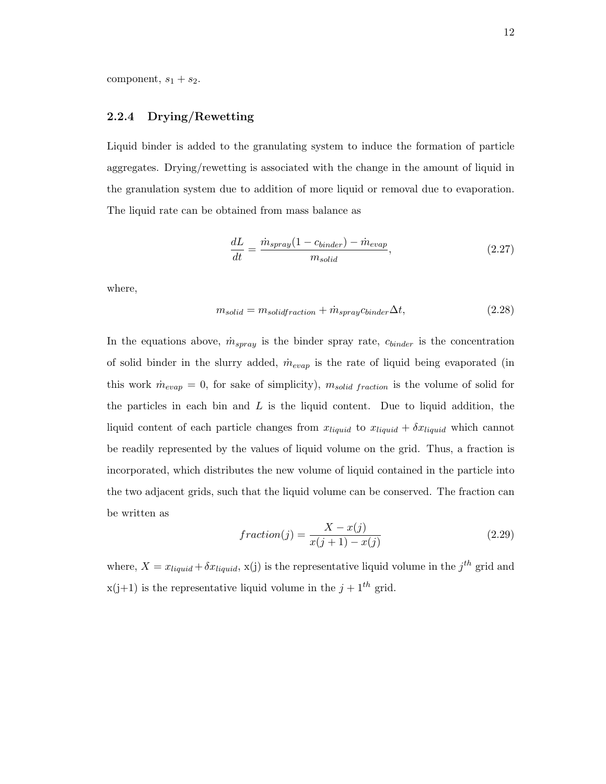## **2.2.4 Drying/Rewetting**

Liquid binder is added to the granulating system to induce the formation of particle aggregates. Drying/rewetting is associated with the change in the amount of liquid in the granulation system due to addition of more liquid or removal due to evaporation. The liquid rate can be obtained from mass balance as

$$
\frac{dL}{dt} = \frac{\dot{m}_{spray}(1 - c_{binder}) - \dot{m}_{evap}}{m_{solid}},\tag{2.27}
$$

where,

$$
m_{solid} = m_{solid fraction} + \dot{m}_{spray} \dot{c}_{binder} \Delta t, \qquad (2.28)
$$

In the equations above,  $\dot{m}_{spray}$  is the binder spray rate,  $c_{binder}$  is the concentration of solid binder in the slurry added,  $\dot{m}_{evap}$  is the rate of liquid being evaporated (in this work  $\dot{m}_{evap} = 0$ , for sake of simplicity),  $m_{solid\ fraction}$  is the volume of solid for the particles in each bin and *L* is the liquid content. Due to liquid addition, the liquid content of each particle changes from  $x_{liquid}$  to  $x_{liquid} + \delta x_{liquid}$  which cannot be readily represented by the values of liquid volume on the grid. Thus, a fraction is incorporated, which distributes the new volume of liquid contained in the particle into the two adjacent grids, such that the liquid volume can be conserved. The fraction can be written as

$$
fraction(j) = \frac{X - x(j)}{x(j+1) - x(j)}\tag{2.29}
$$

where,  $X = x_{liquid} + \delta x_{liquid}$ , x(j) is the representative liquid volume in the  $j^{th}$  grid and  $x(j+1)$  is the representative liquid volume in the  $j+1<sup>th</sup>$  grid.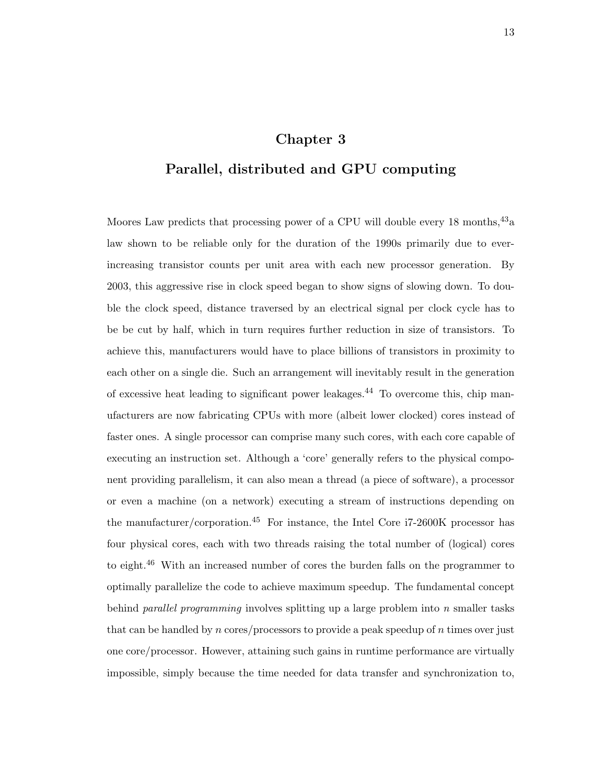## **Chapter 3**

## **Parallel, distributed and GPU computing**

Moores Law predicts that processing power of a CPU will double every 18 months,  $43a$ law shown to be reliable only for the duration of the 1990s primarily due to everincreasing transistor counts per unit area with each new processor generation. By 2003, this aggressive rise in clock speed began to show signs of slowing down. To double the clock speed, distance traversed by an electrical signal per clock cycle has to be be cut by half, which in turn requires further reduction in size of transistors. To achieve this, manufacturers would have to place billions of transistors in proximity to each other on a single die. Such an arrangement will inevitably result in the generation of excessive heat leading to significant power leakages.<sup>44</sup> To overcome this, chip manufacturers are now fabricating CPUs with more (albeit lower clocked) cores instead of faster ones. A single processor can comprise many such cores, with each core capable of executing an instruction set. Although a 'core' generally refers to the physical component providing parallelism, it can also mean a thread (a piece of software), a processor or even a machine (on a network) executing a stream of instructions depending on the manufacturer/corporation.<sup>45</sup> For instance, the Intel Core i7-2600K processor has four physical cores, each with two threads raising the total number of (logical) cores to eight.<sup>46</sup> With an increased number of cores the burden falls on the programmer to optimally parallelize the code to achieve maximum speedup. The fundamental concept behind *parallel programming* involves splitting up a large problem into *n* smaller tasks that can be handled by *n* cores/processors to provide a peak speedup of *n* times over just one core/processor. However, attaining such gains in runtime performance are virtually impossible, simply because the time needed for data transfer and synchronization to,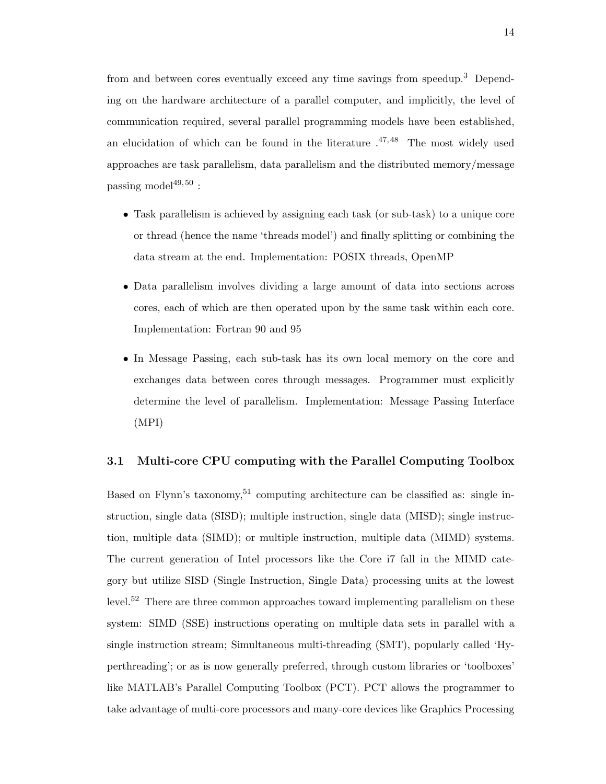from and between cores eventually exceed any time savings from speedup.<sup>3</sup> Depending on the hardware architecture of a parallel computer, and implicitly, the level of communication required, several parallel programming models have been established, an elucidation of which can be found in the literature  $.47,48$  The most widely used approaches are task parallelism, data parallelism and the distributed memory/message passing model $49,50$ :

- *•* Task parallelism is achieved by assigning each task (or sub-task) to a unique core or thread (hence the name 'threads model') and finally splitting or combining the data stream at the end. Implementation: POSIX threads, OpenMP
- *•* Data parallelism involves dividing a large amount of data into sections across cores, each of which are then operated upon by the same task within each core. Implementation: Fortran 90 and 95
- *•* In Message Passing, each sub-task has its own local memory on the core and exchanges data between cores through messages. Programmer must explicitly determine the level of parallelism. Implementation: Message Passing Interface (MPI)

#### **3.1 Multi-core CPU computing with the Parallel Computing Toolbox**

Based on Flynn's taxonomy,<sup>51</sup> computing architecture can be classified as: single instruction, single data (SISD); multiple instruction, single data (MISD); single instruction, multiple data (SIMD); or multiple instruction, multiple data (MIMD) systems. The current generation of Intel processors like the Core i7 fall in the MIMD category but utilize SISD (Single Instruction, Single Data) processing units at the lowest level.<sup>52</sup> There are three common approaches toward implementing parallelism on these system: SIMD (SSE) instructions operating on multiple data sets in parallel with a single instruction stream; Simultaneous multi-threading (SMT), popularly called 'Hyperthreading'; or as is now generally preferred, through custom libraries or 'toolboxes' like MATLAB's Parallel Computing Toolbox (PCT). PCT allows the programmer to take advantage of multi-core processors and many-core devices like Graphics Processing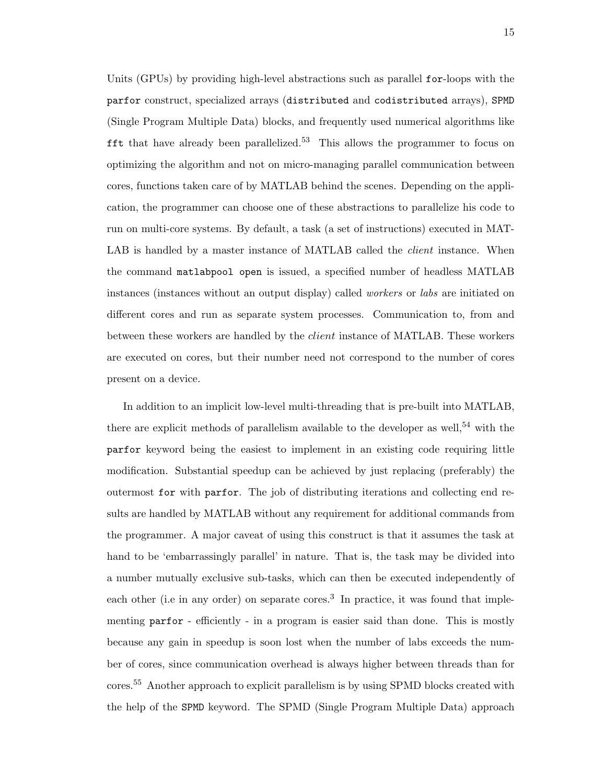Units (GPUs) by providing high-level abstractions such as parallel for-loops with the parfor construct, specialized arrays (distributed and codistributed arrays), SPMD (Single Program Multiple Data) blocks, and frequently used numerical algorithms like **fft** that have already been parallelized.<sup>53</sup> This allows the programmer to focus on optimizing the algorithm and not on micro-managing parallel communication between cores, functions taken care of by MATLAB behind the scenes. Depending on the application, the programmer can choose one of these abstractions to parallelize his code to run on multi-core systems. By default, a task (a set of instructions) executed in MAT-LAB is handled by a master instance of MATLAB called the *client* instance. When the command matlabpool open is issued, a specified number of headless MATLAB instances (instances without an output display) called *workers* or *labs* are initiated on different cores and run as separate system processes. Communication to, from and between these workers are handled by the *client* instance of MATLAB. These workers are executed on cores, but their number need not correspond to the number of cores present on a device.

In addition to an implicit low-level multi-threading that is pre-built into MATLAB, there are explicit methods of parallelism available to the developer as well,<sup>54</sup> with the parfor keyword being the easiest to implement in an existing code requiring little modification. Substantial speedup can be achieved by just replacing (preferably) the outermost for with parfor. The job of distributing iterations and collecting end results are handled by MATLAB without any requirement for additional commands from the programmer. A major caveat of using this construct is that it assumes the task at hand to be 'embarrassingly parallel' in nature. That is, the task may be divided into a number mutually exclusive sub-tasks, which can then be executed independently of each other (i.e in any order) on separate cores.<sup>3</sup> In practice, it was found that implementing parfor - efficiently - in a program is easier said than done. This is mostly because any gain in speedup is soon lost when the number of labs exceeds the number of cores, since communication overhead is always higher between threads than for cores.<sup>55</sup> Another approach to explicit parallelism is by using SPMD blocks created with the help of the SPMD keyword. The SPMD (Single Program Multiple Data) approach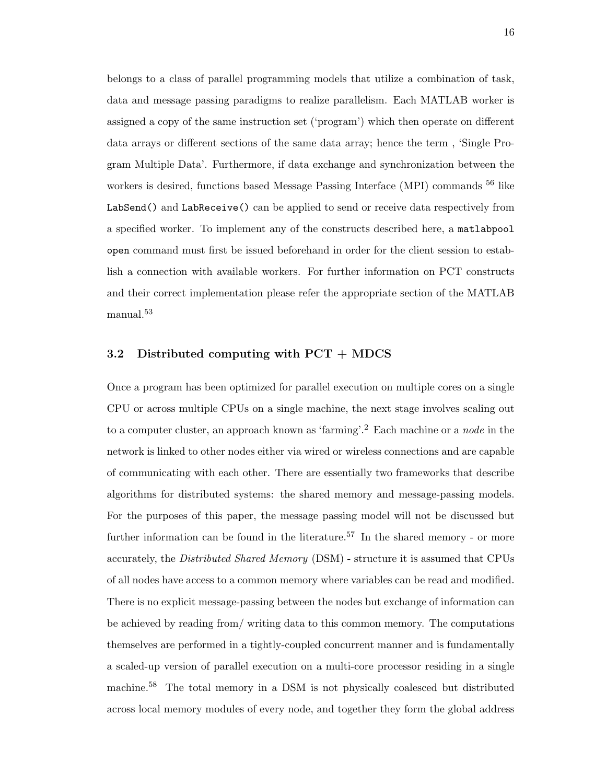belongs to a class of parallel programming models that utilize a combination of task, data and message passing paradigms to realize parallelism. Each MATLAB worker is assigned a copy of the same instruction set ('program') which then operate on different data arrays or different sections of the same data array; hence the term , 'Single Program Multiple Data'. Furthermore, if data exchange and synchronization between the workers is desired, functions based Message Passing Interface (MPI) commands <sup>56</sup> like LabSend() and LabReceive() can be applied to send or receive data respectively from a specified worker. To implement any of the constructs described here, a matlabpool open command must first be issued beforehand in order for the client session to establish a connection with available workers. For further information on PCT constructs and their correct implementation please refer the appropriate section of the MATLAB manual.<sup>53</sup>

## **3.2 Distributed computing with PCT + MDCS**

Once a program has been optimized for parallel execution on multiple cores on a single CPU or across multiple CPUs on a single machine, the next stage involves scaling out to a computer cluster, an approach known as 'farming'.<sup>2</sup> Each machine or a *node* in the network is linked to other nodes either via wired or wireless connections and are capable of communicating with each other. There are essentially two frameworks that describe algorithms for distributed systems: the shared memory and message-passing models. For the purposes of this paper, the message passing model will not be discussed but further information can be found in the literature.<sup>57</sup> In the shared memory - or more accurately, the *Distributed Shared Memory* (DSM) - structure it is assumed that CPUs of all nodes have access to a common memory where variables can be read and modified. There is no explicit message-passing between the nodes but exchange of information can be achieved by reading from/ writing data to this common memory. The computations themselves are performed in a tightly-coupled concurrent manner and is fundamentally a scaled-up version of parallel execution on a multi-core processor residing in a single machine.<sup>58</sup> The total memory in a DSM is not physically coalesced but distributed across local memory modules of every node, and together they form the global address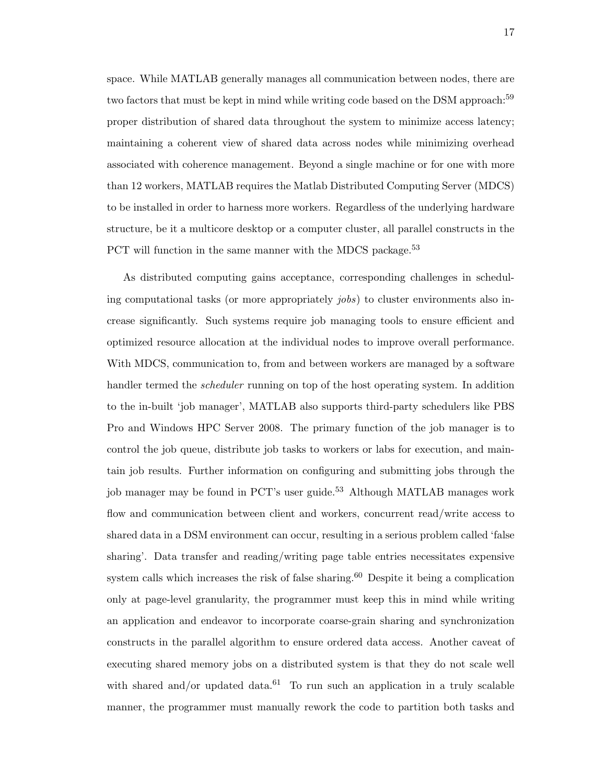space. While MATLAB generally manages all communication between nodes, there are two factors that must be kept in mind while writing code based on the DSM approach:<sup>59</sup> proper distribution of shared data throughout the system to minimize access latency; maintaining a coherent view of shared data across nodes while minimizing overhead associated with coherence management. Beyond a single machine or for one with more than 12 workers, MATLAB requires the Matlab Distributed Computing Server (MDCS) to be installed in order to harness more workers. Regardless of the underlying hardware structure, be it a multicore desktop or a computer cluster, all parallel constructs in the PCT will function in the same manner with the MDCS package.<sup>53</sup>

As distributed computing gains acceptance, corresponding challenges in scheduling computational tasks (or more appropriately *jobs*) to cluster environments also increase significantly. Such systems require job managing tools to ensure efficient and optimized resource allocation at the individual nodes to improve overall performance. With MDCS, communication to, from and between workers are managed by a software handler termed the *scheduler* running on top of the host operating system. In addition to the in-built 'job manager', MATLAB also supports third-party schedulers like PBS Pro and Windows HPC Server 2008. The primary function of the job manager is to control the job queue, distribute job tasks to workers or labs for execution, and maintain job results. Further information on configuring and submitting jobs through the job manager may be found in PCT's user guide.<sup>53</sup> Although MATLAB manages work flow and communication between client and workers, concurrent read/write access to shared data in a DSM environment can occur, resulting in a serious problem called 'false sharing'. Data transfer and reading/writing page table entries necessitates expensive system calls which increases the risk of false sharing.<sup>60</sup> Despite it being a complication only at page-level granularity, the programmer must keep this in mind while writing an application and endeavor to incorporate coarse-grain sharing and synchronization constructs in the parallel algorithm to ensure ordered data access. Another caveat of executing shared memory jobs on a distributed system is that they do not scale well with shared and/or updated data.<sup>61</sup> To run such an application in a truly scalable manner, the programmer must manually rework the code to partition both tasks and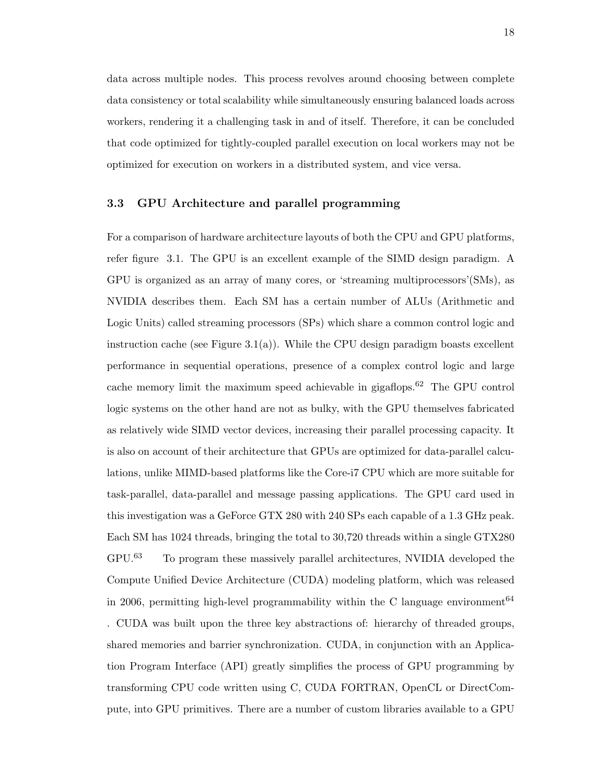data across multiple nodes. This process revolves around choosing between complete data consistency or total scalability while simultaneously ensuring balanced loads across workers, rendering it a challenging task in and of itself. Therefore, it can be concluded that code optimized for tightly-coupled parallel execution on local workers may not be optimized for execution on workers in a distributed system, and vice versa.

#### **3.3 GPU Architecture and parallel programming**

For a comparison of hardware architecture layouts of both the CPU and GPU platforms, refer figure 3.1. The GPU is an excellent example of the SIMD design paradigm. A GPU is organized as an array of many cores, or 'streaming multiprocessors'(SMs), as NVIDIA describes them. Each SM has a certain number of ALUs (Arithmetic and Logic Units) called streaming processors (SPs) which share a common control logic and instruction cache (see Figure 3.1(a)). While the CPU design paradigm boasts excellent performance in sequential operations, presence of a complex control logic and large cache memory limit the maximum speed achievable in gigaflops.<sup>62</sup> The GPU control logic systems on the other hand are not as bulky, with the GPU themselves fabricated as relatively wide SIMD vector devices, increasing their parallel processing capacity. It is also on account of their architecture that GPUs are optimized for data-parallel calculations, unlike MIMD-based platforms like the Core-i7 CPU which are more suitable for task-parallel, data-parallel and message passing applications. The GPU card used in this investigation was a GeForce GTX 280 with 240 SPs each capable of a 1.3 GHz peak. Each SM has 1024 threads, bringing the total to 30,720 threads within a single GTX280 GPU.<sup>63</sup> To program these massively parallel architectures, NVIDIA developed the Compute Unified Device Architecture (CUDA) modeling platform, which was released in 2006, permitting high-level programmability within the C language environment<sup>64</sup> . CUDA was built upon the three key abstractions of: hierarchy of threaded groups, shared memories and barrier synchronization. CUDA, in conjunction with an Application Program Interface (API) greatly simplifies the process of GPU programming by transforming CPU code written using C, CUDA FORTRAN, OpenCL or DirectCompute, into GPU primitives. There are a number of custom libraries available to a GPU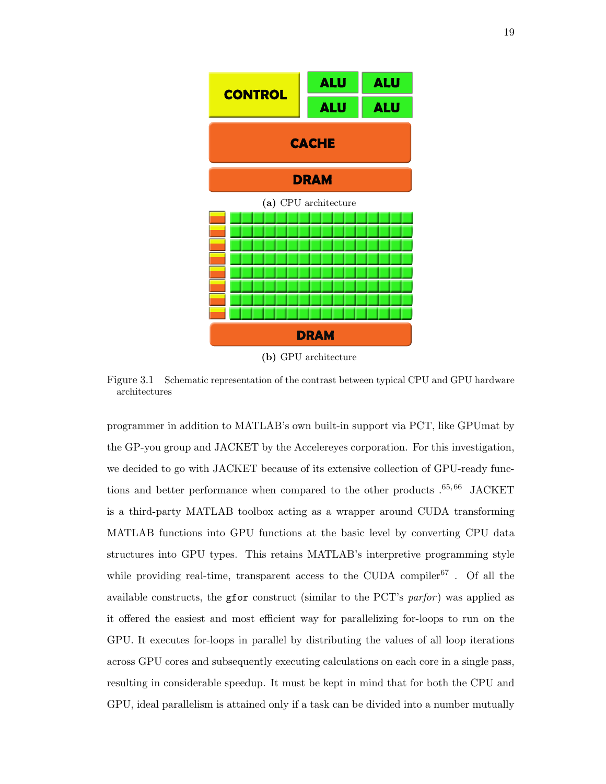

Figure 3.1 Schematic representation of the contrast between typical CPU and GPU hardware architectures

programmer in addition to MATLAB's own built-in support via PCT, like GPUmat by the GP-you group and JACKET by the Accelereyes corporation. For this investigation, we decided to go with JACKET because of its extensive collection of GPU-ready functions and better performance when compared to the other products  $.65, 66$  JACKET is a third-party MATLAB toolbox acting as a wrapper around CUDA transforming MATLAB functions into GPU functions at the basic level by converting CPU data structures into GPU types. This retains MATLAB's interpretive programming style while providing real-time, transparent access to the CUDA compiler  $67$ . Of all the available constructs, the gfor construct (similar to the PCT's *parfor* ) was applied as it offered the easiest and most efficient way for parallelizing for-loops to run on the GPU. It executes for-loops in parallel by distributing the values of all loop iterations across GPU cores and subsequently executing calculations on each core in a single pass, resulting in considerable speedup. It must be kept in mind that for both the CPU and GPU, ideal parallelism is attained only if a task can be divided into a number mutually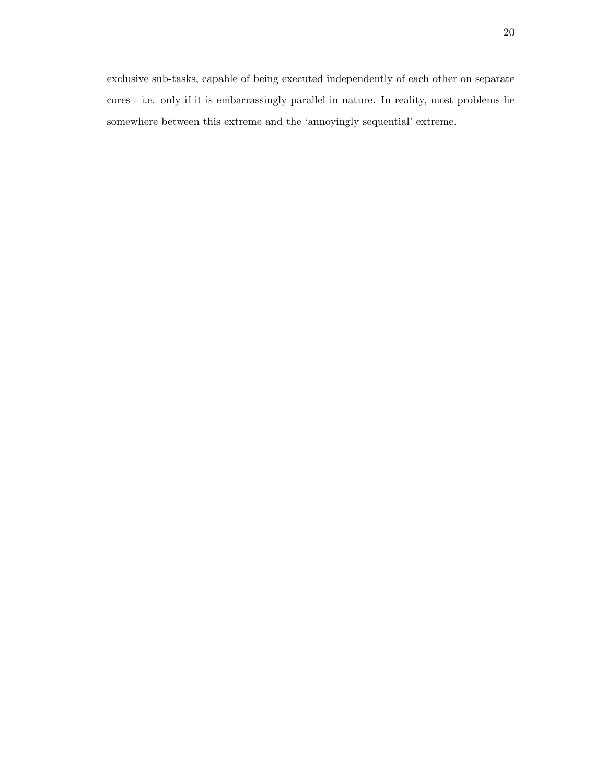exclusive sub-tasks, capable of being executed independently of each other on separate cores - i.e. only if it is embarrassingly parallel in nature. In reality, most problems lie somewhere between this extreme and the 'annoyingly sequential' extreme.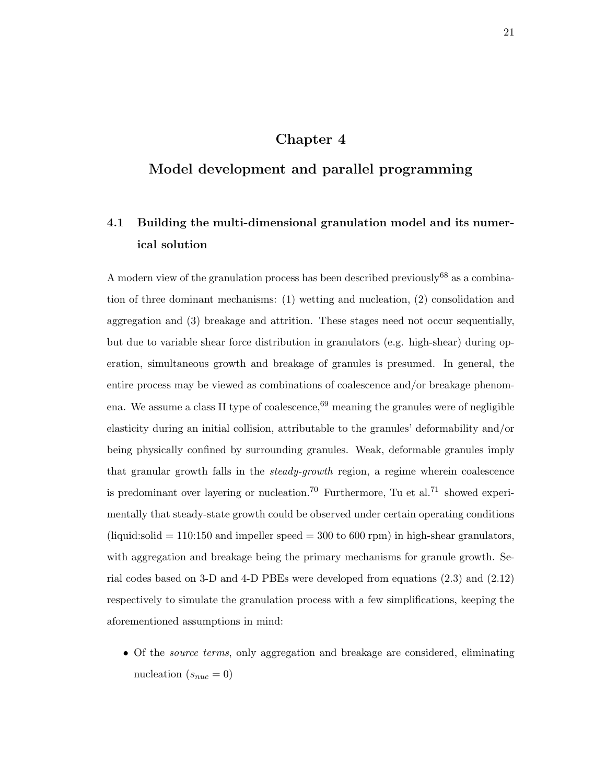## **Chapter 4**

## **Model development and parallel programming**

# **4.1 Building the multi-dimensional granulation model and its numerical solution**

A modern view of the granulation process has been described previously<sup>68</sup> as a combination of three dominant mechanisms: (1) wetting and nucleation, (2) consolidation and aggregation and (3) breakage and attrition. These stages need not occur sequentially, but due to variable shear force distribution in granulators (e.g. high-shear) during operation, simultaneous growth and breakage of granules is presumed. In general, the entire process may be viewed as combinations of coalescence and/or breakage phenomena. We assume a class II type of coalescence,  $69$  meaning the granules were of negligible elasticity during an initial collision, attributable to the granules' deformability and/or being physically confined by surrounding granules. Weak, deformable granules imply that granular growth falls in the *steady-growth* region, a regime wherein coalescence is predominant over layering or nucleation.<sup>70</sup> Furthermore, Tu et al.<sup>71</sup> showed experimentally that steady-state growth could be observed under certain operating conditions  $(i$ iquid:solid = 110:150 and impeller speed = 300 to 600 rpm) in high-shear granulators, with aggregation and breakage being the primary mechanisms for granule growth. Serial codes based on 3-D and 4-D PBEs were developed from equations (2.3) and (2.12) respectively to simulate the granulation process with a few simplifications, keeping the aforementioned assumptions in mind:

*•* Of the *source terms*, only aggregation and breakage are considered, eliminating nucleation  $(s_{nuc} = 0)$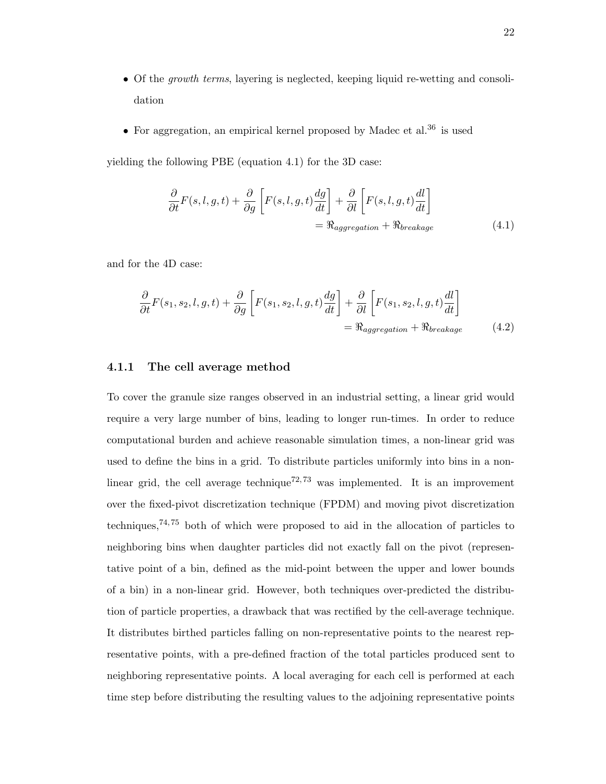- Of the *growth terms*, layering is neglected, keeping liquid re-wetting and consolidation
- For aggregation, an empirical kernel proposed by Madec et al.<sup>36</sup> is used

yielding the following PBE (equation 4.1) for the 3D case:

$$
\frac{\partial}{\partial t}F(s,l,g,t) + \frac{\partial}{\partial g} \left[ F(s,l,g,t) \frac{dg}{dt} \right] + \frac{\partial}{\partial l} \left[ F(s,l,g,t) \frac{dl}{dt} \right]
$$
\n
$$
= \Re_{aggregation} + \Re_{breaking} \tag{4.1}
$$

and for the 4D case:

$$
\frac{\partial}{\partial t}F(s_1, s_2, l, g, t) + \frac{\partial}{\partial g} \left[ F(s_1, s_2, l, g, t) \frac{dg}{dt} \right] + \frac{\partial}{\partial l} \left[ F(s_1, s_2, l, g, t) \frac{dl}{dt} \right]
$$
\n
$$
= \Re_{aggregation} + \Re_{breaking} \tag{4.2}
$$

### **4.1.1 The cell average method**

To cover the granule size ranges observed in an industrial setting, a linear grid would require a very large number of bins, leading to longer run-times. In order to reduce computational burden and achieve reasonable simulation times, a non-linear grid was used to define the bins in a grid. To distribute particles uniformly into bins in a nonlinear grid, the cell average technique<sup>72, 73</sup> was implemented. It is an improvement over the fixed-pivot discretization technique (FPDM) and moving pivot discretization techniques,<sup> $74,75$ </sup> both of which were proposed to aid in the allocation of particles to neighboring bins when daughter particles did not exactly fall on the pivot (representative point of a bin, defined as the mid-point between the upper and lower bounds of a bin) in a non-linear grid. However, both techniques over-predicted the distribution of particle properties, a drawback that was rectified by the cell-average technique. It distributes birthed particles falling on non-representative points to the nearest representative points, with a pre-defined fraction of the total particles produced sent to neighboring representative points. A local averaging for each cell is performed at each time step before distributing the resulting values to the adjoining representative points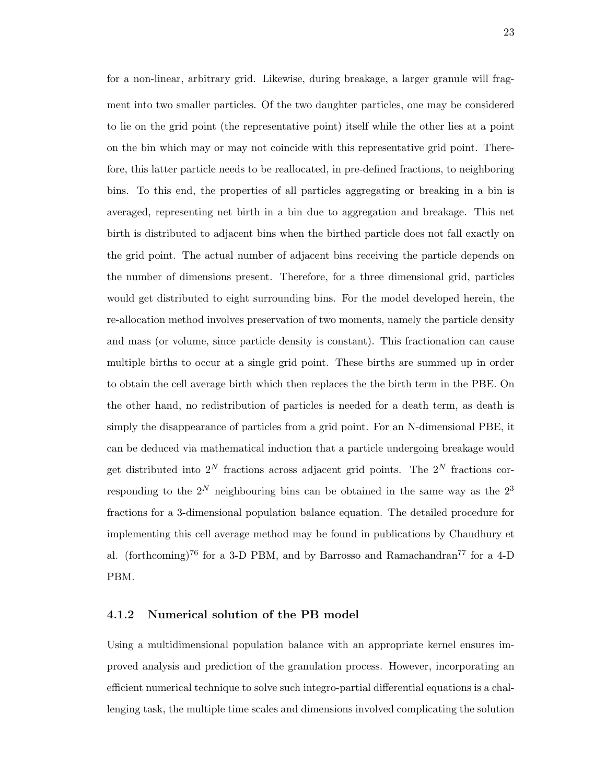for a non-linear, arbitrary grid. Likewise, during breakage, a larger granule will fragment into two smaller particles. Of the two daughter particles, one may be considered to lie on the grid point (the representative point) itself while the other lies at a point on the bin which may or may not coincide with this representative grid point. Therefore, this latter particle needs to be reallocated, in pre-defined fractions, to neighboring bins. To this end, the properties of all particles aggregating or breaking in a bin is averaged, representing net birth in a bin due to aggregation and breakage. This net birth is distributed to adjacent bins when the birthed particle does not fall exactly on the grid point. The actual number of adjacent bins receiving the particle depends on the number of dimensions present. Therefore, for a three dimensional grid, particles would get distributed to eight surrounding bins. For the model developed herein, the re-allocation method involves preservation of two moments, namely the particle density and mass (or volume, since particle density is constant). This fractionation can cause multiple births to occur at a single grid point. These births are summed up in order to obtain the cell average birth which then replaces the the birth term in the PBE. On the other hand, no redistribution of particles is needed for a death term, as death is simply the disappearance of particles from a grid point. For an N-dimensional PBE, it can be deduced via mathematical induction that a particle undergoing breakage would get distributed into  $2^N$  fractions across adjacent grid points. The  $2^N$  fractions corresponding to the  $2^N$  neighbouring bins can be obtained in the same way as the  $2^3$ fractions for a 3-dimensional population balance equation. The detailed procedure for implementing this cell average method may be found in publications by Chaudhury et al. (forthcoming)<sup>76</sup> for a 3-D PBM, and by Barrosso and Ramachandran<sup>77</sup> for a 4-D PBM.

#### **4.1.2 Numerical solution of the PB model**

Using a multidimensional population balance with an appropriate kernel ensures improved analysis and prediction of the granulation process. However, incorporating an efficient numerical technique to solve such integro-partial differential equations is a challenging task, the multiple time scales and dimensions involved complicating the solution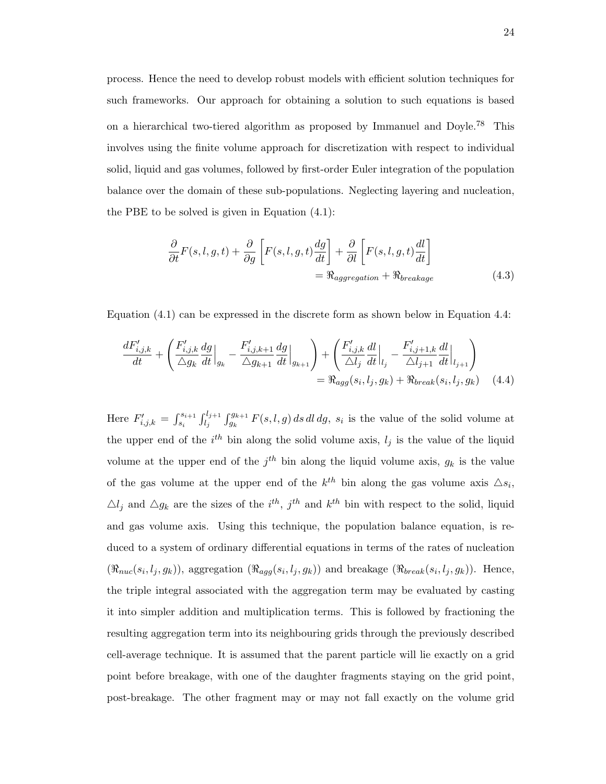process. Hence the need to develop robust models with efficient solution techniques for such frameworks. Our approach for obtaining a solution to such equations is based on a hierarchical two-tiered algorithm as proposed by Immanuel and Doyle.<sup>78</sup> This involves using the finite volume approach for discretization with respect to individual solid, liquid and gas volumes, followed by first-order Euler integration of the population balance over the domain of these sub-populations. Neglecting layering and nucleation, the PBE to be solved is given in Equation (4.1):

$$
\frac{\partial}{\partial t}F(s,l,g,t) + \frac{\partial}{\partial g} \left[ F(s,l,g,t) \frac{dg}{dt} \right] + \frac{\partial}{\partial l} \left[ F(s,l,g,t) \frac{dl}{dt} \right]
$$
\n
$$
= \Re_{aggregation} + \Re_{breaking} \tag{4.3}
$$

Equation (4.1) can be expressed in the discrete form as shown below in Equation 4.4:

$$
\frac{dF'_{i,j,k}}{dt} + \left(\frac{F'_{i,j,k}}{\Delta g_k} \frac{dg}{dt}\Big|_{g_k} - \frac{F'_{i,j,k+1}}{\Delta g_{k+1}} \frac{dg}{dt}\Big|_{g_{k+1}}\right) + \left(\frac{F'_{i,j,k}}{\Delta l_j} \frac{dl}{dt}\Big|_{l_j} - \frac{F'_{i,j+1,k}}{\Delta l_{j+1}} \frac{dl}{dt}\Big|_{l_{j+1}}\right) \n= \Re_{agg}(s_i, l_j, g_k) + \Re_{break}(s_i, l_j, g_k)
$$
\n(4.4)

Here  $F'_{i,j,k} = \int_{s_i}^{s_{i+1}} \int_{l_j}^{l_{j+1}} \int_{g_k}^{g_{k+1}} F(s,l,g) ds dl dg$ ,  $s_i$  is the value of the solid volume at the upper end of the  $i^{th}$  bin along the solid volume axis,  $l_j$  is the value of the liquid volume at the upper end of the  $j<sup>th</sup>$  bin along the liquid volume axis,  $g_k$  is the value of the gas volume at the upper end of the  $k^{th}$  bin along the gas volume axis  $\Delta s_i$ ,  $\Delta l_j$  and  $\Delta g_k$  are the sizes of the *i*<sup>th</sup>, *j*<sup>th</sup> and *k*<sup>th</sup> bin with respect to the solid, liquid and gas volume axis. Using this technique, the population balance equation, is reduced to a system of ordinary differential equations in terms of the rates of nucleation  $(\Re_{nuc}(s_i, l_j, g_k))$ , aggregation  $(\Re_{agg}(s_i, l_j, g_k))$  and breakage  $(\Re_{break}(s_i, l_j, g_k))$ . Hence, the triple integral associated with the aggregation term may be evaluated by casting it into simpler addition and multiplication terms. This is followed by fractioning the resulting aggregation term into its neighbouring grids through the previously described cell-average technique. It is assumed that the parent particle will lie exactly on a grid point before breakage, with one of the daughter fragments staying on the grid point, post-breakage. The other fragment may or may not fall exactly on the volume grid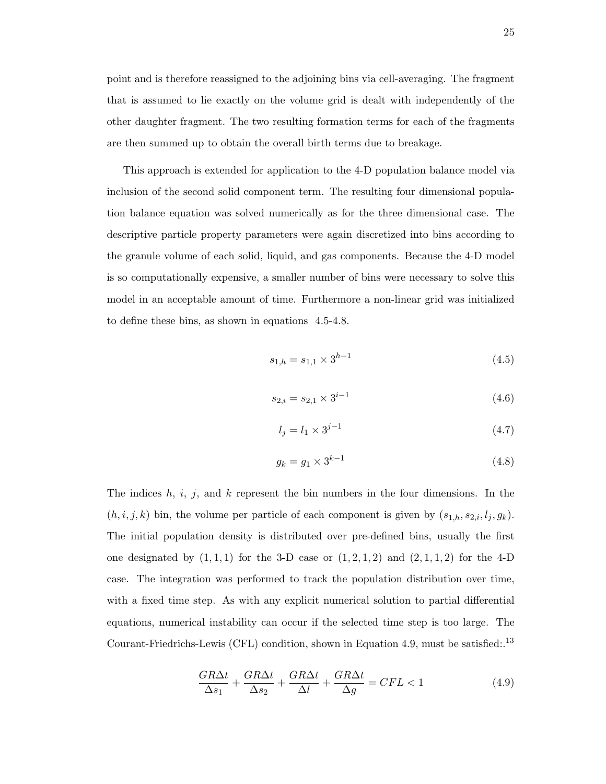point and is therefore reassigned to the adjoining bins via cell-averaging. The fragment that is assumed to lie exactly on the volume grid is dealt with independently of the other daughter fragment. The two resulting formation terms for each of the fragments are then summed up to obtain the overall birth terms due to breakage.

This approach is extended for application to the 4-D population balance model via inclusion of the second solid component term. The resulting four dimensional population balance equation was solved numerically as for the three dimensional case. The descriptive particle property parameters were again discretized into bins according to the granule volume of each solid, liquid, and gas components. Because the 4-D model is so computationally expensive, a smaller number of bins were necessary to solve this model in an acceptable amount of time. Furthermore a non-linear grid was initialized to define these bins, as shown in equations 4.5-4.8.

$$
s_{1,h} = s_{1,1} \times 3^{h-1} \tag{4.5}
$$

$$
s_{2,i} = s_{2,1} \times 3^{i-1} \tag{4.6}
$$

$$
l_j = l_1 \times 3^{j-1} \tag{4.7}
$$

$$
g_k = g_1 \times 3^{k-1} \tag{4.8}
$$

The indices *h*, *i*, *j*, and *k* represent the bin numbers in the four dimensions. In the  $(h, i, j, k)$  bin, the volume per particle of each component is given by  $(s_{1,h}, s_{2,i}, l_j, g_k)$ . The initial population density is distributed over pre-defined bins, usually the first one designated by  $(1,1,1)$  for the 3-D case or  $(1,2,1,2)$  and  $(2,1,1,2)$  for the 4-D case. The integration was performed to track the population distribution over time, with a fixed time step. As with any explicit numerical solution to partial differential equations, numerical instability can occur if the selected time step is too large. The Courant-Friedrichs-Lewis (CFL) condition, shown in Equation 4.9, must be satisfied:.<sup>13</sup>

$$
\frac{GR\Delta t}{\Delta s_1} + \frac{GR\Delta t}{\Delta s_2} + \frac{GR\Delta t}{\Delta l} + \frac{GR\Delta t}{\Delta g} = CFL < 1
$$
\n(4.9)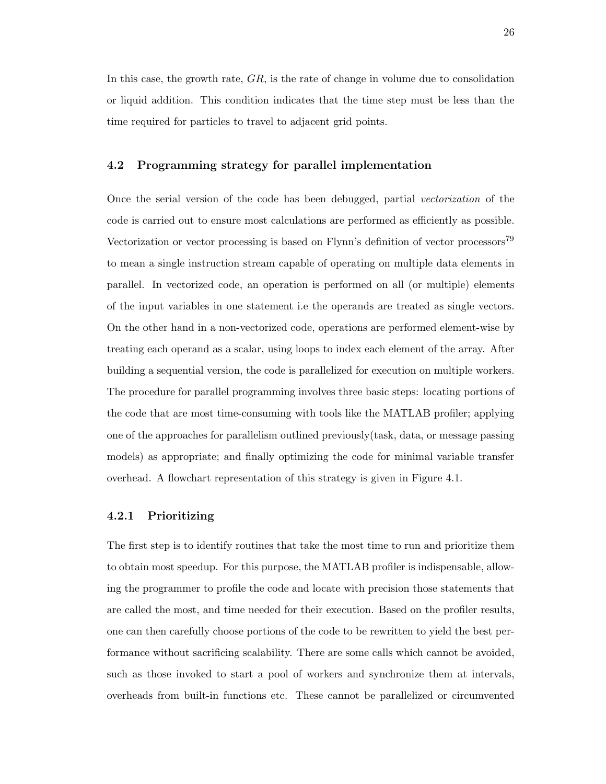In this case, the growth rate, *GR*, is the rate of change in volume due to consolidation or liquid addition. This condition indicates that the time step must be less than the time required for particles to travel to adjacent grid points.

#### **4.2 Programming strategy for parallel implementation**

Once the serial version of the code has been debugged, partial *vectorization* of the code is carried out to ensure most calculations are performed as efficiently as possible. Vectorization or vector processing is based on Flynn's definition of vector processors<sup>79</sup> to mean a single instruction stream capable of operating on multiple data elements in parallel. In vectorized code, an operation is performed on all (or multiple) elements of the input variables in one statement i.e the operands are treated as single vectors. On the other hand in a non-vectorized code, operations are performed element-wise by treating each operand as a scalar, using loops to index each element of the array. After building a sequential version, the code is parallelized for execution on multiple workers. The procedure for parallel programming involves three basic steps: locating portions of the code that are most time-consuming with tools like the MATLAB profiler; applying one of the approaches for parallelism outlined previously(task, data, or message passing models) as appropriate; and finally optimizing the code for minimal variable transfer overhead. A flowchart representation of this strategy is given in Figure 4.1.

#### **4.2.1 Prioritizing**

The first step is to identify routines that take the most time to run and prioritize them to obtain most speedup. For this purpose, the MATLAB profiler is indispensable, allowing the programmer to profile the code and locate with precision those statements that are called the most, and time needed for their execution. Based on the profiler results, one can then carefully choose portions of the code to be rewritten to yield the best performance without sacrificing scalability. There are some calls which cannot be avoided, such as those invoked to start a pool of workers and synchronize them at intervals, overheads from built-in functions etc. These cannot be parallelized or circumvented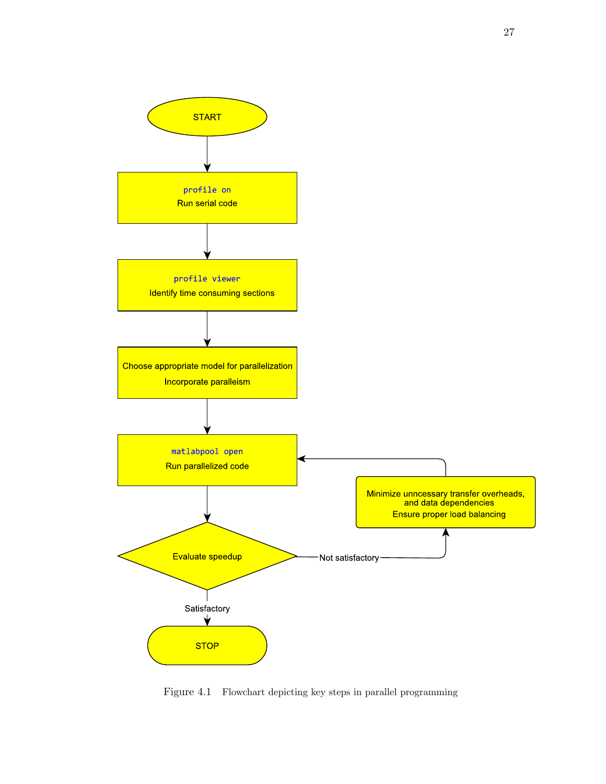

Figure 4.1 Flowchart depicting key steps in parallel programming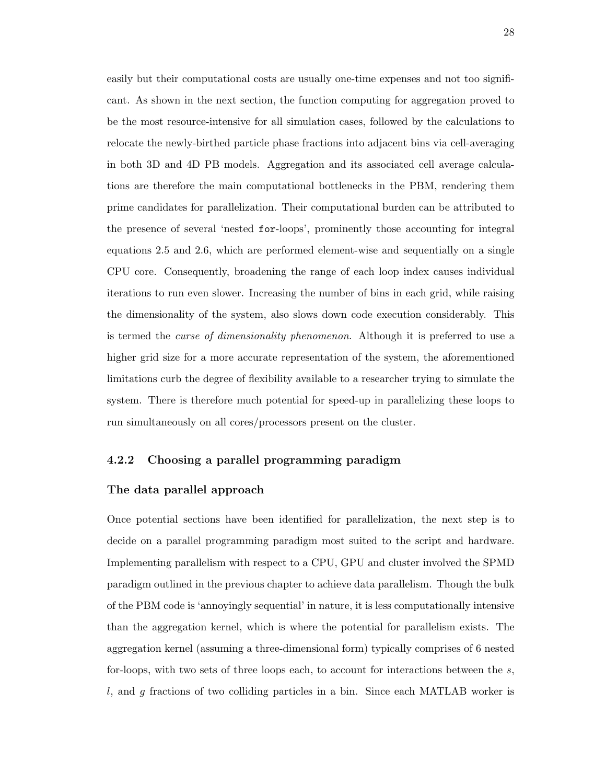easily but their computational costs are usually one-time expenses and not too significant. As shown in the next section, the function computing for aggregation proved to be the most resource-intensive for all simulation cases, followed by the calculations to relocate the newly-birthed particle phase fractions into adjacent bins via cell-averaging in both 3D and 4D PB models. Aggregation and its associated cell average calculations are therefore the main computational bottlenecks in the PBM, rendering them prime candidates for parallelization. Their computational burden can be attributed to the presence of several 'nested for-loops', prominently those accounting for integral equations 2.5 and 2.6, which are performed element-wise and sequentially on a single CPU core. Consequently, broadening the range of each loop index causes individual iterations to run even slower. Increasing the number of bins in each grid, while raising the dimensionality of the system, also slows down code execution considerably. This is termed the *curse of dimensionality phenomenon*. Although it is preferred to use a higher grid size for a more accurate representation of the system, the aforementioned limitations curb the degree of flexibility available to a researcher trying to simulate the system. There is therefore much potential for speed-up in parallelizing these loops to run simultaneously on all cores/processors present on the cluster.

## **4.2.2 Choosing a parallel programming paradigm**

#### **The data parallel approach**

Once potential sections have been identified for parallelization, the next step is to decide on a parallel programming paradigm most suited to the script and hardware. Implementing parallelism with respect to a CPU, GPU and cluster involved the SPMD paradigm outlined in the previous chapter to achieve data parallelism. Though the bulk of the PBM code is 'annoyingly sequential' in nature, it is less computationally intensive than the aggregation kernel, which is where the potential for parallelism exists. The aggregation kernel (assuming a three-dimensional form) typically comprises of 6 nested for-loops, with two sets of three loops each, to account for interactions between the *s*, *l*, and *g* fractions of two colliding particles in a bin. Since each MATLAB worker is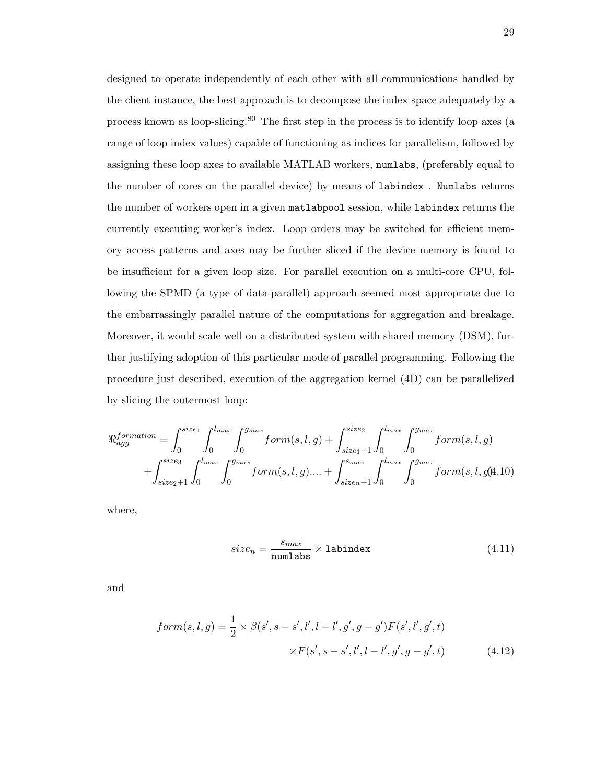designed to operate independently of each other with all communications handled by the client instance, the best approach is to decompose the index space adequately by a process known as loop-slicing.<sup>80</sup> The first step in the process is to identify loop axes (a range of loop index values) capable of functioning as indices for parallelism, followed by assigning these loop axes to available MATLAB workers, numlabs, (preferably equal to the number of cores on the parallel device) by means of labindex . Numlabs returns the number of workers open in a given matlabpool session, while labindex returns the currently executing worker's index. Loop orders may be switched for efficient memory access patterns and axes may be further sliced if the device memory is found to be insufficient for a given loop size. For parallel execution on a multi-core CPU, following the SPMD (a type of data-parallel) approach seemed most appropriate due to the embarrassingly parallel nature of the computations for aggregation and breakage. Moreover, it would scale well on a distributed system with shared memory (DSM), further justifying adoption of this particular mode of parallel programming. Following the procedure just described, execution of the aggregation kernel (4D) can be parallelized by slicing the outermost loop:

$$
\mathcal{R}_{agg}^{formation} = \int_0^{size_1} \int_0^{l_{max}} \int_0^{g_{max}} form(s, l, g) + \int_{size_1+1}^{size_2} \int_0^{l_{max}} form(s, l, g) + \int_{size_2+1}^{size_3} \int_0^{l_{max}} form(s, l, g) + \int_{size_2+1}^{size_3} \int_0^{l_{max}} form(s, l, g) + \int_{size_2+1}^{sum} \int_0^{g_{max}} form(s, l, g) + \int_{size_1+1}^{sum} \int_0^{l_{max}} form(s, l, g) + \int_{size_2+1}^{sum} \int_0^{l_{max}} form(s, l, g) + \int_{size_3+1}^{sum} \int_0^{l_{max}} form(s, l, g) + \int_{size_4+1}^{sum} \int_0^{l_{max}} form(s, l, g) + \int_{size_5+1}^{sum} \int_0^{l_{max}} form(s, l, g) + \int_{size_6+1}^{sum} \int_0^{l_{max}} form(s, l, g) + \int_{size_7+1}^{sum} \int_0^{l_{max}} form(s, l, g) + \int_{size_8+1}^{sum} \int_0^{l_{max}} form(s, l, g) + \int_{size_9+1}^{sum} \int_0^{l_{max}} form(s, l, g) + \int_{size_9+1}^{sum} \int_0^{l_{max}} form(s, l, g) + \int_{size_9+1}^{sum} \int_0^{l_{max}} form(s, l, g) + \int_{size_9+1}^{sum} \int_0^{l_{max}} form(s, l, g) + \int_{size_9+1}^{sum} \int_0^{l_{max}} form(s, l, g) + \int_{size_9+1}^{sum} \int_0^{l_{max}} form(s, l, g) + \int_{size_9+1}^{sum} \int_0^{l_{max}} form(s, l, g) + \int_{size_9+1}^{sum} \int_0^{l_{max}} form(s, l, g) + \int_{size_9+1}^{sum} \int_0^{l_{max}} form(s, l, g) + \int_{size_9+1}^{sum} \int_0^{l_{max}} form(s, l, g) + \int_{size_9+1}^{sum} \int_0^{l_{max}} form(s, l, g) + \int_{size_9+1}^{sum} \int_0^{l_{max}} form(s, l, g) + \int_{size_9+1}^{sum
$$

where,

$$
size_n = \frac{s_{max}}{\text{numlabs}} \times \text{labindex} \tag{4.11}
$$

and

$$
form(s, l, g) = \frac{1}{2} \times \beta(s', s - s', l', l - l', g', g - g')F(s', l', g', t)
$$

$$
\times F(s', s - s', l', l - l', g', g - g', t)
$$
(4.12)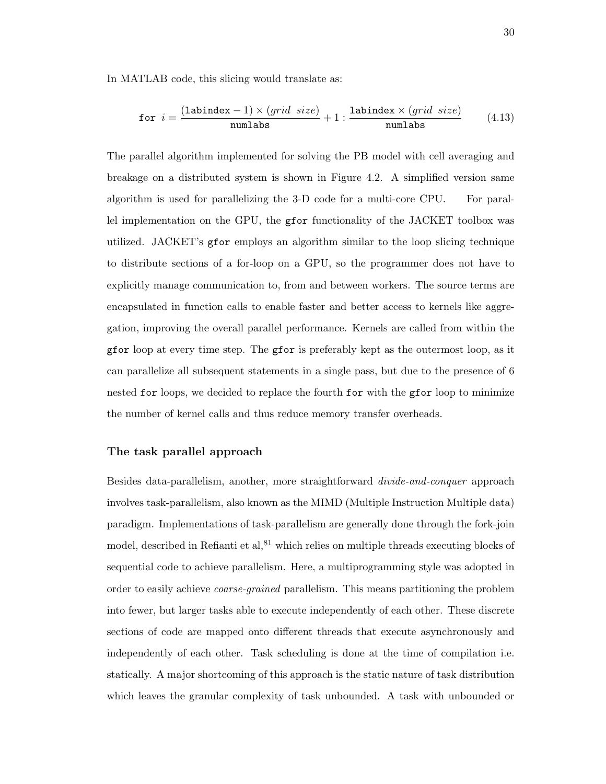In MATLAB code, this slicing would translate as:

$$
\text{for } i = \frac{(\text{labindex} - 1) \times (grid \ size)}{\text{numlabs}} + 1 : \frac{\text{labindex} \times (grid \ size)}{\text{numlabs}} \tag{4.13}
$$

The parallel algorithm implemented for solving the PB model with cell averaging and breakage on a distributed system is shown in Figure 4.2. A simplified version same algorithm is used for parallelizing the 3-D code for a multi-core CPU. For parallel implementation on the GPU, the gfor functionality of the JACKET toolbox was utilized. JACKET's gfor employs an algorithm similar to the loop slicing technique to distribute sections of a for-loop on a GPU, so the programmer does not have to explicitly manage communication to, from and between workers. The source terms are encapsulated in function calls to enable faster and better access to kernels like aggregation, improving the overall parallel performance. Kernels are called from within the gfor loop at every time step. The gfor is preferably kept as the outermost loop, as it can parallelize all subsequent statements in a single pass, but due to the presence of 6 nested for loops, we decided to replace the fourth for with the gfor loop to minimize the number of kernel calls and thus reduce memory transfer overheads.

## **The task parallel approach**

Besides data-parallelism, another, more straightforward *divide-and-conquer* approach involves task-parallelism, also known as the MIMD (Multiple Instruction Multiple data) paradigm. Implementations of task-parallelism are generally done through the fork-join model, described in Refianti et al,  ${}^{81}$  which relies on multiple threads executing blocks of sequential code to achieve parallelism. Here, a multiprogramming style was adopted in order to easily achieve *coarse-grained* parallelism. This means partitioning the problem into fewer, but larger tasks able to execute independently of each other. These discrete sections of code are mapped onto different threads that execute asynchronously and independently of each other. Task scheduling is done at the time of compilation i.e. statically. A major shortcoming of this approach is the static nature of task distribution which leaves the granular complexity of task unbounded. A task with unbounded or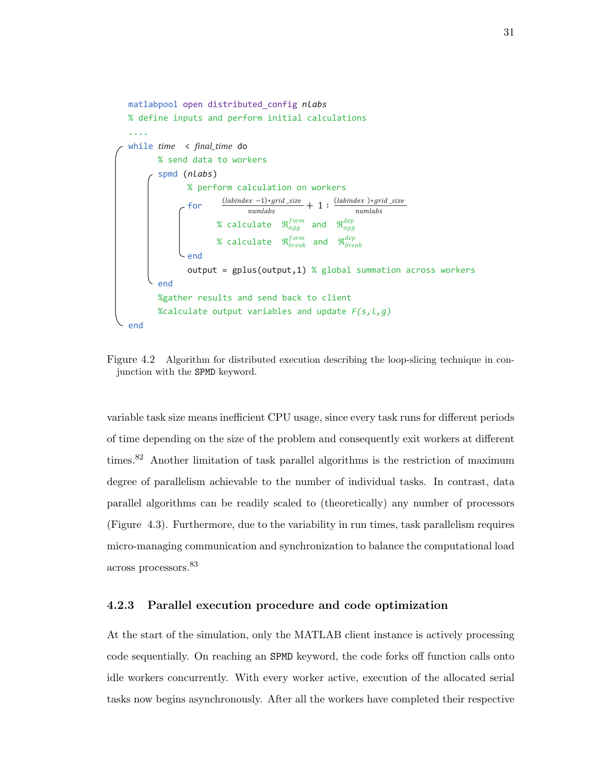

Figure 4.2 Algorithm for distributed execution describing the loop-slicing technique in conjunction with the SPMD keyword.

variable task size means inefficient CPU usage, since every task runs for different periods of time depending on the size of the problem and consequently exit workers at different times.<sup>82</sup> Another limitation of task parallel algorithms is the restriction of maximum degree of parallelism achievable to the number of individual tasks. In contrast, data parallel algorithms can be readily scaled to (theoretically) any number of processors (Figure 4.3). Furthermore, due to the variability in run times, task parallelism requires micro-managing communication and synchronization to balance the computational load across processors.<sup>83</sup>

### **4.2.3 Parallel execution procedure and code optimization**

At the start of the simulation, only the MATLAB client instance is actively processing code sequentially. On reaching an SPMD keyword, the code forks off function calls onto idle workers concurrently. With every worker active, execution of the allocated serial tasks now begins asynchronously. After all the workers have completed their respective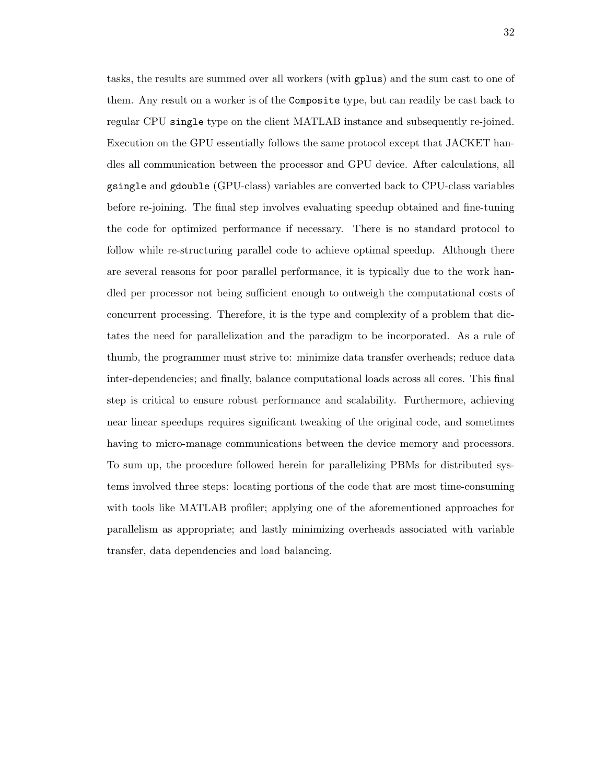tasks, the results are summed over all workers (with gplus) and the sum cast to one of them. Any result on a worker is of the Composite type, but can readily be cast back to regular CPU single type on the client MATLAB instance and subsequently re-joined. Execution on the GPU essentially follows the same protocol except that JACKET handles all communication between the processor and GPU device. After calculations, all gsingle and gdouble (GPU-class) variables are converted back to CPU-class variables before re-joining. The final step involves evaluating speedup obtained and fine-tuning the code for optimized performance if necessary. There is no standard protocol to follow while re-structuring parallel code to achieve optimal speedup. Although there are several reasons for poor parallel performance, it is typically due to the work handled per processor not being sufficient enough to outweigh the computational costs of concurrent processing. Therefore, it is the type and complexity of a problem that dictates the need for parallelization and the paradigm to be incorporated. As a rule of thumb, the programmer must strive to: minimize data transfer overheads; reduce data inter-dependencies; and finally, balance computational loads across all cores. This final step is critical to ensure robust performance and scalability. Furthermore, achieving near linear speedups requires significant tweaking of the original code, and sometimes having to micro-manage communications between the device memory and processors. To sum up, the procedure followed herein for parallelizing PBMs for distributed systems involved three steps: locating portions of the code that are most time-consuming with tools like MATLAB profiler; applying one of the aforementioned approaches for parallelism as appropriate; and lastly minimizing overheads associated with variable transfer, data dependencies and load balancing.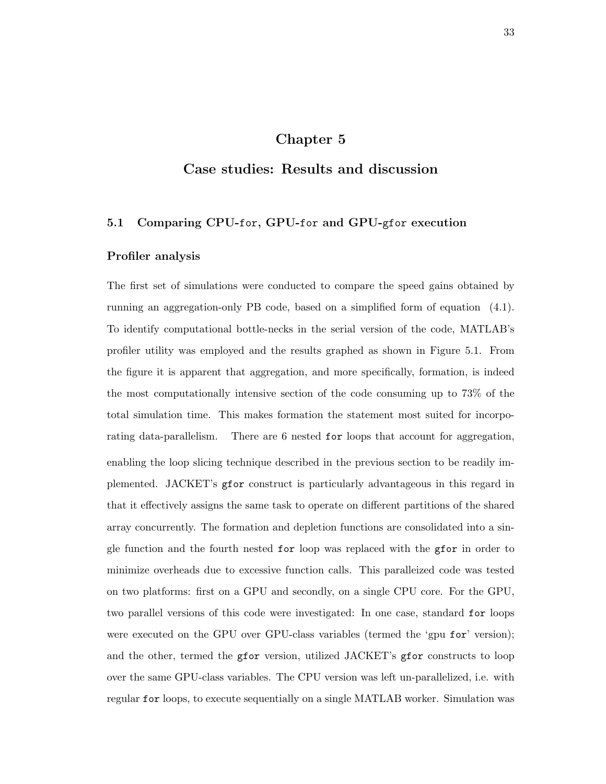# **Chapter 5**

# **Case studies: Results and discussion**

# **5.1 Comparing CPU-**for**, GPU-**for **and GPU-**gfor **execution**

# **Profiler analysis**

The first set of simulations were conducted to compare the speed gains obtained by running an aggregation-only PB code, based on a simplified form of equation (4.1). To identify computational bottle-necks in the serial version of the code, MATLAB's profiler utility was employed and the results graphed as shown in Figure 5.1. From the figure it is apparent that aggregation, and more specifically, formation, is indeed the most computationally intensive section of the code consuming up to 73% of the total simulation time. This makes formation the statement most suited for incorporating data-parallelism. There are 6 nested for loops that account for aggregation, enabling the loop slicing technique described in the previous section to be readily implemented. JACKET's gfor construct is particularly advantageous in this regard in that it effectively assigns the same task to operate on different partitions of the shared array concurrently. The formation and depletion functions are consolidated into a single function and the fourth nested for loop was replaced with the gfor in order to minimize overheads due to excessive function calls. This paralleized code was tested on two platforms: first on a GPU and secondly, on a single CPU core. For the GPU, two parallel versions of this code were investigated: In one case, standard for loops were executed on the GPU over GPU-class variables (termed the 'gpu for' version); and the other, termed the gfor version, utilized JACKET's gfor constructs to loop over the same GPU-class variables. The CPU version was left un-parallelized, i.e. with regular for loops, to execute sequentially on a single MATLAB worker. Simulation was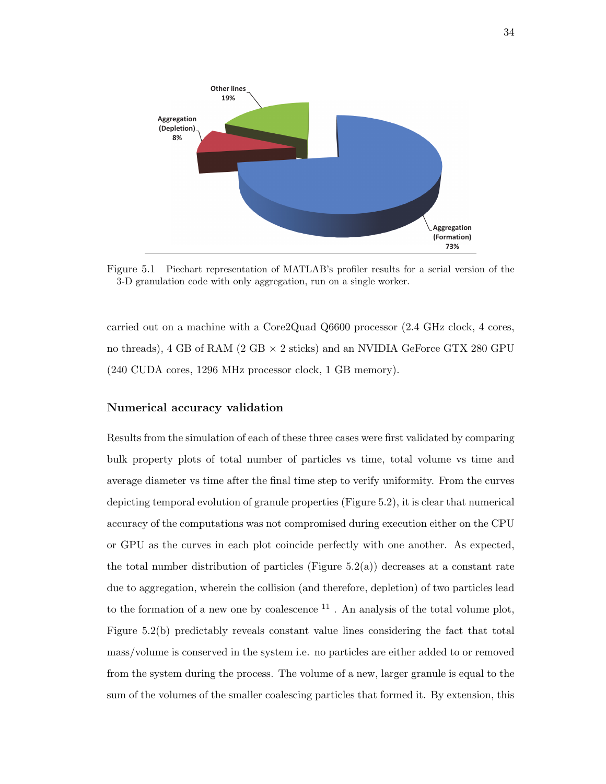

Figure 5.1 Piechart representation of MATLAB's profiler results for a serial version of the 3-D granulation code with only aggregation, run on a single worker.

carried out on a machine with a Core2Quad Q6600 processor (2.4 GHz clock, 4 cores, no threads), 4 GB of RAM (2 GB *×* 2 sticks) and an NVIDIA GeForce GTX 280 GPU (240 CUDA cores, 1296 MHz processor clock, 1 GB memory).

# **Numerical accuracy validation**

Results from the simulation of each of these three cases were first validated by comparing bulk property plots of total number of particles vs time, total volume vs time and average diameter vs time after the final time step to verify uniformity. From the curves depicting temporal evolution of granule properties (Figure 5.2), it is clear that numerical accuracy of the computations was not compromised during execution either on the CPU or GPU as the curves in each plot coincide perfectly with one another. As expected, the total number distribution of particles (Figure  $5.2(a)$ ) decreases at a constant rate due to aggregation, wherein the collision (and therefore, depletion) of two particles lead to the formation of a new one by coalescence  $11$ . An analysis of the total volume plot, Figure 5.2(b) predictably reveals constant value lines considering the fact that total mass/volume is conserved in the system i.e. no particles are either added to or removed from the system during the process. The volume of a new, larger granule is equal to the sum of the volumes of the smaller coalescing particles that formed it. By extension, this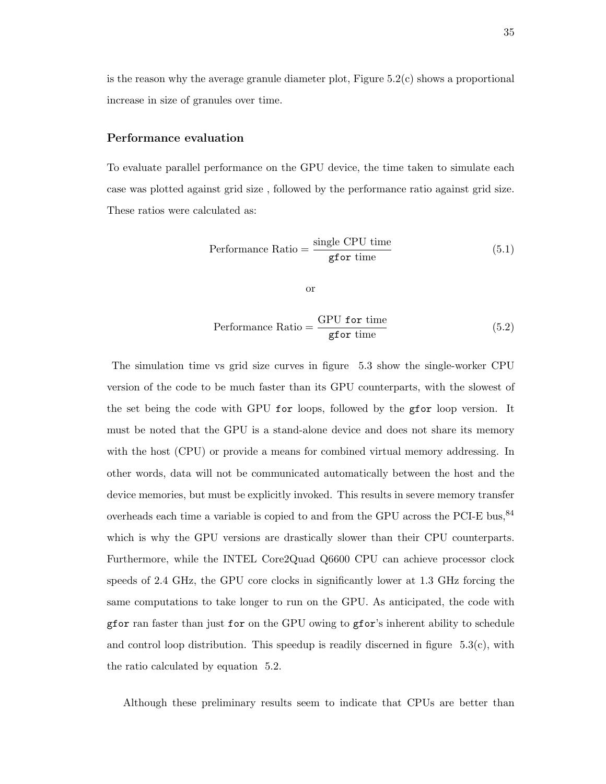is the reason why the average granule diameter plot, Figure 5.2(c) shows a proportional increase in size of granules over time.

#### **Performance evaluation**

To evaluate parallel performance on the GPU device, the time taken to simulate each case was plotted against grid size , followed by the performance ratio against grid size. These ratios were calculated as:

Performance Ratio = 
$$
\frac{\text{single CPU time}}{\text{gfor time}}
$$
 (5.1)

or

Performance Ratio  $=\frac{\text{GPU for time}}{\text{f}}$ gfor time (5.2)

The simulation time vs grid size curves in figure 5.3 show the single-worker CPU version of the code to be much faster than its GPU counterparts, with the slowest of the set being the code with GPU for loops, followed by the gfor loop version. It must be noted that the GPU is a stand-alone device and does not share its memory with the host (CPU) or provide a means for combined virtual memory addressing. In other words, data will not be communicated automatically between the host and the device memories, but must be explicitly invoked. This results in severe memory transfer overheads each time a variable is copied to and from the GPU across the PCI-E bus,  $84$ which is why the GPU versions are drastically slower than their CPU counterparts. Furthermore, while the INTEL Core2Quad Q6600 CPU can achieve processor clock speeds of 2.4 GHz, the GPU core clocks in significantly lower at 1.3 GHz forcing the same computations to take longer to run on the GPU. As anticipated, the code with gfor ran faster than just for on the GPU owing to gfor's inherent ability to schedule and control loop distribution. This speedup is readily discerned in figure  $5.3(c)$ , with the ratio calculated by equation 5.2.

Although these preliminary results seem to indicate that CPUs are better than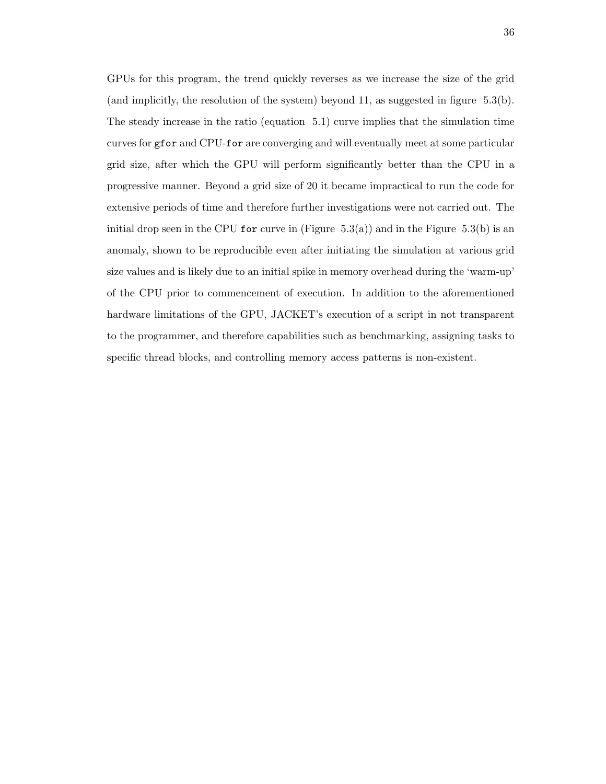GPUs for this program, the trend quickly reverses as we increase the size of the grid (and implicitly, the resolution of the system) beyond 11, as suggested in figure  $5.3(b)$ . The steady increase in the ratio (equation 5.1) curve implies that the simulation time curves for gfor and CPU-for are converging and will eventually meet at some particular grid size, after which the GPU will perform significantly better than the CPU in a progressive manner. Beyond a grid size of 20 it became impractical to run the code for extensive periods of time and therefore further investigations were not carried out. The initial drop seen in the CPU for curve in (Figure 5.3(a)) and in the Figure 5.3(b) is an anomaly, shown to be reproducible even after initiating the simulation at various grid size values and is likely due to an initial spike in memory overhead during the 'warm-up' of the CPU prior to commencement of execution. In addition to the aforementioned hardware limitations of the GPU, JACKET's execution of a script in not transparent to the programmer, and therefore capabilities such as benchmarking, assigning tasks to specific thread blocks, and controlling memory access patterns is non-existent.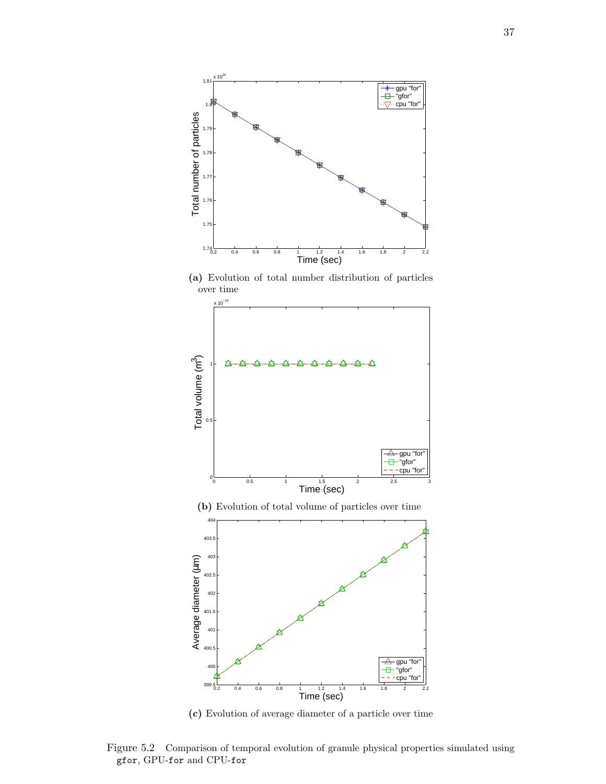

**(a)** Evolution of total number distribution of particles over time





Figure 5.2 Comparison of temporal evolution of granule physical properties simulated using gfor, GPU-for and CPU-for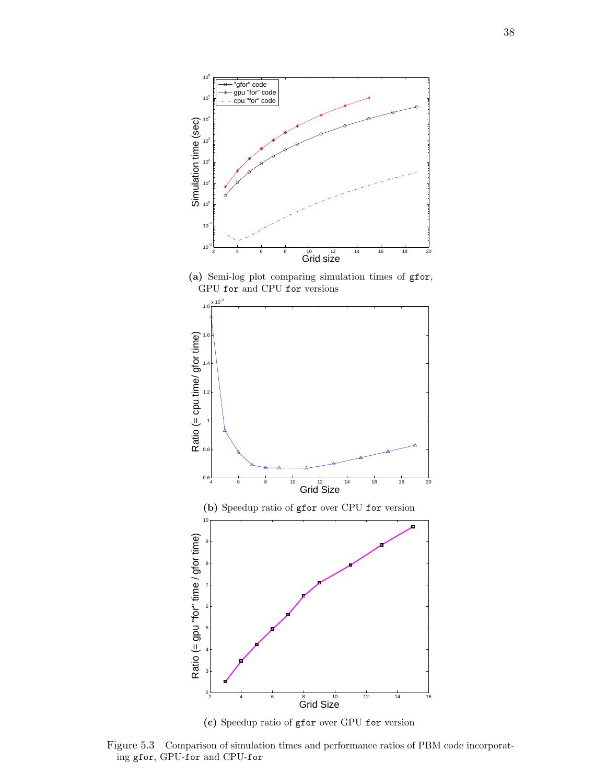

**(a)** Semi-log plot comparing simulation times of gfor, GPU for and CPU for versions



**(c)** Speedup ratio of gfor over GPU for version

Figure 5.3 Comparison of simulation times and performance ratios of PBM code incorporating gfor, GPU-for and CPU-for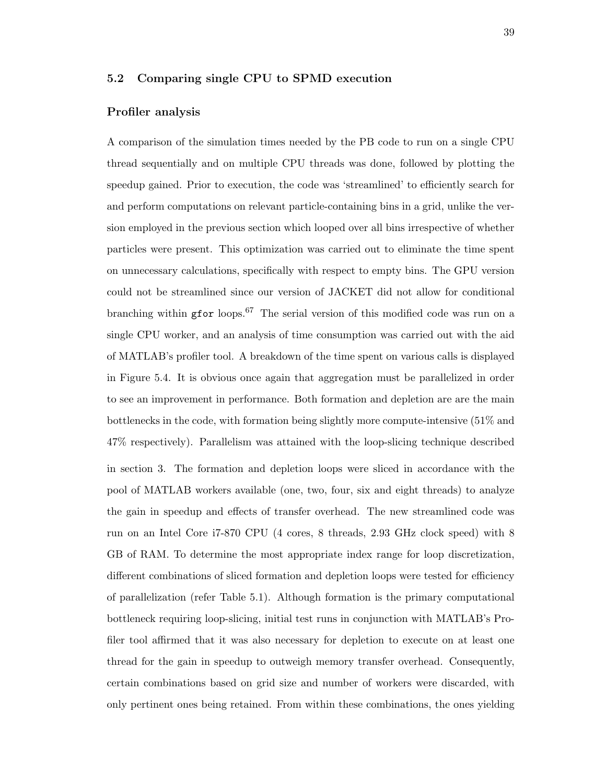# **5.2 Comparing single CPU to SPMD execution**

#### **Profiler analysis**

A comparison of the simulation times needed by the PB code to run on a single CPU thread sequentially and on multiple CPU threads was done, followed by plotting the speedup gained. Prior to execution, the code was 'streamlined' to efficiently search for and perform computations on relevant particle-containing bins in a grid, unlike the version employed in the previous section which looped over all bins irrespective of whether particles were present. This optimization was carried out to eliminate the time spent on unnecessary calculations, specifically with respect to empty bins. The GPU version could not be streamlined since our version of JACKET did not allow for conditional branching within g for loops.<sup>67</sup> The serial version of this modified code was run on a single CPU worker, and an analysis of time consumption was carried out with the aid of MATLAB's profiler tool. A breakdown of the time spent on various calls is displayed in Figure 5.4. It is obvious once again that aggregation must be parallelized in order to see an improvement in performance. Both formation and depletion are are the main bottlenecks in the code, with formation being slightly more compute-intensive (51% and 47% respectively). Parallelism was attained with the loop-slicing technique described in section 3. The formation and depletion loops were sliced in accordance with the pool of MATLAB workers available (one, two, four, six and eight threads) to analyze the gain in speedup and effects of transfer overhead. The new streamlined code was run on an Intel Core i7-870 CPU (4 cores, 8 threads, 2.93 GHz clock speed) with 8 GB of RAM. To determine the most appropriate index range for loop discretization, different combinations of sliced formation and depletion loops were tested for efficiency of parallelization (refer Table 5.1). Although formation is the primary computational bottleneck requiring loop-slicing, initial test runs in conjunction with MATLAB's Profiler tool affirmed that it was also necessary for depletion to execute on at least one thread for the gain in speedup to outweigh memory transfer overhead. Consequently, certain combinations based on grid size and number of workers were discarded, with only pertinent ones being retained. From within these combinations, the ones yielding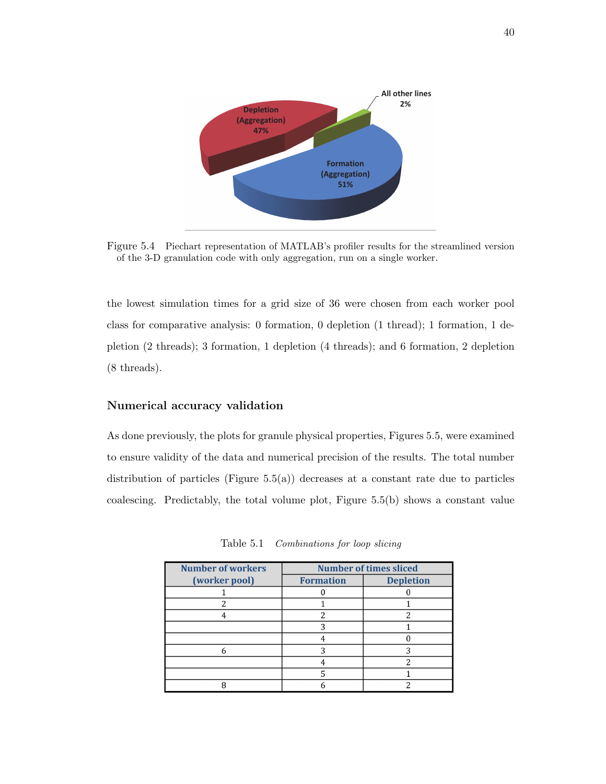

Figure 5.4 Piechart representation of MATLAB's profiler results for the streamlined version of the 3-D granulation code with only aggregation, run on a single worker.

the lowest simulation times for a grid size of 36 were chosen from each worker pool class for comparative analysis: 0 formation, 0 depletion (1 thread); 1 formation, 1 depletion (2 threads); 3 formation, 1 depletion (4 threads); and 6 formation, 2 depletion (8 threads).

# **Numerical accuracy validation**

As done previously, the plots for granule physical properties, Figures 5.5, were examined to ensure validity of the data and numerical precision of the results. The total number distribution of particles (Figure  $5.5(a)$ ) decreases at a constant rate due to particles coalescing. Predictably, the total volume plot, Figure 5.5(b) shows a constant value

| <b>Number of workers</b> | <b>Number of times sliced</b> |                  |  |
|--------------------------|-------------------------------|------------------|--|
| (worker pool)            | <b>Formation</b>              | <b>Depletion</b> |  |
|                          |                               |                  |  |
|                          |                               |                  |  |
|                          |                               |                  |  |
|                          |                               |                  |  |
|                          |                               |                  |  |
|                          |                               |                  |  |
|                          |                               |                  |  |
|                          |                               |                  |  |
|                          |                               |                  |  |

Table 5.1 *Combinations for loop slicing*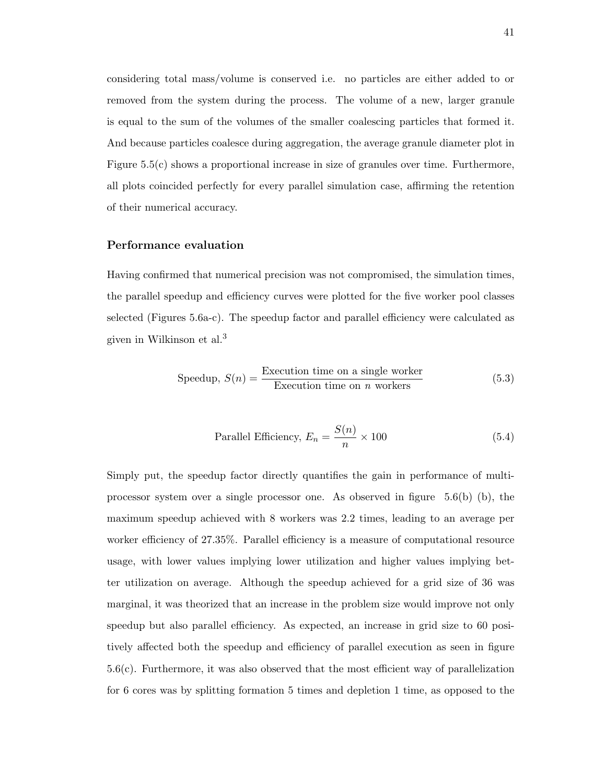considering total mass/volume is conserved i.e. no particles are either added to or removed from the system during the process. The volume of a new, larger granule is equal to the sum of the volumes of the smaller coalescing particles that formed it. And because particles coalesce during aggregation, the average granule diameter plot in Figure 5.5(c) shows a proportional increase in size of granules over time. Furthermore, all plots coincided perfectly for every parallel simulation case, affirming the retention of their numerical accuracy.

#### **Performance evaluation**

Having confirmed that numerical precision was not compromised, the simulation times, the parallel speedup and efficiency curves were plotted for the five worker pool classes selected (Figures 5.6a-c). The speedup factor and parallel efficiency were calculated as given in Wilkinson et al.<sup>3</sup>

Speedup, 
$$
S(n) = \frac{\text{Execution time on a single worker}}{\text{Execution time on } n \text{ workers}}
$$
 (5.3)

Parallel Efficiency, 
$$
E_n = \frac{S(n)}{n} \times 100
$$
 (5.4)

Simply put, the speedup factor directly quantifies the gain in performance of multiprocessor system over a single processor one. As observed in figure  $5.6(b)$  (b), the maximum speedup achieved with 8 workers was 2.2 times, leading to an average per worker efficiency of 27.35%. Parallel efficiency is a measure of computational resource usage, with lower values implying lower utilization and higher values implying better utilization on average. Although the speedup achieved for a grid size of 36 was marginal, it was theorized that an increase in the problem size would improve not only speedup but also parallel efficiency. As expected, an increase in grid size to 60 positively affected both the speedup and efficiency of parallel execution as seen in figure 5.6(c). Furthermore, it was also observed that the most efficient way of parallelization for 6 cores was by splitting formation 5 times and depletion 1 time, as opposed to the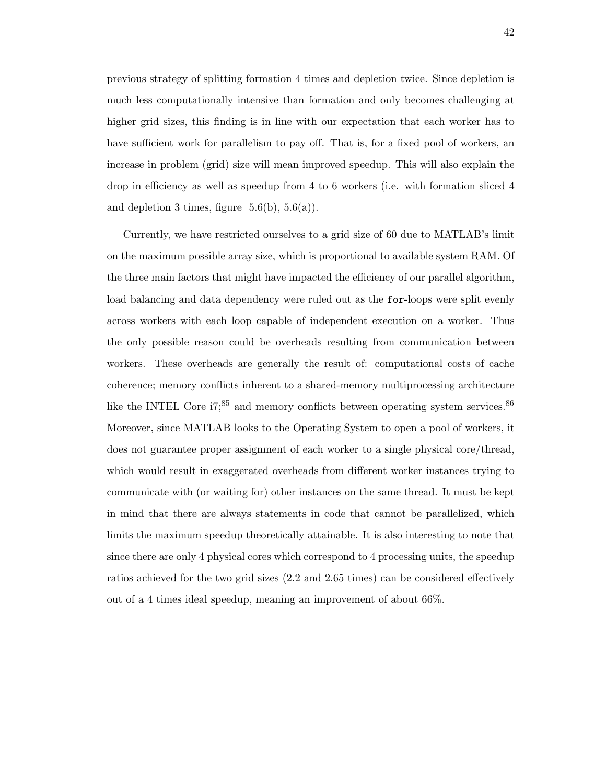previous strategy of splitting formation 4 times and depletion twice. Since depletion is much less computationally intensive than formation and only becomes challenging at higher grid sizes, this finding is in line with our expectation that each worker has to have sufficient work for parallelism to pay off. That is, for a fixed pool of workers, an increase in problem (grid) size will mean improved speedup. This will also explain the drop in efficiency as well as speedup from 4 to 6 workers (i.e. with formation sliced 4 and depletion 3 times, figure  $5.6(b)$ ,  $5.6(a)$ ).

Currently, we have restricted ourselves to a grid size of 60 due to MATLAB's limit on the maximum possible array size, which is proportional to available system RAM. Of the three main factors that might have impacted the efficiency of our parallel algorithm, load balancing and data dependency were ruled out as the for-loops were split evenly across workers with each loop capable of independent execution on a worker. Thus the only possible reason could be overheads resulting from communication between workers. These overheads are generally the result of: computational costs of cache coherence; memory conflicts inherent to a shared-memory multiprocessing architecture like the INTEL Core  $i7;^{85}$  and memory conflicts between operating system services.<sup>86</sup> Moreover, since MATLAB looks to the Operating System to open a pool of workers, it does not guarantee proper assignment of each worker to a single physical core/thread, which would result in exaggerated overheads from different worker instances trying to communicate with (or waiting for) other instances on the same thread. It must be kept in mind that there are always statements in code that cannot be parallelized, which limits the maximum speedup theoretically attainable. It is also interesting to note that since there are only 4 physical cores which correspond to 4 processing units, the speedup ratios achieved for the two grid sizes (2.2 and 2.65 times) can be considered effectively out of a 4 times ideal speedup, meaning an improvement of about 66%.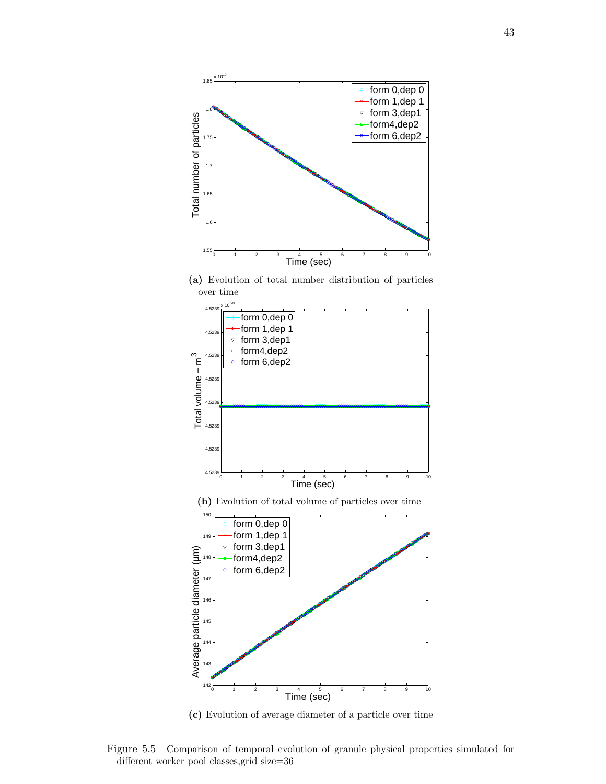

**(a)** Evolution of total number distribution of particles over time





Figure 5.5 Comparison of temporal evolution of granule physical properties simulated for different worker pool classes,grid size=36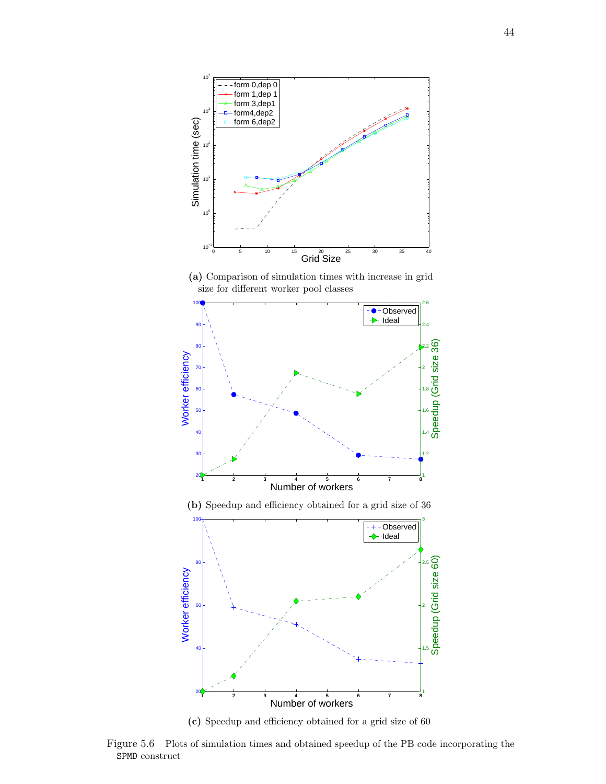

**(a)** Comparison of simulation times with increase in grid size for different worker pool classes



**(c)** Speedup and efficiency obtained for a grid size of 60

Figure 5.6 Plots of simulation times and obtained speedup of the PB code incorporating the SPMD construct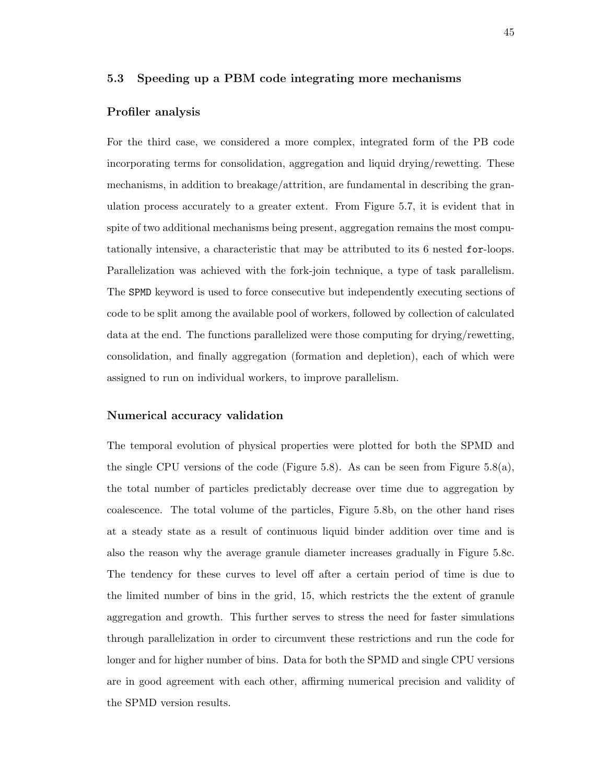# **5.3 Speeding up a PBM code integrating more mechanisms**

#### **Profiler analysis**

For the third case, we considered a more complex, integrated form of the PB code incorporating terms for consolidation, aggregation and liquid drying/rewetting. These mechanisms, in addition to breakage/attrition, are fundamental in describing the granulation process accurately to a greater extent. From Figure 5.7, it is evident that in spite of two additional mechanisms being present, aggregation remains the most computationally intensive, a characteristic that may be attributed to its 6 nested for-loops. Parallelization was achieved with the fork-join technique, a type of task parallelism. The SPMD keyword is used to force consecutive but independently executing sections of code to be split among the available pool of workers, followed by collection of calculated data at the end. The functions parallelized were those computing for drying/rewetting, consolidation, and finally aggregation (formation and depletion), each of which were assigned to run on individual workers, to improve parallelism.

#### **Numerical accuracy validation**

The temporal evolution of physical properties were plotted for both the SPMD and the single CPU versions of the code (Figure 5.8). As can be seen from Figure 5.8(a), the total number of particles predictably decrease over time due to aggregation by coalescence. The total volume of the particles, Figure 5.8b, on the other hand rises at a steady state as a result of continuous liquid binder addition over time and is also the reason why the average granule diameter increases gradually in Figure 5.8c. The tendency for these curves to level off after a certain period of time is due to the limited number of bins in the grid, 15, which restricts the the extent of granule aggregation and growth. This further serves to stress the need for faster simulations through parallelization in order to circumvent these restrictions and run the code for longer and for higher number of bins. Data for both the SPMD and single CPU versions are in good agreement with each other, affirming numerical precision and validity of the SPMD version results.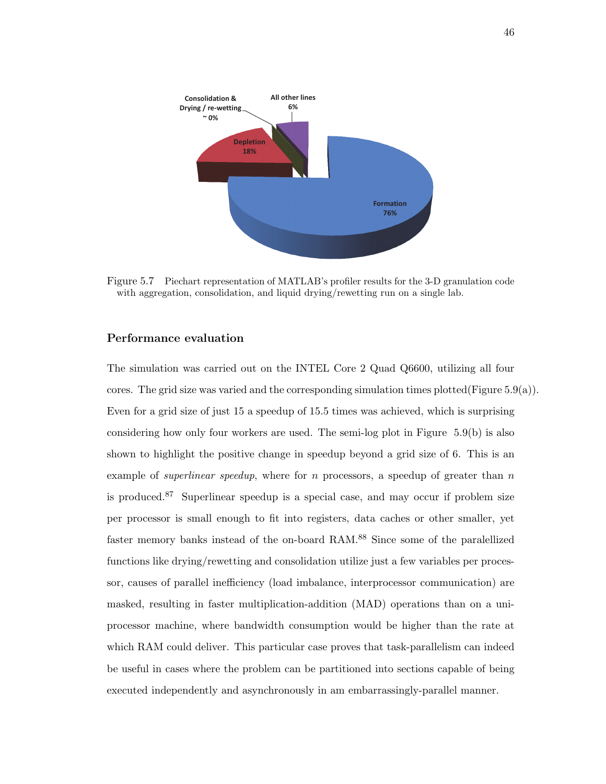

Figure 5.7 Piechart representation of MATLAB's profiler results for the 3-D granulation code with aggregation, consolidation, and liquid drying/rewetting run on a single lab.

# **Performance evaluation**

The simulation was carried out on the INTEL Core 2 Quad Q6600, utilizing all four cores. The grid size was varied and the corresponding simulation times plotted(Figure  $5.9(a)$ ). Even for a grid size of just 15 a speedup of 15.5 times was achieved, which is surprising considering how only four workers are used. The semi-log plot in Figure 5.9(b) is also shown to highlight the positive change in speedup beyond a grid size of 6. This is an example of *superlinear speedup*, where for *n* processors, a speedup of greater than *n* is produced.<sup>87</sup> Superlinear speedup is a special case, and may occur if problem size per processor is small enough to fit into registers, data caches or other smaller, yet faster memory banks instead of the on-board RAM.<sup>88</sup> Since some of the paralellized functions like drying/rewetting and consolidation utilize just a few variables per processor, causes of parallel inefficiency (load imbalance, interprocessor communication) are masked, resulting in faster multiplication-addition (MAD) operations than on a uniprocessor machine, where bandwidth consumption would be higher than the rate at which RAM could deliver. This particular case proves that task-parallelism can indeed be useful in cases where the problem can be partitioned into sections capable of being executed independently and asynchronously in am embarrassingly-parallel manner.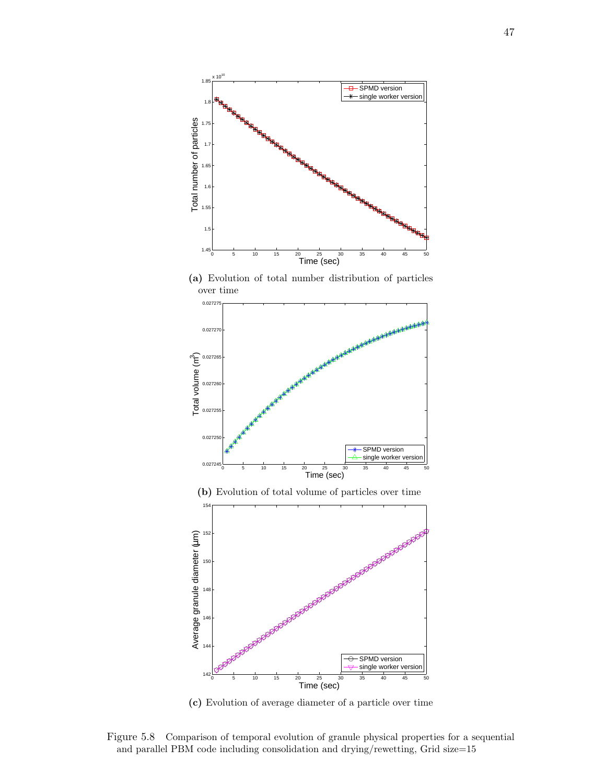

**(a)** Evolution of total number distribution of particles over time



**(b)** Evolution of total volume of particles over time



**(c)** Evolution of average diameter of a particle over time

Figure 5.8 Comparison of temporal evolution of granule physical properties for a sequential and parallel PBM code including consolidation and drying/rewetting, Grid size=15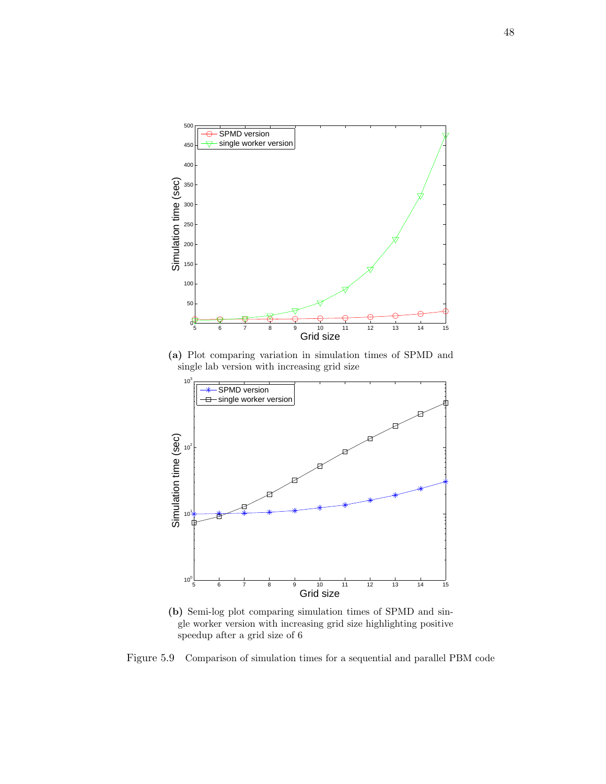

**(a)** Plot comparing variation in simulation times of SPMD and single lab version with increasing grid size



**(b)** Semi-log plot comparing simulation times of SPMD and single worker version with increasing grid size highlighting positive speedup after a grid size of 6

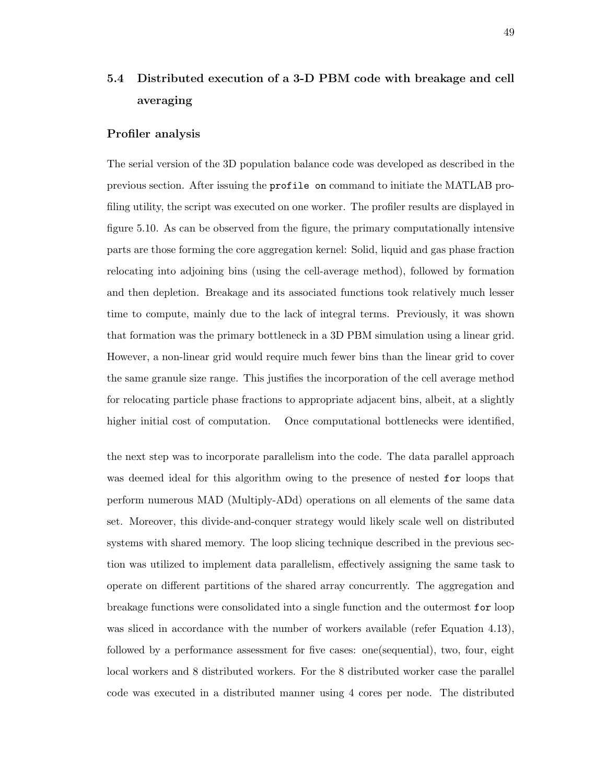# **5.4 Distributed execution of a 3-D PBM code with breakage and cell averaging**

#### **Profiler analysis**

The serial version of the 3D population balance code was developed as described in the previous section. After issuing the profile on command to initiate the MATLAB profiling utility, the script was executed on one worker. The profiler results are displayed in figure 5.10. As can be observed from the figure, the primary computationally intensive parts are those forming the core aggregation kernel: Solid, liquid and gas phase fraction relocating into adjoining bins (using the cell-average method), followed by formation and then depletion. Breakage and its associated functions took relatively much lesser time to compute, mainly due to the lack of integral terms. Previously, it was shown that formation was the primary bottleneck in a 3D PBM simulation using a linear grid. However, a non-linear grid would require much fewer bins than the linear grid to cover the same granule size range. This justifies the incorporation of the cell average method for relocating particle phase fractions to appropriate adjacent bins, albeit, at a slightly higher initial cost of computation. Once computational bottlenecks were identified,

the next step was to incorporate parallelism into the code. The data parallel approach was deemed ideal for this algorithm owing to the presence of nested for loops that perform numerous MAD (Multiply-ADd) operations on all elements of the same data set. Moreover, this divide-and-conquer strategy would likely scale well on distributed systems with shared memory. The loop slicing technique described in the previous section was utilized to implement data parallelism, effectively assigning the same task to operate on different partitions of the shared array concurrently. The aggregation and breakage functions were consolidated into a single function and the outermost for loop was sliced in accordance with the number of workers available (refer Equation 4.13), followed by a performance assessment for five cases: one(sequential), two, four, eight local workers and 8 distributed workers. For the 8 distributed worker case the parallel code was executed in a distributed manner using 4 cores per node. The distributed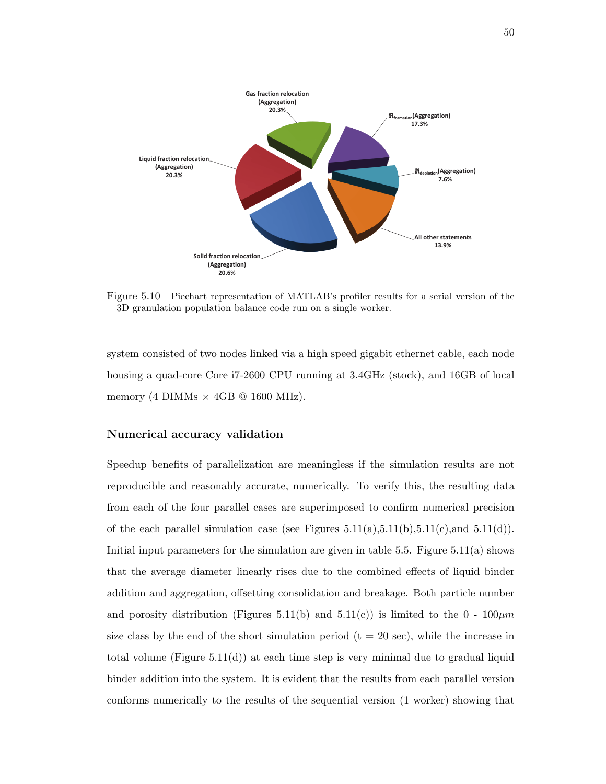

Figure 5.10 Piechart representation of MATLAB's profiler results for a serial version of the 3D granulation population balance code run on a single worker.

system consisted of two nodes linked via a high speed gigabit ethernet cable, each node housing a quad-core Core i7-2600 CPU running at 3.4GHz (stock), and 16GB of local memory (4 DIMMs *×* 4GB @ 1600 MHz).

# **Numerical accuracy validation**

Speedup benefits of parallelization are meaningless if the simulation results are not reproducible and reasonably accurate, numerically. To verify this, the resulting data from each of the four parallel cases are superimposed to confirm numerical precision of the each parallel simulation case (see Figures  $5.11(a), 5.11(b), 5.11(c),$  and  $5.11(d)$ ). Initial input parameters for the simulation are given in table 5.5. Figure 5.11(a) shows that the average diameter linearly rises due to the combined effects of liquid binder addition and aggregation, offsetting consolidation and breakage. Both particle number and porosity distribution (Figures 5.11(b) and 5.11(c)) is limited to the  $0 - 100 \mu m$ size class by the end of the short simulation period  $(t = 20 \text{ sec})$ , while the increase in total volume (Figure  $5.11(d)$ ) at each time step is very minimal due to gradual liquid binder addition into the system. It is evident that the results from each parallel version conforms numerically to the results of the sequential version (1 worker) showing that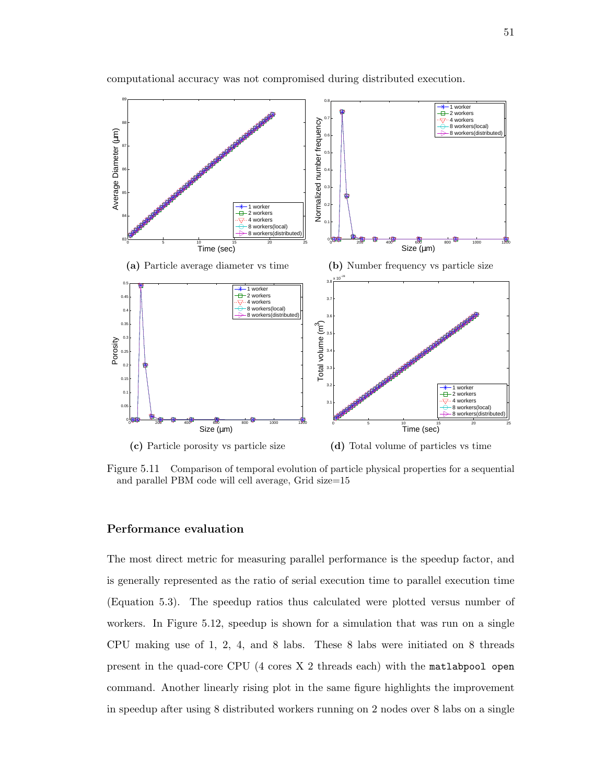

computational accuracy was not compromised during distributed execution.

Figure 5.11 Comparison of temporal evolution of particle physical properties for a sequential and parallel PBM code will cell average, Grid size=15

# **Performance evaluation**

The most direct metric for measuring parallel performance is the speedup factor, and is generally represented as the ratio of serial execution time to parallel execution time (Equation 5.3). The speedup ratios thus calculated were plotted versus number of workers. In Figure 5.12, speedup is shown for a simulation that was run on a single CPU making use of 1, 2, 4, and 8 labs. These 8 labs were initiated on 8 threads present in the quad-core CPU (4 cores X 2 threads each) with the matlabpool open command. Another linearly rising plot in the same figure highlights the improvement in speedup after using 8 distributed workers running on 2 nodes over 8 labs on a single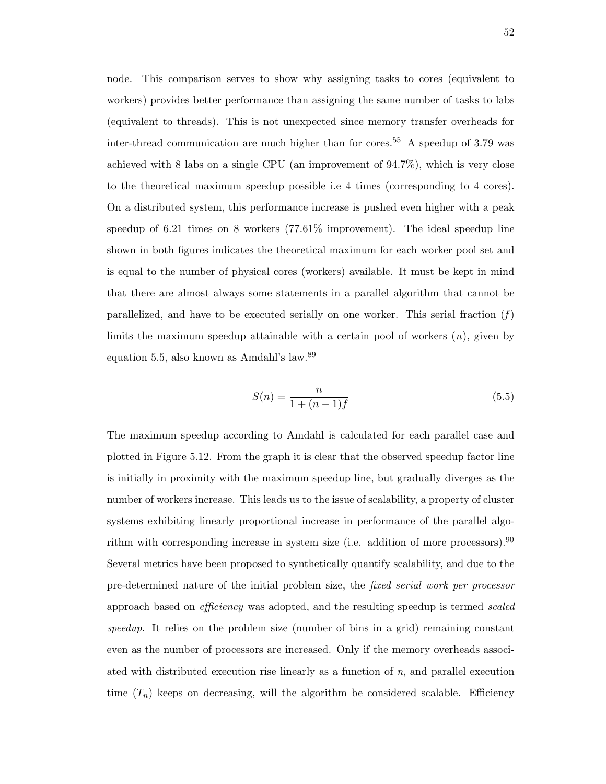node. This comparison serves to show why assigning tasks to cores (equivalent to workers) provides better performance than assigning the same number of tasks to labs (equivalent to threads). This is not unexpected since memory transfer overheads for inter-thread communication are much higher than for cores.<sup>55</sup> A speedup of 3.79 was achieved with 8 labs on a single CPU (an improvement of 94.7%), which is very close to the theoretical maximum speedup possible i.e 4 times (corresponding to 4 cores). On a distributed system, this performance increase is pushed even higher with a peak speedup of 6.21 times on 8 workers (77.61% improvement). The ideal speedup line shown in both figures indicates the theoretical maximum for each worker pool set and is equal to the number of physical cores (workers) available. It must be kept in mind that there are almost always some statements in a parallel algorithm that cannot be parallelized, and have to be executed serially on one worker. This serial fraction  $(f)$ limits the maximum speedup attainable with a certain pool of workers (*n*), given by equation 5.5, also known as Amdahl's law.<sup>89</sup>

$$
S(n) = \frac{n}{1 + (n - 1)f}
$$
\n(5.5)

The maximum speedup according to Amdahl is calculated for each parallel case and plotted in Figure 5.12. From the graph it is clear that the observed speedup factor line is initially in proximity with the maximum speedup line, but gradually diverges as the number of workers increase. This leads us to the issue of scalability, a property of cluster systems exhibiting linearly proportional increase in performance of the parallel algorithm with corresponding increase in system size (i.e. addition of more processors).  $90$ Several metrics have been proposed to synthetically quantify scalability, and due to the pre-determined nature of the initial problem size, the *fixed serial work per processor* approach based on *efficiency* was adopted, and the resulting speedup is termed *scaled speedup*. It relies on the problem size (number of bins in a grid) remaining constant even as the number of processors are increased. Only if the memory overheads associated with distributed execution rise linearly as a function of *n*, and parallel execution time  $(T_n)$  keeps on decreasing, will the algorithm be considered scalable. Efficiency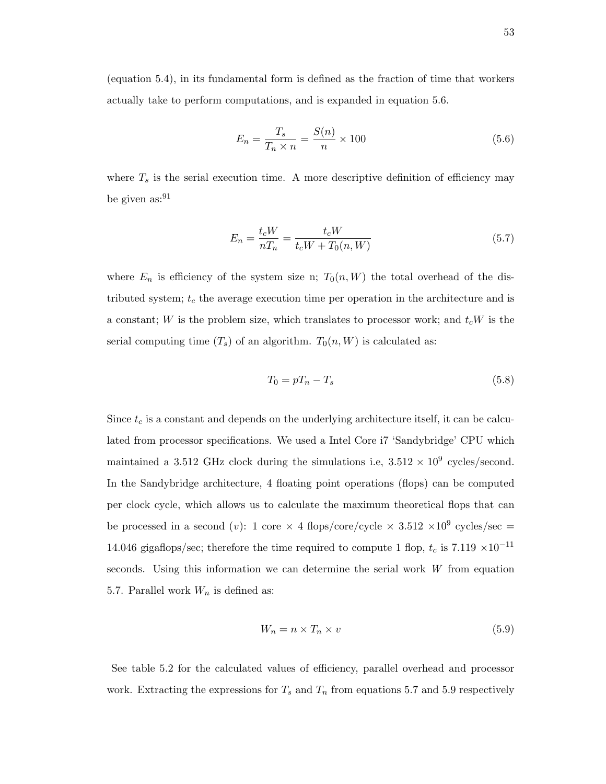(equation 5.4), in its fundamental form is defined as the fraction of time that workers actually take to perform computations, and is expanded in equation 5.6.

$$
E_n = \frac{T_s}{T_n \times n} = \frac{S(n)}{n} \times 100\tag{5.6}
$$

where  $T_s$  is the serial execution time. A more descriptive definition of efficiency may be given  $\text{as:}^{91}$ 

$$
E_n = \frac{t_c W}{n T_n} = \frac{t_c W}{t_c W + T_0(n, W)}
$$
\n(5.7)

where  $E_n$  is efficiency of the system size n;  $T_0(n, W)$  the total overhead of the distributed system; *t<sup>c</sup>* the average execution time per operation in the architecture and is a constant; *W* is the problem size, which translates to processor work; and *tcW* is the serial computing time  $(T_s)$  of an algorithm.  $T_0(n, W)$  is calculated as:

$$
T_0 = pT_n - T_s \tag{5.8}
$$

Since  $t_c$  is a constant and depends on the underlying architecture itself, it can be calculated from processor specifications. We used a Intel Core i7 'Sandybridge' CPU which maintained a 3.512 GHz clock during the simulations i.e,  $3.512 \times 10^9$  cycles/second. In the Sandybridge architecture, 4 floating point operations (flops) can be computed per clock cycle, which allows us to calculate the maximum theoretical flops that can be processed in a second (*v*): 1 core  $\times$  4 flops/core/cycle  $\times$  3.512  $\times 10^9$  cycles/sec = 14.046 gigaflops/sec; therefore the time required to compute 1 flop,  $t_c$  is 7.119  $\times 10^{-11}$ seconds. Using this information we can determine the serial work *W* from equation 5.7. Parallel work *W<sup>n</sup>* is defined as:

$$
W_n = n \times T_n \times v \tag{5.9}
$$

See table 5.2 for the calculated values of efficiency, parallel overhead and processor work. Extracting the expressions for  $T_s$  and  $T_n$  from equations 5.7 and 5.9 respectively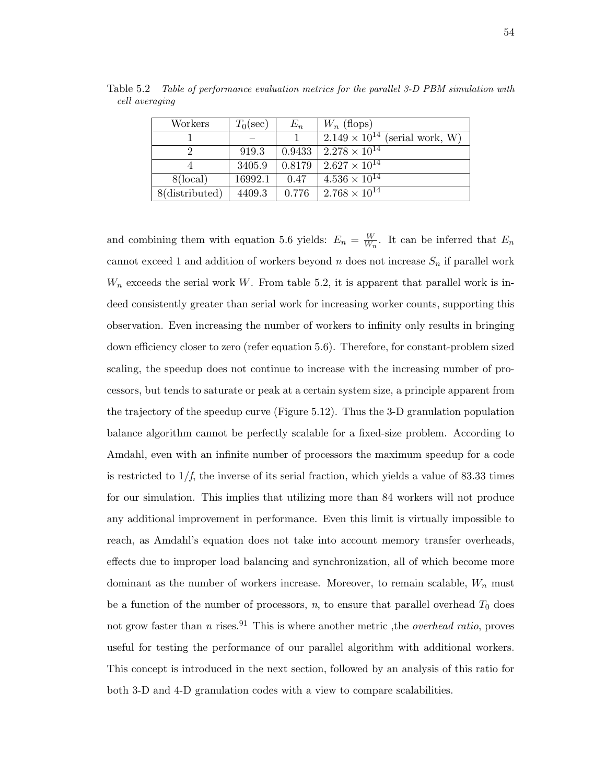| Workers           | $T_0(\sec)$ | $E_n$  | $W_n$ (flops)                           |
|-------------------|-------------|--------|-----------------------------------------|
|                   |             |        | $2.149 \times 10^{14}$ (serial work, W) |
|                   | 919.3       | 0.9433 | $2.278 \times 10^{14}$                  |
|                   | 3405.9      | 0.8179 | $2.627 \times 10^{14}$                  |
| $8(\text{local})$ | 16992.1     | 0.47   | $4.536 \times 10^{14}$                  |
| 8(distributed)    | 4409.3      | 0.776  | $2.768 \times 10^{14}$                  |

Table 5.2 *Table of performance evaluation metrics for the parallel 3-D PBM simulation with cell averaging*

and combining them with equation 5.6 yields:  $E_n = \frac{W}{W_n}$  $\frac{W}{W_n}$ . It can be inferred that  $E_n$ cannot exceed 1 and addition of workers beyond *n* does not increase *S<sup>n</sup>* if parallel work  $W_n$  exceeds the serial work *W*. From table 5.2, it is apparent that parallel work is indeed consistently greater than serial work for increasing worker counts, supporting this observation. Even increasing the number of workers to infinity only results in bringing down efficiency closer to zero (refer equation 5.6). Therefore, for constant-problem sized scaling, the speedup does not continue to increase with the increasing number of processors, but tends to saturate or peak at a certain system size, a principle apparent from the trajectory of the speedup curve (Figure 5.12). Thus the 3-D granulation population balance algorithm cannot be perfectly scalable for a fixed-size problem. According to Amdahl, even with an infinite number of processors the maximum speedup for a code is restricted to  $1/f$ , the inverse of its serial fraction, which yields a value of 83.33 times for our simulation. This implies that utilizing more than 84 workers will not produce any additional improvement in performance. Even this limit is virtually impossible to reach, as Amdahl's equation does not take into account memory transfer overheads, effects due to improper load balancing and synchronization, all of which become more dominant as the number of workers increase. Moreover, to remain scalable, *W<sup>n</sup>* must be a function of the number of processors,  $n$ , to ensure that parallel overhead  $T_0$  does not grow faster than *n* rises.<sup>91</sup> This is where another metric, the *overhead ratio*, proves useful for testing the performance of our parallel algorithm with additional workers. This concept is introduced in the next section, followed by an analysis of this ratio for both 3-D and 4-D granulation codes with a view to compare scalabilities.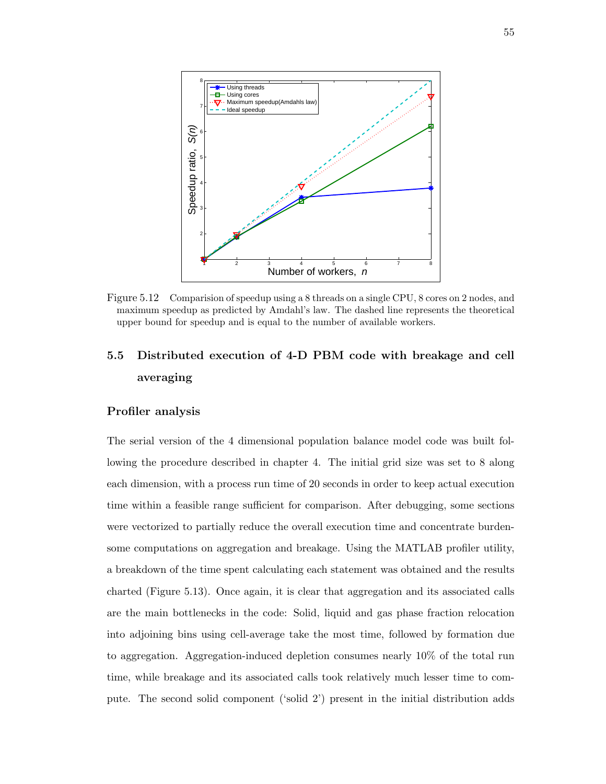

Figure 5.12 Comparision of speedup using a 8 threads on a single CPU, 8 cores on 2 nodes, and maximum speedup as predicted by Amdahl's law. The dashed line represents the theoretical upper bound for speedup and is equal to the number of available workers.

# **5.5 Distributed execution of 4-D PBM code with breakage and cell averaging**

## **Profiler analysis**

The serial version of the 4 dimensional population balance model code was built following the procedure described in chapter 4. The initial grid size was set to 8 along each dimension, with a process run time of 20 seconds in order to keep actual execution time within a feasible range sufficient for comparison. After debugging, some sections were vectorized to partially reduce the overall execution time and concentrate burdensome computations on aggregation and breakage. Using the MATLAB profiler utility, a breakdown of the time spent calculating each statement was obtained and the results charted (Figure 5.13). Once again, it is clear that aggregation and its associated calls are the main bottlenecks in the code: Solid, liquid and gas phase fraction relocation into adjoining bins using cell-average take the most time, followed by formation due to aggregation. Aggregation-induced depletion consumes nearly 10% of the total run time, while breakage and its associated calls took relatively much lesser time to compute. The second solid component ('solid 2') present in the initial distribution adds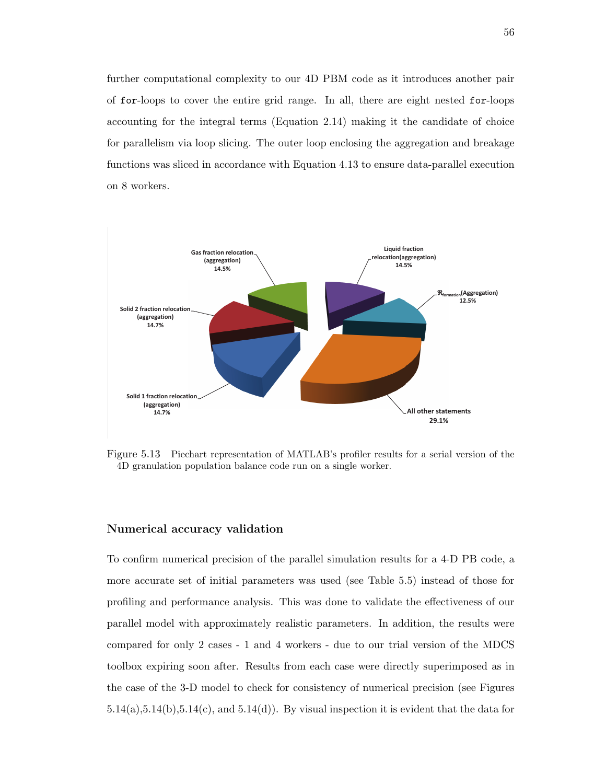further computational complexity to our 4D PBM code as it introduces another pair of for-loops to cover the entire grid range. In all, there are eight nested for-loops accounting for the integral terms (Equation 2.14) making it the candidate of choice for parallelism via loop slicing. The outer loop enclosing the aggregation and breakage functions was sliced in accordance with Equation 4.13 to ensure data-parallel execution on 8 workers.



Figure 5.13 Piechart representation of MATLAB's profiler results for a serial version of the 4D granulation population balance code run on a single worker.

#### **Numerical accuracy validation**

To confirm numerical precision of the parallel simulation results for a 4-D PB code, a more accurate set of initial parameters was used (see Table 5.5) instead of those for profiling and performance analysis. This was done to validate the effectiveness of our parallel model with approximately realistic parameters. In addition, the results were compared for only 2 cases - 1 and 4 workers - due to our trial version of the MDCS toolbox expiring soon after. Results from each case were directly superimposed as in the case of the 3-D model to check for consistency of numerical precision (see Figures  $5.14(a), 5.14(b), 5.14(c),$  and  $5.14(d)$ . By visual inspection it is evident that the data for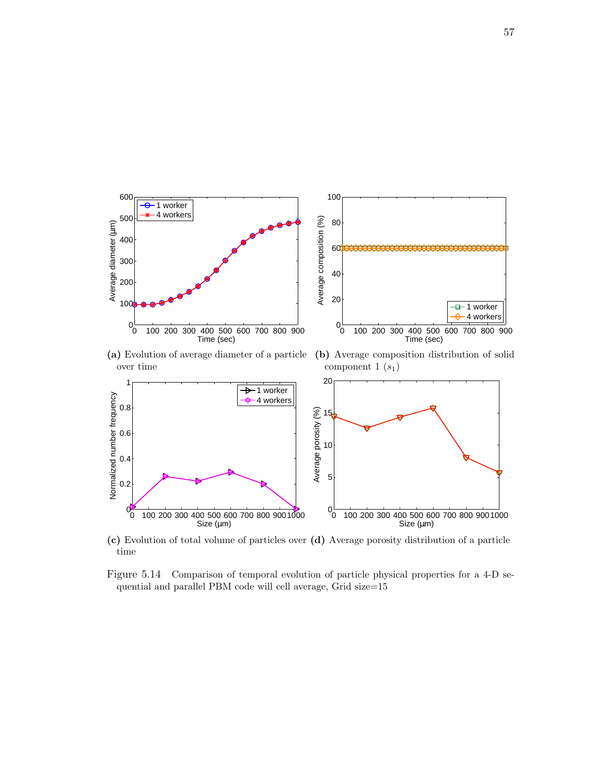



**(c)** Evolution of total volume of particles over **(d)** Average porosity distribution of a particle time

Figure 5.14 Comparison of temporal evolution of particle physical properties for a 4-D sequential and parallel PBM code will cell average, Grid size=15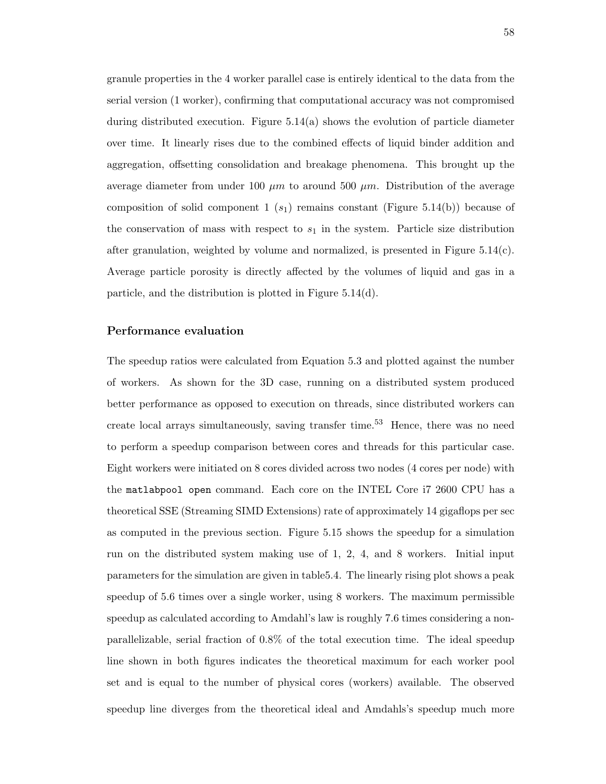granule properties in the 4 worker parallel case is entirely identical to the data from the serial version (1 worker), confirming that computational accuracy was not compromised during distributed execution. Figure 5.14(a) shows the evolution of particle diameter over time. It linearly rises due to the combined effects of liquid binder addition and aggregation, offsetting consolidation and breakage phenomena. This brought up the average diameter from under 100  $\mu$ m to around 500  $\mu$ m. Distribution of the average composition of solid component  $1(s_1)$  remains constant (Figure 5.14(b)) because of the conservation of mass with respect to  $s_1$  in the system. Particle size distribution after granulation, weighted by volume and normalized, is presented in Figure 5.14(c). Average particle porosity is directly affected by the volumes of liquid and gas in a particle, and the distribution is plotted in Figure 5.14(d).

#### **Performance evaluation**

The speedup ratios were calculated from Equation 5.3 and plotted against the number of workers. As shown for the 3D case, running on a distributed system produced better performance as opposed to execution on threads, since distributed workers can create local arrays simultaneously, saving transfer time.<sup>53</sup> Hence, there was no need to perform a speedup comparison between cores and threads for this particular case. Eight workers were initiated on 8 cores divided across two nodes (4 cores per node) with the matlabpool open command. Each core on the INTEL Core i7 2600 CPU has a theoretical SSE (Streaming SIMD Extensions) rate of approximately 14 gigaflops per sec as computed in the previous section. Figure 5.15 shows the speedup for a simulation run on the distributed system making use of 1, 2, 4, and 8 workers. Initial input parameters for the simulation are given in table5.4. The linearly rising plot shows a peak speedup of 5.6 times over a single worker, using 8 workers. The maximum permissible speedup as calculated according to Amdahl's law is roughly 7.6 times considering a nonparallelizable, serial fraction of 0.8% of the total execution time. The ideal speedup line shown in both figures indicates the theoretical maximum for each worker pool set and is equal to the number of physical cores (workers) available. The observed speedup line diverges from the theoretical ideal and Amdahls's speedup much more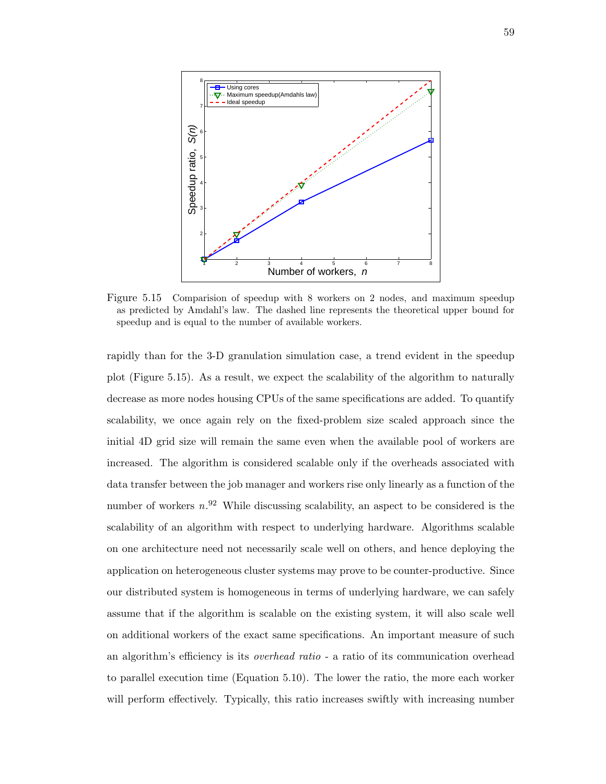

Figure 5.15 Comparision of speedup with 8 workers on 2 nodes, and maximum speedup as predicted by Amdahl's law. The dashed line represents the theoretical upper bound for speedup and is equal to the number of available workers.

rapidly than for the 3-D granulation simulation case, a trend evident in the speedup plot (Figure 5.15). As a result, we expect the scalability of the algorithm to naturally decrease as more nodes housing CPUs of the same specifications are added. To quantify scalability, we once again rely on the fixed-problem size scaled approach since the initial 4D grid size will remain the same even when the available pool of workers are increased. The algorithm is considered scalable only if the overheads associated with data transfer between the job manager and workers rise only linearly as a function of the number of workers  $n^{92}$  While discussing scalability, an aspect to be considered is the scalability of an algorithm with respect to underlying hardware. Algorithms scalable on one architecture need not necessarily scale well on others, and hence deploying the application on heterogeneous cluster systems may prove to be counter-productive. Since our distributed system is homogeneous in terms of underlying hardware, we can safely assume that if the algorithm is scalable on the existing system, it will also scale well on additional workers of the exact same specifications. An important measure of such an algorithm's efficiency is its *overhead ratio* - a ratio of its communication overhead to parallel execution time (Equation 5.10). The lower the ratio, the more each worker will perform effectively. Typically, this ratio increases swiftly with increasing number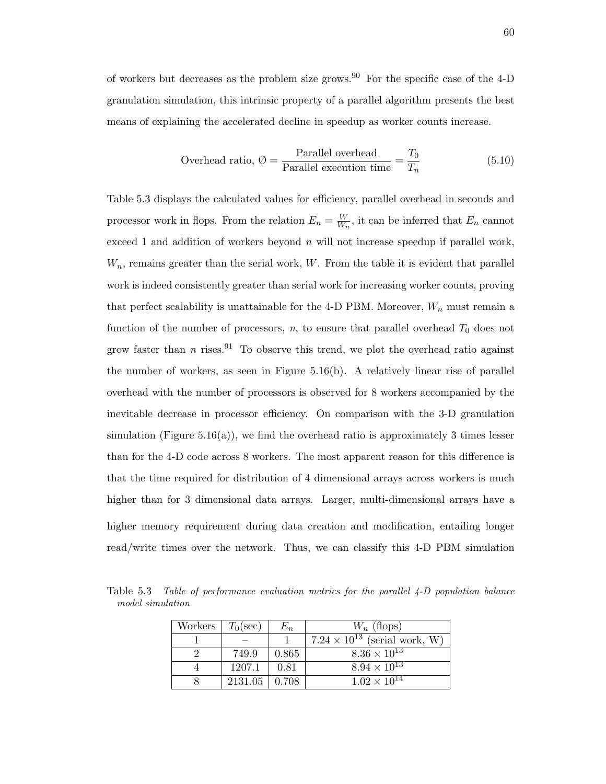of workers but decreases as the problem size grows.<sup>90</sup> For the specific case of the 4-D granulation simulation, this intrinsic property of a parallel algorithm presents the best means of explaining the accelerated decline in speedup as worker counts increase.

Overhead ratio, 
$$
\emptyset = \frac{\text{Parallel overhead}}{\text{Parallel execution time}} = \frac{T_0}{T_n}
$$
 (5.10)

Table 5.3 displays the calculated values for efficiency, parallel overhead in seconds and processor work in flops. From the relation  $E_n = \frac{W}{W_n}$  $\frac{W}{W_n}$ , it can be inferred that  $E_n$  cannot exceed 1 and addition of workers beyond *n* will not increase speedup if parallel work, *Wn*, remains greater than the serial work, *W*. From the table it is evident that parallel work is indeed consistently greater than serial work for increasing worker counts, proving that perfect scalability is unattainable for the 4-D PBM. Moreover,  $W_n$  must remain a function of the number of processors,  $n$ , to ensure that parallel overhead  $T_0$  does not grow faster than *n* rises.<sup>91</sup> To observe this trend, we plot the overhead ratio against the number of workers, as seen in Figure 5.16(b). A relatively linear rise of parallel overhead with the number of processors is observed for 8 workers accompanied by the inevitable decrease in processor efficiency. On comparison with the 3-D granulation simulation (Figure 5.16(a)), we find the overhead ratio is approximately 3 times lesser than for the 4-D code across 8 workers. The most apparent reason for this difference is that the time required for distribution of 4 dimensional arrays across workers is much higher than for 3 dimensional data arrays. Larger, multi-dimensional arrays have a higher memory requirement during data creation and modification, entailing longer read/write times over the network. Thus, we can classify this 4-D PBM simulation

Table 5.3 *Table of performance evaluation metrics for the parallel 4-D population balance model simulation*

| Workers | $T_0(\sec)$ | $\mathcal{\mathcal{L}}_{n}$ | $W_n$ (flops)                          |
|---------|-------------|-----------------------------|----------------------------------------|
|         |             |                             | $7.24 \times 10^{13}$ (serial work, W) |
|         | 749.9       | 0.865                       | $8.36 \times 10^{13}$                  |
|         | 1207.1      | 0.81                        | $8.94 \times 10^{13}$                  |
|         | 2131.05     | 0.708                       | $1.02 \times 10^{14}$                  |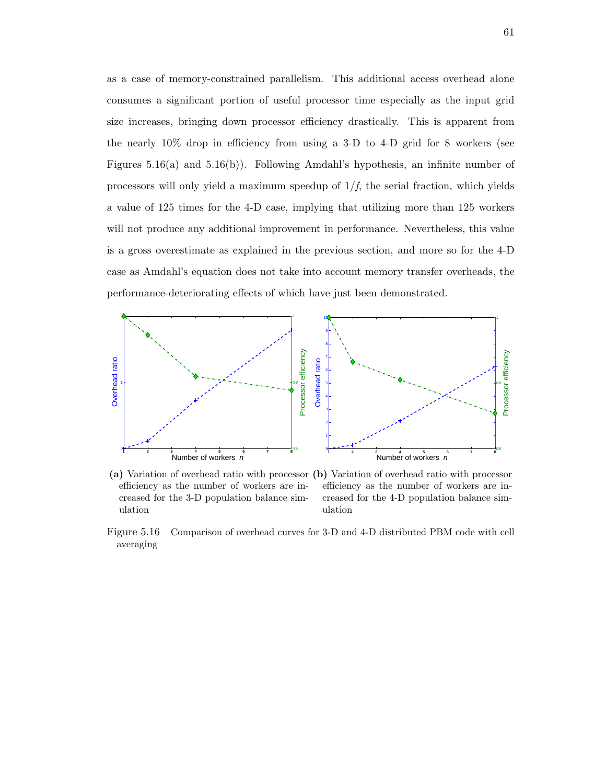as a case of memory-constrained parallelism. This additional access overhead alone consumes a significant portion of useful processor time especially as the input grid size increases, bringing down processor efficiency drastically. This is apparent from the nearly 10% drop in efficiency from using a 3-D to 4-D grid for 8 workers (see Figures 5.16(a) and 5.16(b)). Following Amdahl's hypothesis, an infinite number of processors will only yield a maximum speedup of 1/*f*, the serial fraction, which yields a value of 125 times for the 4-D case, implying that utilizing more than 125 workers will not produce any additional improvement in performance. Nevertheless, this value is a gross overestimate as explained in the previous section, and more so for the 4-D case as Amdahl's equation does not take into account memory transfer overheads, the performance-deteriorating effects of which have just been demonstrated.



**(a)** Variation of overhead ratio with processor **(b)** Variation of overhead ratio with processor efficiency as the number of workers are increased for the 3-D population balance simulation

efficiency as the number of workers are increased for the 4-D population balance simulation

Figure 5.16 Comparison of overhead curves for 3-D and 4-D distributed PBM code with cell averaging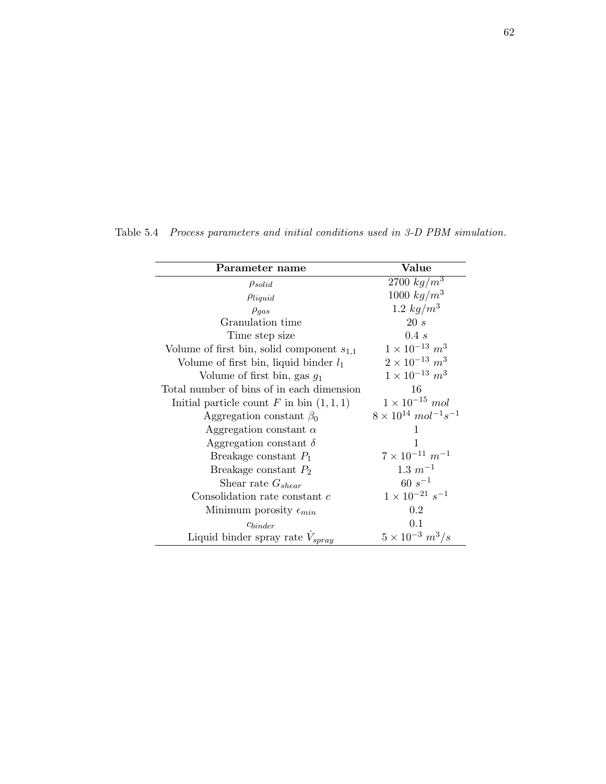| Parameter name                                 | Value                                                |
|------------------------------------------------|------------------------------------------------------|
| $\rho_{solid}$                                 | 2700 $kg/m^3$                                        |
| $\rho_{liquid}$                                | 1000 $kg/m^3$                                        |
| $\rho_{gas}$                                   | 1.2 $kg/m^3$                                         |
| Granulation time                               | 20s                                                  |
| Time step size                                 | 0.4 s                                                |
| Volume of first bin, solid component $s_{1,1}$ | $1 \times 10^{-13}$ $m^3$                            |
| Volume of first bin, liquid binder $l_1$       | $2 \times 10^{-13}$ $m^3$                            |
| Volume of first bin, gas $g_1$                 | $1 \times 10^{-13}$ $m^3$                            |
| Total number of bins of in each dimension      | 16                                                   |
| Initial particle count F in bin $(1,1,1)$      | $1 \times 10^{-15}$ mol                              |
| Aggregation constant $\beta_0$                 | $8 \times 10^{14}$ mol <sup>-1</sup> s <sup>-1</sup> |
| Aggregation constant $\alpha$                  | 1                                                    |
| Aggregation constant $\delta$                  | 1                                                    |
| Breakage constant $P_1$                        | $7 \times 10^{-11}$ $m^{-1}$                         |
| Breakage constant $P_2$                        | $1.3 m^{-1}$                                         |
| Shear rate $G_{shear}$                         | $60 s^{-1}$                                          |
| Consolidation rate constant $c$                | $1\times10^{-21}~s^{-1}$                             |
| Minimum porosity $\epsilon_{min}$              | 0.2                                                  |
| Chinder                                        | 0.1                                                  |
| Liquid binder spray rate $V_{spray}$           | $5 \times 10^{-3}$ $m^3/s$                           |

Table 5.4 *Process parameters and initial conditions used in 3-D PBM simulation.*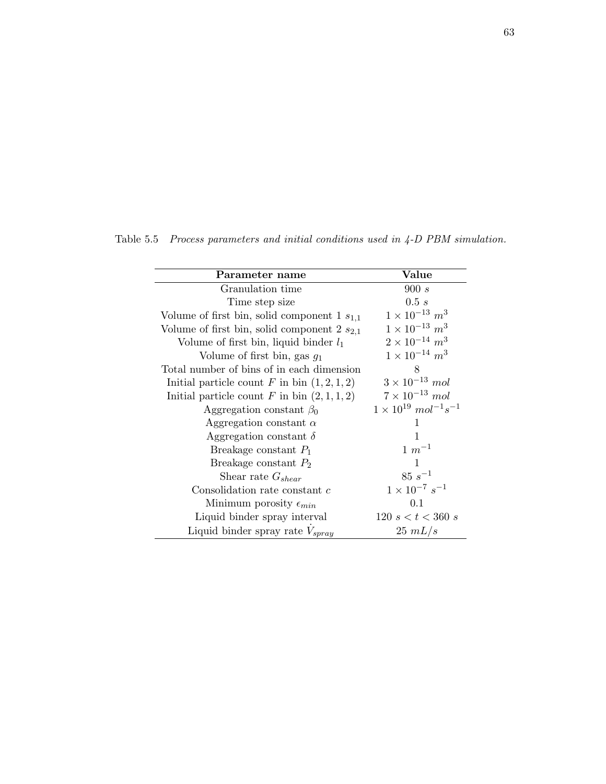| Parameter name                                   | Value                                                |
|--------------------------------------------------|------------------------------------------------------|
| Granulation time                                 | 900 s                                                |
| Time step size                                   | 0.5 s                                                |
| Volume of first bin, solid component $1 s_{1,1}$ | $1 \times 10^{-13}$ $m^3$                            |
| Volume of first bin, solid component 2 $s_{2,1}$ | $1 \times 10^{-13}$ $m^3$                            |
| Volume of first bin, liquid binder $l_1$         | $2 \times 10^{-14}$ m <sup>3</sup>                   |
| Volume of first bin, gas $g_1$                   | $1 \times 10^{-14}$ $m^3$                            |
| Total number of bins of in each dimension        | 8                                                    |
| Initial particle count F in bin $(1, 2, 1, 2)$   | $3 \times 10^{-13}$ mol                              |
| Initial particle count F in bin $(2, 1, 1, 2)$   | $7 \times 10^{-13}$ mol                              |
| Aggregation constant $\beta_0$                   | $1 \times 10^{19}$ mol <sup>-1</sup> s <sup>-1</sup> |
| Aggregation constant $\alpha$                    | 1                                                    |
| Aggregation constant $\delta$                    | 1                                                    |
| Breakage constant $P_1$                          | $1 \, m^{-1}$                                        |
| Breakage constant $P_2$                          | 1                                                    |
| Shear rate $G_{shear}$                           | $85\;s^{-1}$                                         |
| Consolidation rate constant c                    | $1 \times 10^{-7} s^{-1}$                            |
| Minimum porosity $\epsilon_{min}$                | 0.1                                                  |
| Liquid binder spray interval                     | $120 \text{ } s < t < 360 \text{ } s$                |
| Liquid binder spray rate $V_{spray}$             | $25 \; mL/s$                                         |

Table 5.5 *Process parameters and initial conditions used in 4-D PBM simulation.*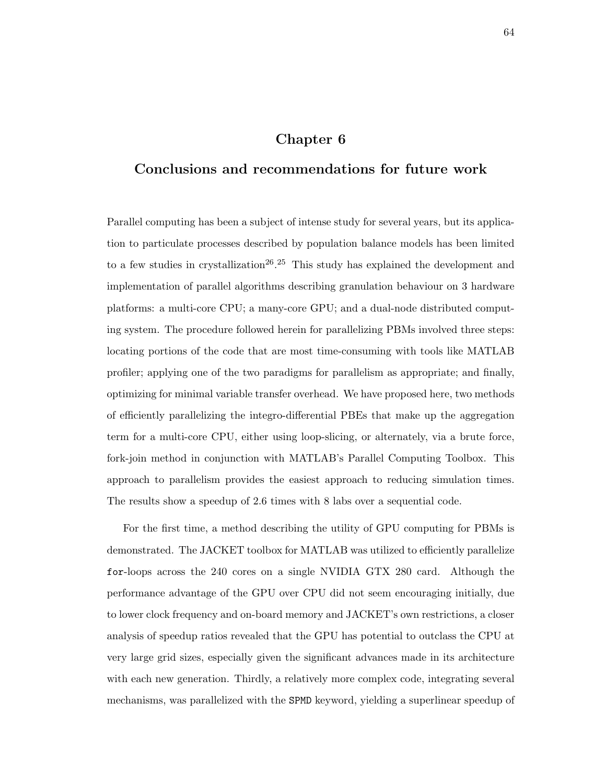### **Chapter 6**

## **Conclusions and recommendations for future work**

Parallel computing has been a subject of intense study for several years, but its application to particulate processes described by population balance models has been limited to a few studies in crystallization<sup>26</sup>.<sup>25</sup> This study has explained the development and implementation of parallel algorithms describing granulation behaviour on 3 hardware platforms: a multi-core CPU; a many-core GPU; and a dual-node distributed computing system. The procedure followed herein for parallelizing PBMs involved three steps: locating portions of the code that are most time-consuming with tools like MATLAB profiler; applying one of the two paradigms for parallelism as appropriate; and finally, optimizing for minimal variable transfer overhead. We have proposed here, two methods of efficiently parallelizing the integro-differential PBEs that make up the aggregation term for a multi-core CPU, either using loop-slicing, or alternately, via a brute force, fork-join method in conjunction with MATLAB's Parallel Computing Toolbox. This approach to parallelism provides the easiest approach to reducing simulation times. The results show a speedup of 2.6 times with 8 labs over a sequential code.

For the first time, a method describing the utility of GPU computing for PBMs is demonstrated. The JACKET toolbox for MATLAB was utilized to efficiently parallelize for-loops across the 240 cores on a single NVIDIA GTX 280 card. Although the performance advantage of the GPU over CPU did not seem encouraging initially, due to lower clock frequency and on-board memory and JACKET's own restrictions, a closer analysis of speedup ratios revealed that the GPU has potential to outclass the CPU at very large grid sizes, especially given the significant advances made in its architecture with each new generation. Thirdly, a relatively more complex code, integrating several mechanisms, was parallelized with the SPMD keyword, yielding a superlinear speedup of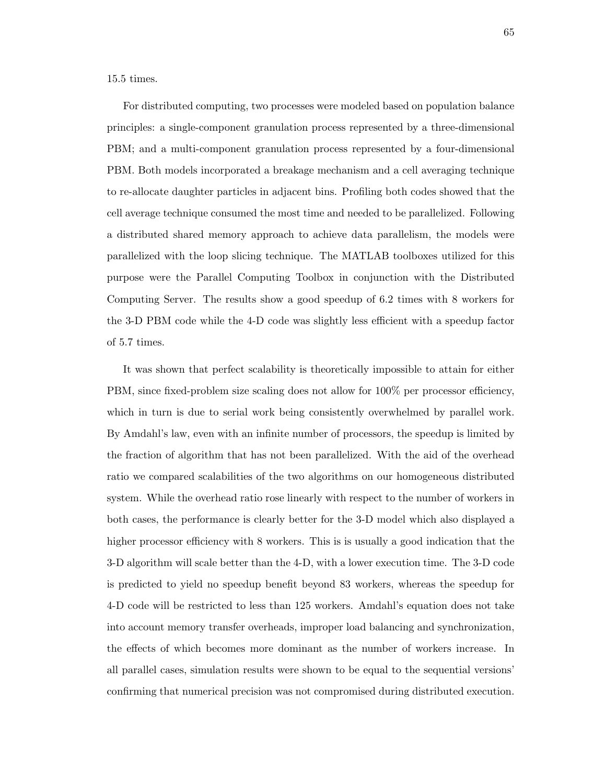15.5 times.

For distributed computing, two processes were modeled based on population balance principles: a single-component granulation process represented by a three-dimensional PBM; and a multi-component granulation process represented by a four-dimensional PBM. Both models incorporated a breakage mechanism and a cell averaging technique to re-allocate daughter particles in adjacent bins. Profiling both codes showed that the cell average technique consumed the most time and needed to be parallelized. Following a distributed shared memory approach to achieve data parallelism, the models were parallelized with the loop slicing technique. The MATLAB toolboxes utilized for this purpose were the Parallel Computing Toolbox in conjunction with the Distributed Computing Server. The results show a good speedup of 6.2 times with 8 workers for the 3-D PBM code while the 4-D code was slightly less efficient with a speedup factor of 5.7 times.

It was shown that perfect scalability is theoretically impossible to attain for either PBM, since fixed-problem size scaling does not allow for 100% per processor efficiency, which in turn is due to serial work being consistently overwhelmed by parallel work. By Amdahl's law, even with an infinite number of processors, the speedup is limited by the fraction of algorithm that has not been parallelized. With the aid of the overhead ratio we compared scalabilities of the two algorithms on our homogeneous distributed system. While the overhead ratio rose linearly with respect to the number of workers in both cases, the performance is clearly better for the 3-D model which also displayed a higher processor efficiency with 8 workers. This is is usually a good indication that the 3-D algorithm will scale better than the 4-D, with a lower execution time. The 3-D code is predicted to yield no speedup benefit beyond 83 workers, whereas the speedup for 4-D code will be restricted to less than 125 workers. Amdahl's equation does not take into account memory transfer overheads, improper load balancing and synchronization, the effects of which becomes more dominant as the number of workers increase. In all parallel cases, simulation results were shown to be equal to the sequential versions' confirming that numerical precision was not compromised during distributed execution.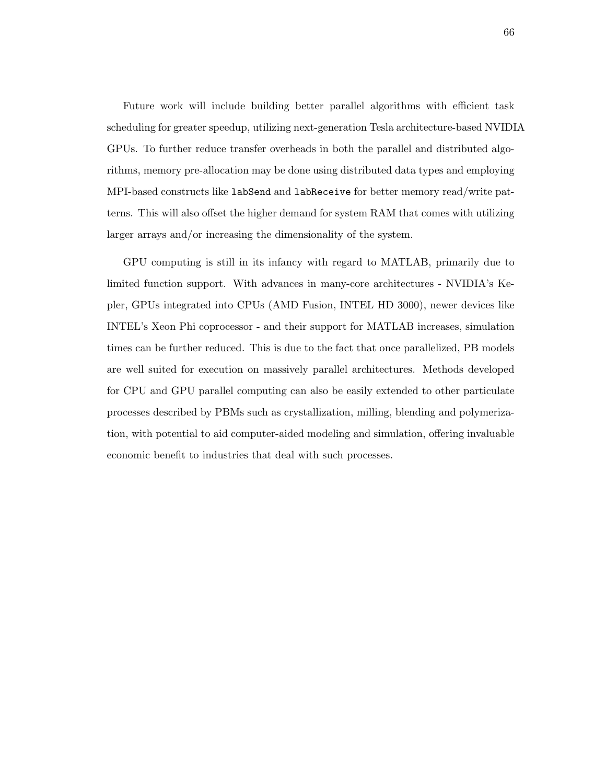Future work will include building better parallel algorithms with efficient task scheduling for greater speedup, utilizing next-generation Tesla architecture-based NVIDIA GPUs. To further reduce transfer overheads in both the parallel and distributed algorithms, memory pre-allocation may be done using distributed data types and employing MPI-based constructs like labSend and labReceive for better memory read/write patterns. This will also offset the higher demand for system RAM that comes with utilizing larger arrays and/or increasing the dimensionality of the system.

GPU computing is still in its infancy with regard to MATLAB, primarily due to limited function support. With advances in many-core architectures - NVIDIA's Kepler, GPUs integrated into CPUs (AMD Fusion, INTEL HD 3000), newer devices like INTEL's Xeon Phi coprocessor - and their support for MATLAB increases, simulation times can be further reduced. This is due to the fact that once parallelized, PB models are well suited for execution on massively parallel architectures. Methods developed for CPU and GPU parallel computing can also be easily extended to other particulate processes described by PBMs such as crystallization, milling, blending and polymerization, with potential to aid computer-aided modeling and simulation, offering invaluable economic benefit to industries that deal with such processes.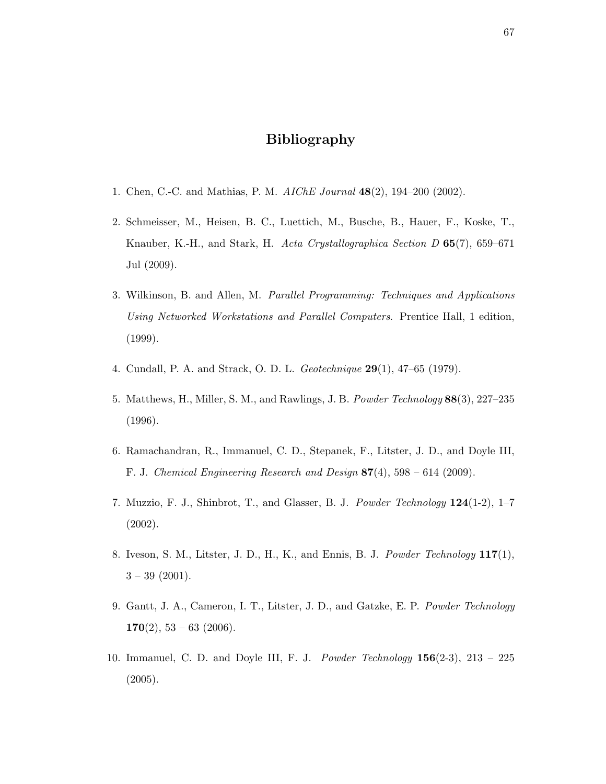# **Bibliography**

- 1. Chen, C.-C. and Mathias, P. M. *AIChE Journal* **48**(2), 194–200 (2002).
- 2. Schmeisser, M., Heisen, B. C., Luettich, M., Busche, B., Hauer, F., Koske, T., Knauber, K.-H., and Stark, H. *Acta Crystallographica Section D* **65**(7), 659–671 Jul (2009).
- 3. Wilkinson, B. and Allen, M. *Parallel Programming: Techniques and Applications Using Networked Workstations and Parallel Computers*. Prentice Hall, 1 edition, (1999).
- 4. Cundall, P. A. and Strack, O. D. L. *Geotechnique* **29**(1), 47–65 (1979).
- 5. Matthews, H., Miller, S. M., and Rawlings, J. B. *Powder Technology* **88**(3), 227–235 (1996).
- 6. Ramachandran, R., Immanuel, C. D., Stepanek, F., Litster, J. D., and Doyle III, F. J. *Chemical Engineering Research and Design* **87**(4), 598 – 614 (2009).
- 7. Muzzio, F. J., Shinbrot, T., and Glasser, B. J. *Powder Technology* **124**(1-2), 1–7 (2002).
- 8. Iveson, S. M., Litster, J. D., H., K., and Ennis, B. J. *Powder Technology* **117**(1),  $3 - 39$  (2001).
- 9. Gantt, J. A., Cameron, I. T., Litster, J. D., and Gatzke, E. P. *Powder Technology* **170**(2), 53 – 63 (2006).
- 10. Immanuel, C. D. and Doyle III, F. J. *Powder Technology* **156**(2-3), 213 225 (2005).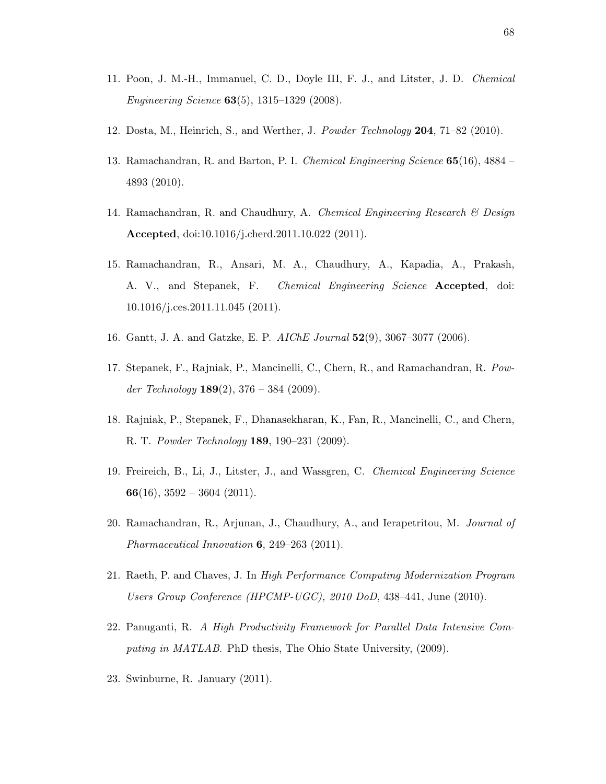- 11. Poon, J. M.-H., Immanuel, C. D., Doyle III, F. J., and Litster, J. D. *Chemical Engineering Science* **63**(5), 1315–1329 (2008).
- 12. Dosta, M., Heinrich, S., and Werther, J. *Powder Technology* **204**, 71–82 (2010).
- 13. Ramachandran, R. and Barton, P. I. *Chemical Engineering Science* **65**(16), 4884 4893 (2010).
- 14. Ramachandran, R. and Chaudhury, A. *Chemical Engineering Research & Design* **Accepted**, doi:10.1016/j.cherd.2011.10.022 (2011).
- 15. Ramachandran, R., Ansari, M. A., Chaudhury, A., Kapadia, A., Prakash, A. V., and Stepanek, F. *Chemical Engineering Science* **Accepted**, doi: 10.1016/j.ces.2011.11.045 (2011).
- 16. Gantt, J. A. and Gatzke, E. P. *AIChE Journal* **52**(9), 3067–3077 (2006).
- 17. Stepanek, F., Rajniak, P., Mancinelli, C., Chern, R., and Ramachandran, R. *Powder Technology* **189**(2), 376 – 384 (2009).
- 18. Rajniak, P., Stepanek, F., Dhanasekharan, K., Fan, R., Mancinelli, C., and Chern, R. T. *Powder Technology* **189**, 190–231 (2009).
- 19. Freireich, B., Li, J., Litster, J., and Wassgren, C. *Chemical Engineering Science* **66**(16), 3592 – 3604 (2011).
- 20. Ramachandran, R., Arjunan, J., Chaudhury, A., and Ierapetritou, M. *Journal of Pharmaceutical Innovation* **6**, 249–263 (2011).
- 21. Raeth, P. and Chaves, J. In *High Performance Computing Modernization Program Users Group Conference (HPCMP-UGC), 2010 DoD*, 438–441, June (2010).
- 22. Panuganti, R. *A High Productivity Framework for Parallel Data Intensive Computing in MATLAB*. PhD thesis, The Ohio State University, (2009).
- 23. Swinburne, R. January (2011).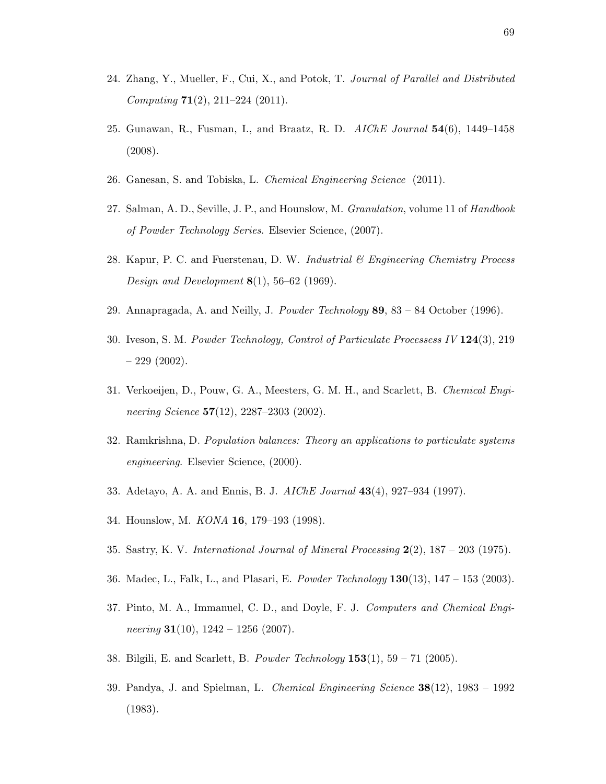- 24. Zhang, Y., Mueller, F., Cui, X., and Potok, T. *Journal of Parallel and Distributed Computing* **71**(2), 211–224 (2011).
- 25. Gunawan, R., Fusman, I., and Braatz, R. D. *AIChE Journal* **54**(6), 1449–1458 (2008).
- 26. Ganesan, S. and Tobiska, L. *Chemical Engineering Science* (2011).
- 27. Salman, A. D., Seville, J. P., and Hounslow, M. *Granulation*, volume 11 of *Handbook of Powder Technology Series*. Elsevier Science, (2007).
- 28. Kapur, P. C. and Fuerstenau, D. W. *Industrial & Engineering Chemistry Process Design and Development* **8**(1), 56–62 (1969).
- 29. Annapragada, A. and Neilly, J. *Powder Technology* **89**, 83 84 October (1996).
- 30. Iveson, S. M. *Powder Technology, Control of Particulate Processess IV* **124**(3), 219  $-229(2002)$ .
- 31. Verkoeijen, D., Pouw, G. A., Meesters, G. M. H., and Scarlett, B. *Chemical Engineering Science* **57**(12), 2287–2303 (2002).
- 32. Ramkrishna, D. *Population balances: Theory an applications to particulate systems engineering*. Elsevier Science, (2000).
- 33. Adetayo, A. A. and Ennis, B. J. *AIChE Journal* **43**(4), 927–934 (1997).
- 34. Hounslow, M. *KONA* **16**, 179–193 (1998).
- 35. Sastry, K. V. *International Journal of Mineral Processing* **2**(2), 187 203 (1975).
- 36. Madec, L., Falk, L., and Plasari, E. *Powder Technology* **130**(13), 147 153 (2003).
- 37. Pinto, M. A., Immanuel, C. D., and Doyle, F. J. *Computers and Chemical Engineering* **31**(10), 1242 – 1256 (2007).
- 38. Bilgili, E. and Scarlett, B. *Powder Technology* **153**(1), 59 71 (2005).
- 39. Pandya, J. and Spielman, L. *Chemical Engineering Science* **38**(12), 1983 1992 (1983).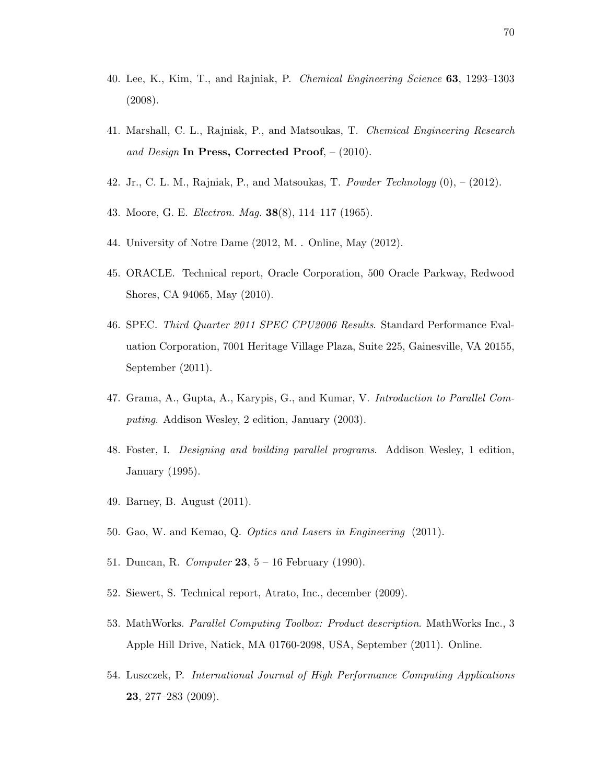- 40. Lee, K., Kim, T., and Rajniak, P. *Chemical Engineering Science* **63**, 1293–1303 (2008).
- 41. Marshall, C. L., Rajniak, P., and Matsoukas, T. *Chemical Engineering Research and Design* **In Press, Corrected Proof**, – (2010).
- 42. Jr., C. L. M., Rajniak, P., and Matsoukas, T. *Powder Technology* (0), (2012).
- 43. Moore, G. E. *Electron. Mag.* **38**(8), 114–117 (1965).
- 44. University of Notre Dame (2012, M. . Online, May (2012).
- 45. ORACLE. Technical report, Oracle Corporation, 500 Oracle Parkway, Redwood Shores, CA 94065, May (2010).
- 46. SPEC. *Third Quarter 2011 SPEC CPU2006 Results*. Standard Performance Evaluation Corporation, 7001 Heritage Village Plaza, Suite 225, Gainesville, VA 20155, September (2011).
- 47. Grama, A., Gupta, A., Karypis, G., and Kumar, V. *Introduction to Parallel Computing*. Addison Wesley, 2 edition, January (2003).
- 48. Foster, I. *Designing and building parallel programs*. Addison Wesley, 1 edition, January (1995).
- 49. Barney, B. August (2011).
- 50. Gao, W. and Kemao, Q. *Optics and Lasers in Engineering* (2011).
- 51. Duncan, R. *Computer* **23**, 5 16 February (1990).
- 52. Siewert, S. Technical report, Atrato, Inc., december (2009).
- 53. MathWorks. *Parallel Computing Toolbox: Product description*. MathWorks Inc., 3 Apple Hill Drive, Natick, MA 01760-2098, USA, September (2011). Online.
- 54. Luszczek, P. *International Journal of High Performance Computing Applications* **23**, 277–283 (2009).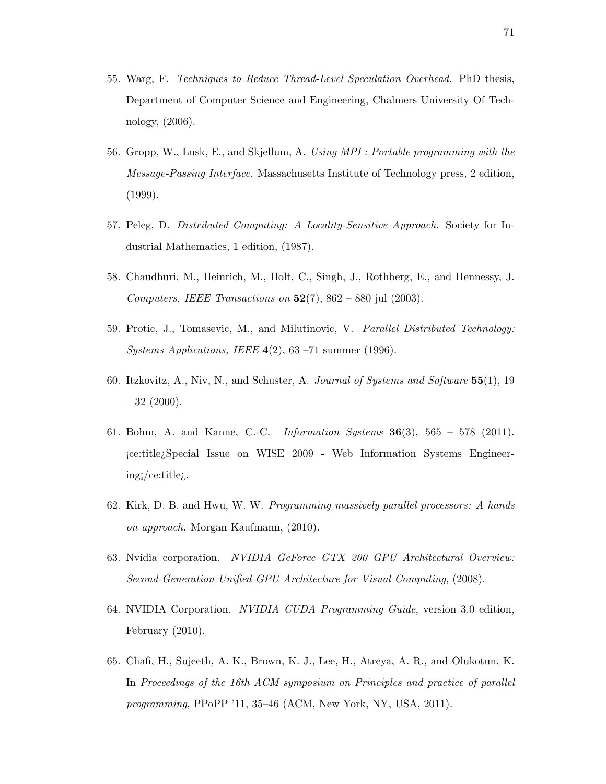- 55. Warg, F. *Techniques to Reduce Thread-Level Speculation Overhead*. PhD thesis, Department of Computer Science and Engineering, Chalmers University Of Technology, (2006).
- 56. Gropp, W., Lusk, E., and Skjellum, A. *Using MPI : Portable programming with the Message-Passing Interface*. Massachusetts Institute of Technology press, 2 edition, (1999).
- 57. Peleg, D. *Distributed Computing: A Locality-Sensitive Approach*. Society for Industrial Mathematics, 1 edition, (1987).
- 58. Chaudhuri, M., Heinrich, M., Holt, C., Singh, J., Rothberg, E., and Hennessy, J. *Computers, IEEE Transactions on* **52**(7), 862 – 880 jul (2003).
- 59. Protic, J., Tomasevic, M., and Milutinovic, V. *Parallel Distributed Technology: Systems Applications, IEEE* **4**(2), 63 –71 summer (1996).
- 60. Itzkovitz, A., Niv, N., and Schuster, A. *Journal of Systems and Software* **55**(1), 19  $-32$  (2000).
- 61. Bohm, A. and Kanne, C.-C. *Information Systems* **36**(3), 565 578 (2011). ¡ce:title¿Special Issue on WISE 2009 - Web Information Systems Engineering¡/ce:title¿.
- 62. Kirk, D. B. and Hwu, W. W. *Programming massively parallel processors: A hands on approach*. Morgan Kaufmann, (2010).
- 63. Nvidia corporation. *NVIDIA GeForce GTX 200 GPU Architectural Overview: Second-Generation Unified GPU Architecture for Visual Computing*, (2008).
- 64. NVIDIA Corporation. *NVIDIA CUDA Programming Guide*, version 3.0 edition, February (2010).
- 65. Chafi, H., Sujeeth, A. K., Brown, K. J., Lee, H., Atreya, A. R., and Olukotun, K. In *Proceedings of the 16th ACM symposium on Principles and practice of parallel programming*, PPoPP '11, 35–46 (ACM, New York, NY, USA, 2011).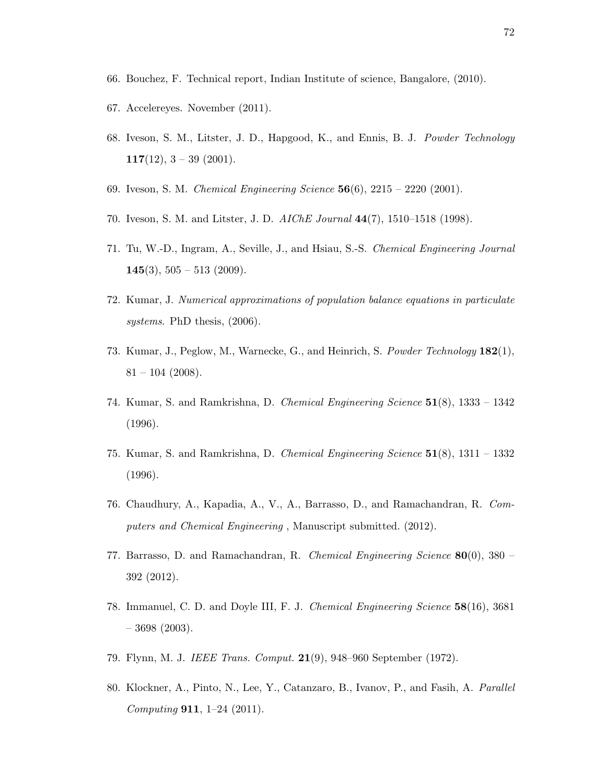- 66. Bouchez, F. Technical report, Indian Institute of science, Bangalore, (2010).
- 67. Accelereyes. November (2011).
- 68. Iveson, S. M., Litster, J. D., Hapgood, K., and Ennis, B. J. *Powder Technology* **117**(12), 3 – 39 (2001).
- 69. Iveson, S. M. *Chemical Engineering Science* **56**(6), 2215 2220 (2001).
- 70. Iveson, S. M. and Litster, J. D. *AIChE Journal* **44**(7), 1510–1518 (1998).
- 71. Tu, W.-D., Ingram, A., Seville, J., and Hsiau, S.-S. *Chemical Engineering Journal* **145**(3), 505 – 513 (2009).
- 72. Kumar, J. *Numerical approximations of population balance equations in particulate systems*. PhD thesis, (2006).
- 73. Kumar, J., Peglow, M., Warnecke, G., and Heinrich, S. *Powder Technology* **182**(1),  $81 - 104$  (2008).
- 74. Kumar, S. and Ramkrishna, D. *Chemical Engineering Science* **51**(8), 1333 1342 (1996).
- 75. Kumar, S. and Ramkrishna, D. *Chemical Engineering Science* **51**(8), 1311 1332 (1996).
- 76. Chaudhury, A., Kapadia, A., V., A., Barrasso, D., and Ramachandran, R. *Computers and Chemical Engineering* , Manuscript submitted. (2012).
- 77. Barrasso, D. and Ramachandran, R. *Chemical Engineering Science* **80**(0), 380 392 (2012).
- 78. Immanuel, C. D. and Doyle III, F. J. *Chemical Engineering Science* **58**(16), 3681  $-3698(2003)$ .
- 79. Flynn, M. J. *IEEE Trans. Comput.* **21**(9), 948–960 September (1972).
- 80. Klockner, A., Pinto, N., Lee, Y., Catanzaro, B., Ivanov, P., and Fasih, A. *Parallel Computing* **911**, 1–24 (2011).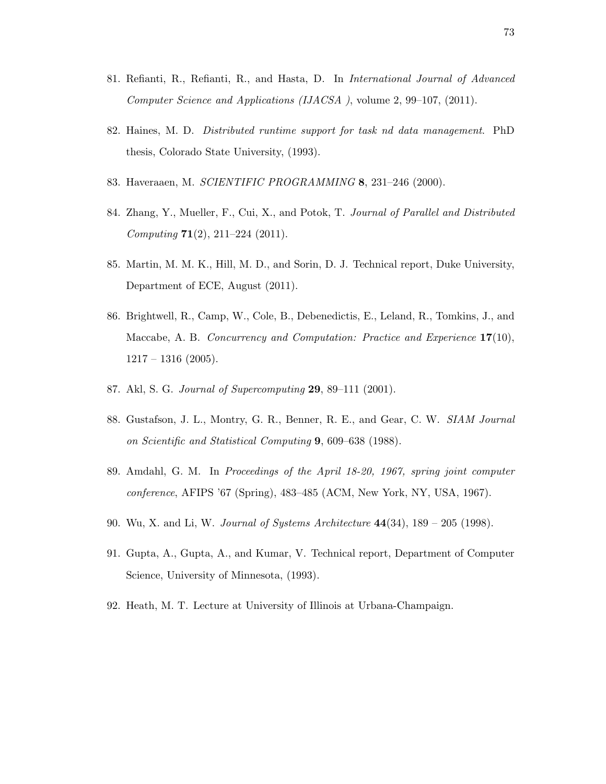- 81. Refianti, R., Refianti, R., and Hasta, D. In *International Journal of Advanced Computer Science and Applications (IJACSA )*, volume 2, 99–107, (2011).
- 82. Haines, M. D. *Distributed runtime support for task nd data management*. PhD thesis, Colorado State University, (1993).
- 83. Haveraaen, M. *SCIENTIFIC PROGRAMMING* **8**, 231–246 (2000).
- 84. Zhang, Y., Mueller, F., Cui, X., and Potok, T. *Journal of Parallel and Distributed Computing* **71**(2), 211–224 (2011).
- 85. Martin, M. M. K., Hill, M. D., and Sorin, D. J. Technical report, Duke University, Department of ECE, August (2011).
- 86. Brightwell, R., Camp, W., Cole, B., Debenedictis, E., Leland, R., Tomkins, J., and Maccabe, A. B. *Concurrency and Computation: Practice and Experience* **17**(10),  $1217 - 1316$  (2005).
- 87. Akl, S. G. *Journal of Supercomputing* **29**, 89–111 (2001).
- 88. Gustafson, J. L., Montry, G. R., Benner, R. E., and Gear, C. W. *SIAM Journal on Scientific and Statistical Computing* **9**, 609–638 (1988).
- 89. Amdahl, G. M. In *Proceedings of the April 18-20, 1967, spring joint computer conference*, AFIPS '67 (Spring), 483–485 (ACM, New York, NY, USA, 1967).
- 90. Wu, X. and Li, W. *Journal of Systems Architecture* **44**(34), 189 205 (1998).
- 91. Gupta, A., Gupta, A., and Kumar, V. Technical report, Department of Computer Science, University of Minnesota, (1993).
- 92. Heath, M. T. Lecture at University of Illinois at Urbana-Champaign.